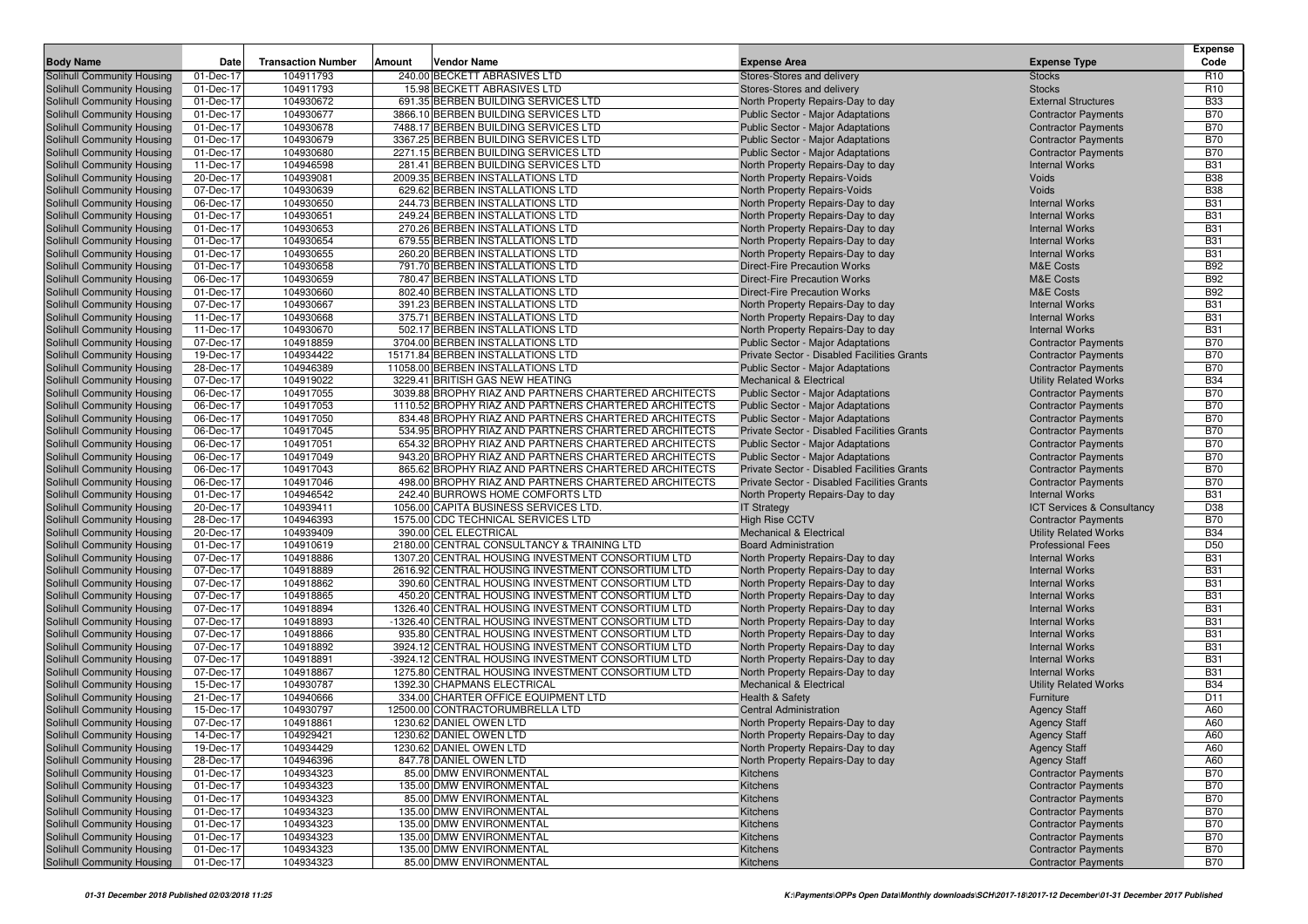|                                                          |                        |                           |        |                                                                                                                |                                                                                      |                                                          | <b>Expense</b>           |
|----------------------------------------------------------|------------------------|---------------------------|--------|----------------------------------------------------------------------------------------------------------------|--------------------------------------------------------------------------------------|----------------------------------------------------------|--------------------------|
| <b>Body Name</b>                                         | Date                   | <b>Transaction Number</b> | Amount | Vendor Name                                                                                                    | <b>Expense Area</b>                                                                  | <b>Expense Type</b>                                      | Code                     |
| Solihull Community Housing                               | 01-Dec-17              | 104911793                 |        | 240.00 BECKETT ABRASIVES LTD                                                                                   | Stores-Stores and delivery                                                           | <b>Stocks</b>                                            | R <sub>10</sub>          |
| Solihull Community Housing                               | 01-Dec-17              | 104911793                 |        | 15.98 BECKETT ABRASIVES LTD                                                                                    | Stores-Stores and delivery                                                           | <b>Stocks</b>                                            | R <sub>10</sub>          |
| Solihull Community Housing                               | 01-Dec-17              | 104930672                 |        | 691.35 BERBEN BUILDING SERVICES LTD                                                                            | North Property Repairs-Day to day                                                    | <b>External Structures</b>                               | <b>B33</b>               |
| Solihull Community Housing                               | 01-Dec-17              | 104930677                 |        | 3866.10 BERBEN BUILDING SERVICES LTD<br>7488.17 BERBEN BUILDING SERVICES LTD                                   | Public Sector - Major Adaptations<br><b>Public Sector - Major Adaptations</b>        | <b>Contractor Payments</b>                               | <b>B70</b><br><b>B70</b> |
| Solihull Community Housing<br>Solihull Community Housing | 01-Dec-17<br>01-Dec-17 | 104930678<br>104930679    |        | 3367.25 BERBEN BUILDING SERVICES LTD                                                                           | <b>Public Sector - Major Adaptations</b>                                             | <b>Contractor Payments</b><br><b>Contractor Payments</b> | <b>B70</b>               |
| Solihull Community Housing                               | 01-Dec-17              | 104930680                 |        | 2271.15 BERBEN BUILDING SERVICES LTD                                                                           | <b>Public Sector - Major Adaptations</b>                                             | <b>Contractor Payments</b>                               | <b>B70</b>               |
| Solihull Community Housing                               | 11-Dec-17              | 104946598                 |        | 281.41 BERBEN BUILDING SERVICES LTD                                                                            | North Property Repairs-Day to day                                                    | <b>Internal Works</b>                                    | <b>B31</b>               |
| Solihull Community Housing                               | 20-Dec-17              | 104939081                 |        | 2009.35 BERBEN INSTALLATIONS LTD                                                                               | North Property Repairs-Voids                                                         | Voids                                                    | <b>B38</b>               |
| Solihull Community Housing                               | 07-Dec-17              | 104930639                 |        | 629.62 BERBEN INSTALLATIONS LTD                                                                                | North Property Repairs-Voids                                                         | Voids                                                    | <b>B38</b>               |
| Solihull Community Housing                               | 06-Dec-17              | 104930650                 |        | 244.73 BERBEN INSTALLATIONS LTD                                                                                | North Property Repairs-Day to day                                                    | <b>Internal Works</b>                                    | <b>B31</b>               |
| Solihull Community Housing                               | 01-Dec-17              | 104930651                 |        | 249.24 BERBEN INSTALLATIONS LTD                                                                                | North Property Repairs-Day to day                                                    | <b>Internal Works</b>                                    | <b>B31</b>               |
| Solihull Community Housing                               | 01-Dec-17              | 104930653                 |        | 270.26 BERBEN INSTALLATIONS LTD                                                                                | North Property Repairs-Day to day                                                    | <b>Internal Works</b>                                    | <b>B31</b>               |
| Solihull Community Housing                               | 01-Dec-17              | 104930654                 |        | 679.55 BERBEN INSTALLATIONS LTD                                                                                | North Property Repairs-Day to day                                                    | <b>Internal Works</b>                                    | <b>B31</b>               |
| Solihull Community Housing                               | 01-Dec-17              | 104930655                 |        | 260.20 BERBEN INSTALLATIONS LTD                                                                                | North Property Repairs-Day to day                                                    | <b>Internal Works</b>                                    | <b>B31</b>               |
| Solihull Community Housing                               | 01-Dec-17              | 104930658                 |        | 791.70 BERBEN INSTALLATIONS LTD                                                                                | <b>Direct-Fire Precaution Works</b>                                                  | <b>M&amp;E Costs</b>                                     | <b>B92</b>               |
| Solihull Community Housing                               | 06-Dec-17              | 104930659                 |        | 780.47 BERBEN INSTALLATIONS LTD                                                                                | <b>Direct-Fire Precaution Works</b>                                                  | <b>M&amp;E Costs</b>                                     | <b>B92</b>               |
| Solihull Community Housing                               | 01-Dec-17              | 104930660                 |        | 802.40 BERBEN INSTALLATIONS LTD                                                                                | <b>Direct-Fire Precaution Works</b>                                                  | <b>M&amp;E Costs</b>                                     | <b>B92</b>               |
| Solihull Community Housing                               | 07-Dec-17              | 104930667                 |        | 391.23 BERBEN INSTALLATIONS LTD                                                                                | North Property Repairs-Day to day                                                    | <b>Internal Works</b>                                    | <b>B31</b>               |
| Solihull Community Housing                               | 11-Dec-17              | 104930668                 |        | 375.71 BERBEN INSTALLATIONS LTD                                                                                | North Property Repairs-Day to day                                                    | <b>Internal Works</b>                                    | <b>B31</b>               |
| Solihull Community Housing                               | 11-Dec-17              | 104930670                 |        | 502.17 BERBEN INSTALLATIONS LTD                                                                                | North Property Repairs-Day to day                                                    | <b>Internal Works</b>                                    | <b>B31</b>               |
| Solihull Community Housing                               | 07-Dec-17              | 104918859                 |        | 3704.00 BERBEN INSTALLATIONS LTD                                                                               | Public Sector - Major Adaptations                                                    | <b>Contractor Payments</b>                               | <b>B70</b>               |
| Solihull Community Housing                               | 19-Dec-17              | 104934422                 |        | 15171.84 BERBEN INSTALLATIONS LTD                                                                              | Private Sector - Disabled Facilities Grants                                          | <b>Contractor Payments</b>                               | <b>B70</b>               |
| Solihull Community Housing                               | 28-Dec-17              | 104946389                 |        | 11058.00 BERBEN INSTALLATIONS LTD                                                                              | <b>Public Sector - Major Adaptations</b>                                             | <b>Contractor Payments</b>                               | <b>B70</b>               |
| Solihull Community Housing                               | 07-Dec-17              | 104919022                 |        | 3229.41 BRITISH GAS NEW HEATING                                                                                | <b>Mechanical &amp; Electrical</b>                                                   | <b>Utility Related Works</b>                             | <b>B34</b>               |
| Solihull Community Housing                               | 06-Dec-17              | 104917055<br>104917053    |        | 3039.88 BROPHY RIAZ AND PARTNERS CHARTERED ARCHITECTS<br>1110.52 BROPHY RIAZ AND PARTNERS CHARTERED ARCHITECTS | <b>Public Sector - Major Adaptations</b>                                             | <b>Contractor Payments</b>                               | <b>B70</b><br><b>B70</b> |
| Solihull Community Housing<br>Solihull Community Housing | 06-Dec-17<br>06-Dec-17 | 104917050                 |        | 834.48 BROPHY RIAZ AND PARTNERS CHARTERED ARCHITECTS                                                           | <b>Public Sector - Major Adaptations</b><br><b>Public Sector - Major Adaptations</b> | <b>Contractor Payments</b><br><b>Contractor Payments</b> | <b>B70</b>               |
| Solihull Community Housing                               | 06-Dec-17              | 104917045                 |        | 534.95 BROPHY RIAZ AND PARTNERS CHARTERED ARCHITECTS                                                           | Private Sector - Disabled Facilities Grants                                          | <b>Contractor Payments</b>                               | <b>B70</b>               |
| Solihull Community Housing                               | 06-Dec-17              | 104917051                 |        | 654.32 BROPHY RIAZ AND PARTNERS CHARTERED ARCHITECTS                                                           | Public Sector - Major Adaptations                                                    | <b>Contractor Payments</b>                               | <b>B70</b>               |
| Solihull Community Housing                               | 06-Dec-17              | 104917049                 |        | 943.20 BROPHY RIAZ AND PARTNERS CHARTERED ARCHITECTS                                                           | <b>Public Sector - Major Adaptations</b>                                             | <b>Contractor Payments</b>                               | <b>B70</b>               |
| Solihull Community Housing                               | 06-Dec-17              | 104917043                 |        | 865.62 BROPHY RIAZ AND PARTNERS CHARTERED ARCHITECTS                                                           | Private Sector - Disabled Facilities Grants                                          | <b>Contractor Payments</b>                               | <b>B70</b>               |
| Solihull Community Housing                               | 06-Dec-17              | 104917046                 |        | 498.00 BROPHY RIAZ AND PARTNERS CHARTERED ARCHITECTS                                                           | Private Sector - Disabled Facilities Grants                                          | <b>Contractor Payments</b>                               | <b>B70</b>               |
| Solihull Community Housing                               | 01-Dec-17              | 104946542                 |        | 242.40 BURROWS HOME COMFORTS LTD                                                                               | North Property Repairs-Day to day                                                    | <b>Internal Works</b>                                    | <b>B31</b>               |
| Solihull Community Housing                               | 20-Dec-17              | 104939411                 |        | 1056.00 CAPITA BUSINESS SERVICES LTD.                                                                          | <b>IT Strategy</b>                                                                   | ICT Services & Consultancy                               | D38                      |
| Solihull Community Housing                               | 28-Dec-17              | 104946393                 |        | 1575.00 CDC TECHNICAL SERVICES LTD                                                                             | <b>High Rise CCTV</b>                                                                | <b>Contractor Payments</b>                               | <b>B70</b>               |
| Solihull Community Housing                               | 20-Dec-17              | 104939409                 |        | 390.00 CEL ELECTRICAL                                                                                          | <b>Mechanical &amp; Electrical</b>                                                   | <b>Utility Related Works</b>                             | <b>B34</b>               |
| Solihull Community Housing                               | 01-Dec-17              | 104910619                 |        | 2180.00 CENTRAL CONSULTANCY & TRAINING LTD                                                                     | <b>Board Administration</b>                                                          | <b>Professional Fees</b>                                 | D <sub>50</sub>          |
| Solihull Community Housing                               | 07-Dec-17              | 104918886                 |        | 1307.20 CENTRAL HOUSING INVESTMENT CONSORTIUM LTD                                                              | North Property Repairs-Day to day                                                    | <b>Internal Works</b>                                    | <b>B31</b>               |
| Solihull Community Housing                               | 07-Dec-17              | 104918889                 |        | 2616.92 CENTRAL HOUSING INVESTMENT CONSORTIUM LTD                                                              | North Property Repairs-Day to day                                                    | <b>Internal Works</b>                                    | <b>B31</b>               |
| Solihull Community Housing                               | 07-Dec-17              | 104918862                 |        | 390.60 CENTRAL HOUSING INVESTMENT CONSORTIUM LTD                                                               | North Property Repairs-Day to day                                                    | <b>Internal Works</b>                                    | <b>B31</b>               |
| Solihull Community Housing                               | 07-Dec-17              | 104918865                 |        | 450.20 CENTRAL HOUSING INVESTMENT CONSORTIUM LTD                                                               | North Property Repairs-Day to day                                                    | <b>Internal Works</b>                                    | <b>B31</b>               |
| Solihull Community Housing                               | 07-Dec-17<br>07-Dec-17 | 104918894                 |        | 1326.40 CENTRAL HOUSING INVESTMENT CONSORTIUM LTD                                                              | North Property Repairs-Day to day                                                    | <b>Internal Works</b>                                    | <b>B31</b><br><b>B31</b> |
| Solihull Community Housing<br>Solihull Community Housing | 07-Dec-17              | 104918893<br>104918866    |        | -1326.40 CENTRAL HOUSING INVESTMENT CONSORTIUM LTD<br>935.80 CENTRAL HOUSING INVESTMENT CONSORTIUM LTD         | North Property Repairs-Day to day<br>North Property Repairs-Day to day               | <b>Internal Works</b><br><b>Internal Works</b>           | <b>B31</b>               |
| Solihull Community Housing                               | 07-Dec-17              | 104918892                 |        | 3924.12 CENTRAL HOUSING INVESTMENT CONSORTIUM LTD                                                              | North Property Repairs-Day to day                                                    | <b>Internal Works</b>                                    | <b>B31</b>               |
| Solihull Community Housing                               | 07-Dec-17              | 104918891                 |        | -3924.12 CENTRAL HOUSING INVESTMENT CONSORTIUM LTD                                                             | North Property Repairs-Day to day                                                    | <b>Internal Works</b>                                    | <b>B31</b>               |
| Solihull Community Housing                               | 07-Dec-17              | 104918867                 |        | 1275.80 CENTRAL HOUSING INVESTMENT CONSORTIUM LTD                                                              | North Property Repairs-Day to day                                                    | <b>Internal Works</b>                                    | <b>B31</b>               |
| Solihull Community Housing                               | 15-Dec-17              | 104930787                 |        | 1392.30 CHAPMANS ELECTRICAL                                                                                    | Mechanical & Electrical                                                              | <b>Utility Related Works</b>                             | <b>B34</b>               |
| Solihull Community Housing                               | 21-Dec-17              | 104940666                 |        | 334.00 CHARTER OFFICE EQUIPMENT LTD                                                                            | <b>Health &amp; Safety</b>                                                           | Furniture                                                | D <sub>11</sub>          |
| Solihull Community Housing                               | 15-Dec-17              | 104930797                 |        | 12500.00 CONTRACTORUMBRELLA LTD                                                                                | <b>Central Administration</b>                                                        | <b>Agency Staff</b>                                      | A60                      |
| Solihull Community Housing                               | 07-Dec-17              | 104918861                 |        | 1230.62 DANIEL OWEN LTD                                                                                        | North Property Repairs-Day to day                                                    | <b>Agency Staff</b>                                      | A60                      |
| Solihull Community Housing                               | 14-Dec-17              | 104929421                 |        | 1230.62 DANIEL OWEN LTD                                                                                        | North Property Repairs-Day to day                                                    | <b>Agency Staff</b>                                      | A60                      |
| Solihull Community Housing                               | 19-Dec-17              | 104934429                 |        | 1230.62 DANIEL OWEN LTD                                                                                        | North Property Repairs-Day to day                                                    | <b>Agency Staff</b>                                      | A60                      |
| Solihull Community Housing                               | 28-Dec-17              | 104946396                 |        | 847.78 DANIEL OWEN LTD                                                                                         | North Property Repairs-Day to day                                                    | <b>Agency Staff</b>                                      | A60                      |
| Solihull Community Housing                               | 01-Dec-17              | 104934323                 |        | 85.00 DMW ENVIRONMENTAL                                                                                        | Kitchens                                                                             | <b>Contractor Payments</b>                               | <b>B70</b>               |
| Solihull Community Housing                               | 01-Dec-17              | 104934323                 |        | 135.00 DMW ENVIRONMENTAL                                                                                       | Kitchens                                                                             | <b>Contractor Payments</b>                               | <b>B70</b>               |
| Solihull Community Housing                               | 01-Dec-17              | 104934323                 |        | 85.00 DMW ENVIRONMENTAL                                                                                        | Kitchens                                                                             | <b>Contractor Payments</b>                               | <b>B70</b>               |
| Solihull Community Housing                               | 01-Dec-17              | 104934323                 |        | 135.00 DMW ENVIRONMENTAL                                                                                       | Kitchens                                                                             | <b>Contractor Payments</b>                               | <b>B70</b>               |
| Solihull Community Housing                               | 01-Dec-17              | 104934323                 |        | 135.00 DMW ENVIRONMENTAL                                                                                       | Kitchens                                                                             | <b>Contractor Payments</b>                               | <b>B70</b>               |
| Solihull Community Housing<br>Solihull Community Housing | 01-Dec-17              | 104934323                 |        | 135.00 DMW ENVIRONMENTAL                                                                                       | Kitchens                                                                             | <b>Contractor Payments</b>                               | <b>B70</b>               |
| Solihull Community Housing                               | 01-Dec-17              | 104934323                 |        | 135.00 DMW ENVIRONMENTAL<br>85.00 DMW ENVIRONMENTAL                                                            | Kitchens                                                                             | <b>Contractor Payments</b><br><b>Contractor Payments</b> | <b>B70</b><br><b>B70</b> |
|                                                          | 01-Dec-17              | 104934323                 |        |                                                                                                                | Kitchens                                                                             |                                                          |                          |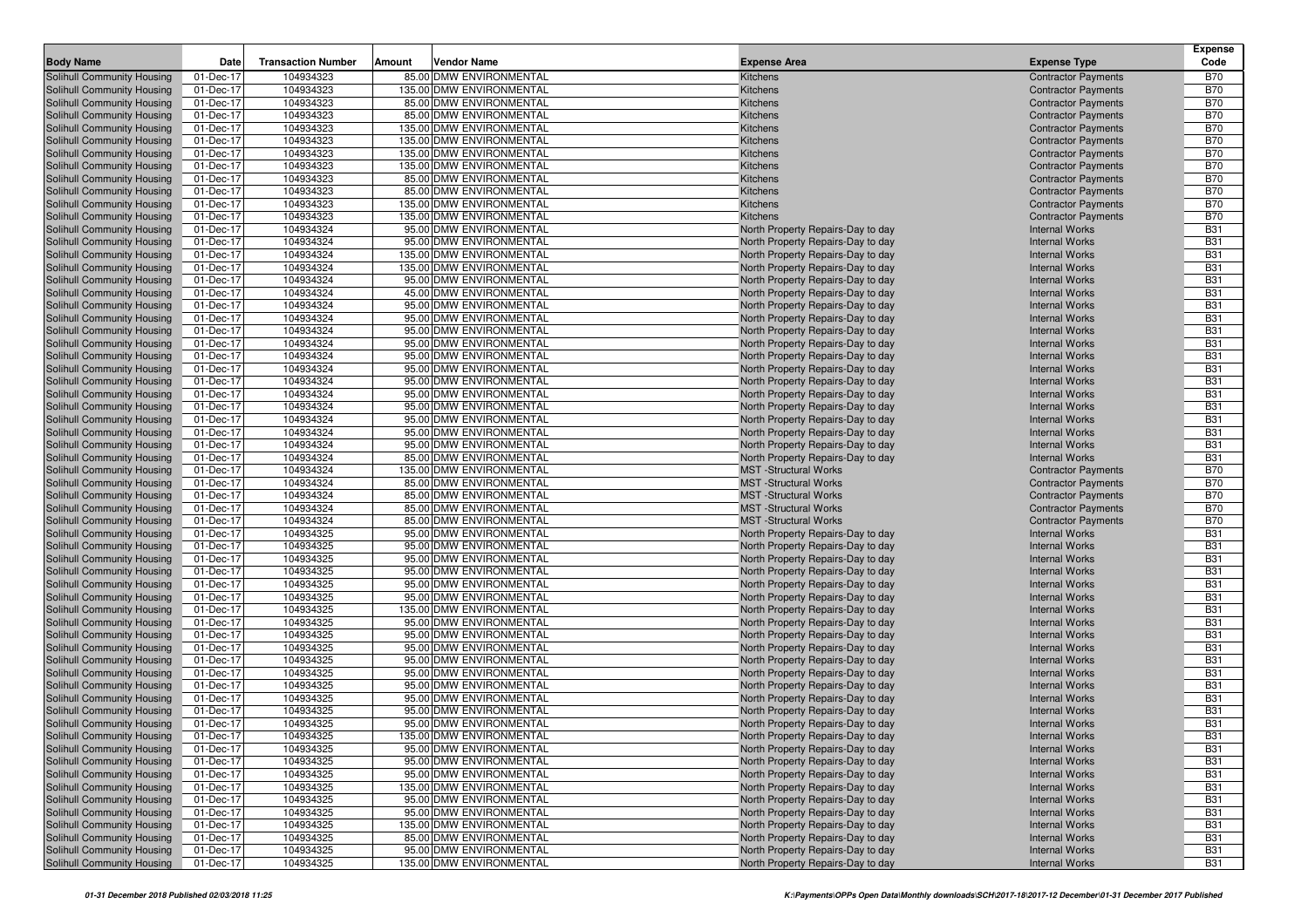|                                                          |                        |                           |        |                                                    |                                                                        |                                                          | <b>Expense</b>           |
|----------------------------------------------------------|------------------------|---------------------------|--------|----------------------------------------------------|------------------------------------------------------------------------|----------------------------------------------------------|--------------------------|
| <b>Body Name</b>                                         | Date                   | <b>Transaction Number</b> | Amount | Vendor Name                                        | <b>Expense Area</b>                                                    | <b>Expense Type</b>                                      | Code                     |
| Solihull Community Housing                               | 01-Dec-17              | 104934323                 |        | 85.00 DMW ENVIRONMENTAL                            | Kitchens                                                               | <b>Contractor Payments</b>                               | <b>B70</b>               |
| Solihull Community Housing                               | 01-Dec-17              | 104934323                 |        | 135.00 DMW ENVIRONMENTAL                           | Kitchens                                                               | <b>Contractor Payments</b>                               | <b>B70</b>               |
| Solihull Community Housing<br>Solihull Community Housing | 01-Dec-17<br>01-Dec-17 | 104934323<br>104934323    |        | 85.00 DMW ENVIRONMENTAL<br>85.00 DMW ENVIRONMENTAL | Kitchens<br>Kitchens                                                   | <b>Contractor Payments</b><br><b>Contractor Payments</b> | <b>B70</b><br><b>B70</b> |
| Solihull Community Housing                               | 01-Dec-17              | 104934323                 |        | 135.00 DMW ENVIRONMENTAL                           | Kitchens                                                               | <b>Contractor Payments</b>                               | <b>B70</b>               |
| Solihull Community Housing                               | 01-Dec-17              | 104934323                 |        | 135.00 DMW ENVIRONMENTAL                           | Kitchens                                                               | <b>Contractor Payments</b>                               | <b>B70</b>               |
| Solihull Community Housing                               | 01-Dec-17              | 104934323                 |        | 135.00 DMW ENVIRONMENTAL                           | Kitchens                                                               | <b>Contractor Payments</b>                               | <b>B70</b>               |
| Solihull Community Housing                               | 01-Dec-17              | 104934323                 |        | 135.00 DMW ENVIRONMENTAL                           | Kitchens                                                               | <b>Contractor Payments</b>                               | <b>B70</b>               |
| Solihull Community Housing                               | 01-Dec-17              | 104934323                 |        | 85.00 DMW ENVIRONMENTAL                            | Kitchens                                                               | <b>Contractor Payments</b>                               | <b>B70</b>               |
| Solihull Community Housing                               | 01-Dec-17              | 104934323                 |        | 85.00 DMW ENVIRONMENTAL                            | Kitchens                                                               | <b>Contractor Payments</b>                               | <b>B70</b>               |
| Solihull Community Housing                               | 01-Dec-17              | 104934323                 |        | 135.00 DMW ENVIRONMENTAL                           | Kitchens                                                               | <b>Contractor Payments</b>                               | <b>B70</b>               |
| Solihull Community Housing                               | 01-Dec-17              | 104934323                 |        | 135.00 DMW ENVIRONMENTAL                           | Kitchens                                                               | <b>Contractor Payments</b>                               | <b>B70</b>               |
| Solihull Community Housing                               | 01-Dec-17              | 104934324                 |        | 95.00 DMW ENVIRONMENTAL                            | North Property Repairs-Day to day                                      | <b>Internal Works</b>                                    | <b>B31</b>               |
| Solihull Community Housing                               | 01-Dec-17              | 104934324                 |        | 95.00 DMW ENVIRONMENTAL                            | North Property Repairs-Day to day                                      | <b>Internal Works</b>                                    | <b>B31</b>               |
| Solihull Community Housing                               | 01-Dec-17              | 104934324                 |        | 135.00 DMW ENVIRONMENTAL                           | North Property Repairs-Day to day                                      | <b>Internal Works</b>                                    | <b>B31</b>               |
| Solihull Community Housing                               | 01-Dec-17              | 104934324                 |        | 135.00 DMW ENVIRONMENTAL                           | North Property Repairs-Day to day                                      | <b>Internal Works</b>                                    | <b>B31</b>               |
| Solihull Community Housing                               | 01-Dec-17              | 104934324                 |        | 95.00 DMW ENVIRONMENTAL                            | North Property Repairs-Day to day                                      | <b>Internal Works</b>                                    | <b>B31</b>               |
| Solihull Community Housing                               | 01-Dec-17              | 104934324                 |        | 45.00 DMW ENVIRONMENTAL                            | North Property Repairs-Day to day                                      | <b>Internal Works</b>                                    | <b>B31</b>               |
| Solihull Community Housing                               | 01-Dec-17              | 104934324                 |        | 95.00 DMW ENVIRONMENTAL                            | North Property Repairs-Day to day                                      | <b>Internal Works</b>                                    | <b>B31</b>               |
| Solihull Community Housing                               | 01-Dec-17              | 104934324                 |        | 95.00 DMW ENVIRONMENTAL                            | North Property Repairs-Day to day                                      | <b>Internal Works</b>                                    | <b>B31</b>               |
| Solihull Community Housing                               | 01-Dec-17              | 104934324                 |        | 95.00 DMW ENVIRONMENTAL                            | North Property Repairs-Day to day                                      | <b>Internal Works</b>                                    | <b>B31</b>               |
| Solihull Community Housing                               | 01-Dec-17              | 104934324                 |        | 95.00 DMW ENVIRONMENTAL<br>95.00 DMW ENVIRONMENTAL | North Property Repairs-Day to day                                      | <b>Internal Works</b>                                    | <b>B31</b>               |
| Solihull Community Housing<br>Solihull Community Housing | 01-Dec-17              | 104934324                 |        | 95.00 DMW ENVIRONMENTAL                            | North Property Repairs-Day to day                                      | <b>Internal Works</b>                                    | <b>B31</b><br><b>B31</b> |
| Solihull Community Housing                               | 01-Dec-17<br>01-Dec-17 | 104934324<br>104934324    |        | 95.00 DMW ENVIRONMENTAL                            | North Property Repairs-Day to day<br>North Property Repairs-Day to day | <b>Internal Works</b><br><b>Internal Works</b>           | <b>B31</b>               |
| Solihull Community Housing                               | 01-Dec-17              | 104934324                 |        | 95.00 DMW ENVIRONMENTAL                            | North Property Repairs-Day to day                                      | <b>Internal Works</b>                                    | <b>B31</b>               |
| Solihull Community Housing                               | 01-Dec-17              | 104934324                 |        | 95.00 DMW ENVIRONMENTAL                            | North Property Repairs-Day to day                                      | <b>Internal Works</b>                                    | <b>B31</b>               |
| Solihull Community Housing                               | 01-Dec-17              | 104934324                 |        | 95.00 DMW ENVIRONMENTAL                            | North Property Repairs-Day to day                                      | <b>Internal Works</b>                                    | <b>B31</b>               |
| Solihull Community Housing                               | 01-Dec-17              | 104934324                 |        | 95.00 DMW ENVIRONMENTAL                            | North Property Repairs-Day to day                                      | <b>Internal Works</b>                                    | <b>B31</b>               |
| Solihull Community Housing                               | 01-Dec-17              | 104934324                 |        | 95.00 DMW ENVIRONMENTAL                            | North Property Repairs-Day to day                                      | <b>Internal Works</b>                                    | <b>B31</b>               |
| Solihull Community Housing                               | 01-Dec-17              | 104934324                 |        | 85.00 DMW ENVIRONMENTAL                            | North Property Repairs-Day to day                                      | <b>Internal Works</b>                                    | <b>B31</b>               |
| Solihull Community Housing                               | 01-Dec-17              | 104934324                 |        | 135.00 DMW ENVIRONMENTAL                           | <b>MST</b> -Structural Works                                           | <b>Contractor Payments</b>                               | <b>B70</b>               |
| Solihull Community Housing                               | 01-Dec-17              | 104934324                 |        | 85.00 DMW ENVIRONMENTAL                            | <b>MST</b> -Structural Works                                           | <b>Contractor Payments</b>                               | <b>B70</b>               |
| Solihull Community Housing                               | 01-Dec-17              | 104934324                 |        | 85.00 DMW ENVIRONMENTAL                            | <b>MST</b> -Structural Works                                           | <b>Contractor Payments</b>                               | <b>B70</b>               |
| Solihull Community Housing                               | 01-Dec-17              | 104934324                 |        | 85.00 DMW ENVIRONMENTAL                            | <b>MST</b> -Structural Works                                           | <b>Contractor Payments</b>                               | <b>B70</b>               |
| Solihull Community Housing                               | 01-Dec-17              | 104934324                 |        | 85.00 DMW ENVIRONMENTAL                            | <b>MST</b> -Structural Works                                           | <b>Contractor Payments</b>                               | <b>B70</b>               |
| Solihull Community Housing                               | 01-Dec-17              | 104934325                 |        | 95.00 DMW ENVIRONMENTAL                            | North Property Repairs-Day to day                                      | <b>Internal Works</b>                                    | <b>B31</b>               |
| Solihull Community Housing                               | 01-Dec-17              | 104934325                 |        | 95.00 DMW ENVIRONMENTAL                            | North Property Repairs-Day to day                                      | <b>Internal Works</b>                                    | <b>B31</b>               |
| Solihull Community Housing                               | 01-Dec-17              | 104934325                 |        | 95.00 DMW ENVIRONMENTAL                            | North Property Repairs-Day to day                                      | <b>Internal Works</b>                                    | <b>B31</b>               |
| Solihull Community Housing                               | 01-Dec-17              | 104934325                 |        | 95.00 DMW ENVIRONMENTAL                            | North Property Repairs-Day to day                                      | <b>Internal Works</b>                                    | <b>B31</b>               |
| Solihull Community Housing                               | 01-Dec-17              | 104934325                 |        | 95.00 DMW ENVIRONMENTAL<br>95.00 DMW ENVIRONMENTAL | North Property Repairs-Day to day                                      | <b>Internal Works</b>                                    | <b>B31</b><br><b>B31</b> |
| Solihull Community Housing<br>Solihull Community Housing | 01-Dec-17<br>01-Dec-17 | 104934325<br>104934325    |        | 135.00 DMW ENVIRONMENTAL                           | North Property Repairs-Day to day<br>North Property Repairs-Day to day | <b>Internal Works</b><br><b>Internal Works</b>           | <b>B31</b>               |
| Solihull Community Housing                               | 01-Dec-17              | 104934325                 |        | 95.00 DMW ENVIRONMENTAL                            | North Property Repairs-Day to day                                      | <b>Internal Works</b>                                    | <b>B31</b>               |
| Solihull Community Housing                               | 01-Dec-17              | 104934325                 |        | 95.00 DMW ENVIRONMENTAL                            | North Property Repairs-Day to day                                      | <b>Internal Works</b>                                    | <b>B31</b>               |
| Solihull Community Housing                               | 01-Dec-17              | 104934325                 |        | 95.00 DMW ENVIRONMENTAL                            | North Property Repairs-Day to day                                      | <b>Internal Works</b>                                    | <b>B31</b>               |
| Solihull Community Housing                               | 01-Dec-17              | 104934325                 |        | 95.00 DMW ENVIRONMENTAL                            | North Property Repairs-Day to day                                      | <b>Internal Works</b>                                    | <b>B31</b>               |
| Solihull Community Housing                               | 01-Dec-17              | 104934325                 |        | 95.00 DMW ENVIRONMENTAL                            | North Property Repairs-Day to day                                      | <b>Internal Works</b>                                    | <b>B31</b>               |
| Solihull Community Housing                               | 01-Dec-17              | 104934325                 |        | 95.00 DMW ENVIRONMENTAL                            | North Property Repairs-Day to day                                      | <b>Internal Works</b>                                    | <b>B31</b>               |
| <b>Solihull Community Housing</b>                        | 01-Dec-17              | 104934325                 |        | 95.00 DMW ENVIRONMENTAL                            | North Property Repairs-Day to day                                      | <b>Internal Works</b>                                    | <b>B31</b>               |
| Solihull Community Housing                               | 01-Dec-17              | 104934325                 |        | 95.00 DMW ENVIRONMENTAL                            | North Property Repairs-Day to day                                      | <b>Internal Works</b>                                    | <b>B31</b>               |
| Solihull Community Housing                               | 01-Dec-17              | 104934325                 |        | 95.00 DMW ENVIRONMENTAL                            | North Property Repairs-Day to day                                      | <b>Internal Works</b>                                    | <b>B31</b>               |
| Solihull Community Housing                               | 01-Dec-17              | 104934325                 |        | 135.00 DMW ENVIRONMENTAL                           | North Property Repairs-Day to day                                      | <b>Internal Works</b>                                    | <b>B31</b>               |
| Solihull Community Housing                               | 01-Dec-17              | 104934325                 |        | 95.00 DMW ENVIRONMENTAL                            | North Property Repairs-Day to day                                      | <b>Internal Works</b>                                    | <b>B31</b>               |
| Solihull Community Housing                               | 01-Dec-17              | 104934325                 |        | 95.00 DMW ENVIRONMENTAL                            | North Property Repairs-Day to day                                      | <b>Internal Works</b>                                    | <b>B31</b>               |
| Solihull Community Housing                               | 01-Dec-17              | 104934325                 |        | 95.00 DMW ENVIRONMENTAL                            | North Property Repairs-Day to day                                      | <b>Internal Works</b>                                    | <b>B31</b>               |
| Solihull Community Housing                               | 01-Dec-17              | 104934325                 |        | 135.00 DMW ENVIRONMENTAL                           | North Property Repairs-Day to day                                      | <b>Internal Works</b>                                    | <b>B31</b>               |
| Solihull Community Housing                               | 01-Dec-17              | 104934325                 |        | 95.00 DMW ENVIRONMENTAL                            | North Property Repairs-Day to day                                      | <b>Internal Works</b>                                    | <b>B31</b>               |
| Solihull Community Housing                               | 01-Dec-17              | 104934325                 |        | 95.00 DMW ENVIRONMENTAL                            | North Property Repairs-Day to day                                      | <b>Internal Works</b>                                    | <b>B31</b>               |
| Solihull Community Housing                               | 01-Dec-17              | 104934325                 |        | 135.00 DMW ENVIRONMENTAL                           | North Property Repairs-Day to day                                      | <b>Internal Works</b>                                    | <b>B31</b>               |
| Solihull Community Housing                               | 01-Dec-17              | 104934325                 |        | 85.00 DMW ENVIRONMENTAL                            | North Property Repairs-Day to day                                      | <b>Internal Works</b>                                    | <b>B31</b>               |
| Solihull Community Housing                               | 01-Dec-17              | 104934325                 |        | 95.00 DMW ENVIRONMENTAL                            | North Property Repairs-Day to day                                      | <b>Internal Works</b>                                    | <b>B31</b>               |
| Solihull Community Housing                               | 01-Dec-17              | 104934325                 |        | 135.00 DMW ENVIRONMENTAL                           | North Property Repairs-Day to day                                      | <b>Internal Works</b>                                    | <b>B31</b>               |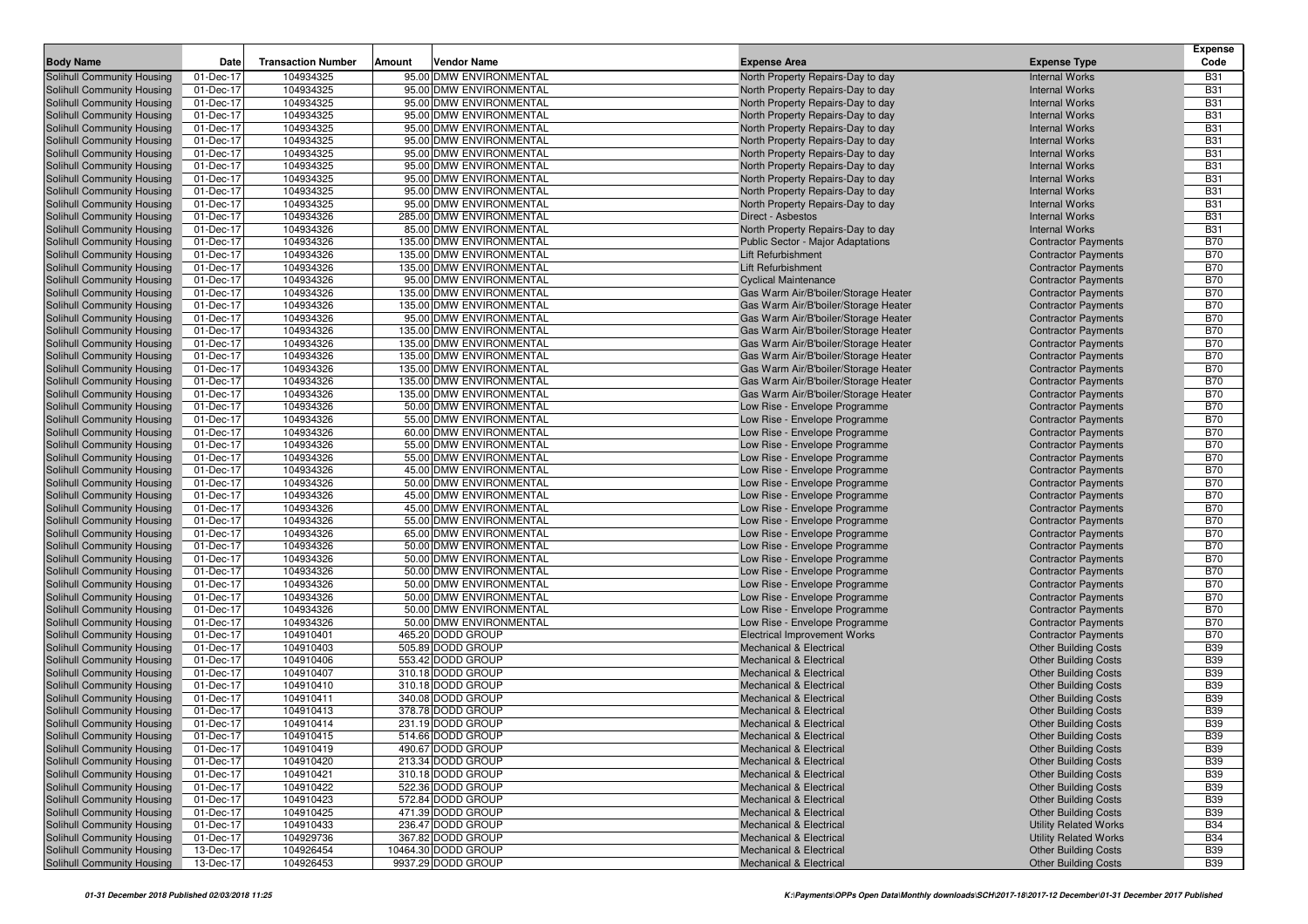|                                                          |                        |                           |        |                                                     |                                                                              |                                                            | <b>Expense</b>           |
|----------------------------------------------------------|------------------------|---------------------------|--------|-----------------------------------------------------|------------------------------------------------------------------------------|------------------------------------------------------------|--------------------------|
| <b>Body Name</b>                                         | Date                   | <b>Transaction Number</b> | Amount | Vendor Name                                         | <b>Expense Area</b>                                                          | <b>Expense Type</b>                                        | Code                     |
| Solihull Community Housing                               | 01-Dec-17<br>01-Dec-17 | 104934325                 |        | 95.00 DMW ENVIRONMENTAL<br>95.00 DMW ENVIRONMENTAL  | North Property Repairs-Day to day                                            | <b>Internal Works</b>                                      | <b>B31</b><br><b>B31</b> |
| Solihull Community Housing<br>Solihull Community Housing | 01-Dec-17              | 104934325<br>104934325    |        | 95.00 DMW ENVIRONMENTAL                             | North Property Repairs-Day to day<br>North Property Repairs-Day to day       | <b>Internal Works</b><br><b>Internal Works</b>             | <b>B31</b>               |
| Solihull Community Housing                               | 01-Dec-17              | 104934325                 |        | 95.00 DMW ENVIRONMENTAL                             | North Property Repairs-Day to day                                            | <b>Internal Works</b>                                      | <b>B31</b>               |
| Solihull Community Housing                               | 01-Dec-17              | 104934325                 |        | 95.00 DMW ENVIRONMENTAL                             | North Property Repairs-Day to day                                            | <b>Internal Works</b>                                      | <b>B31</b>               |
| Solihull Community Housing                               | 01-Dec-17              | 104934325                 |        | 95.00 DMW ENVIRONMENTAL                             | North Property Repairs-Day to day                                            | <b>Internal Works</b>                                      | <b>B31</b>               |
| Solihull Community Housing                               | 01-Dec-17              | 104934325                 |        | 95.00 DMW ENVIRONMENTAL                             | North Property Repairs-Day to day                                            | <b>Internal Works</b>                                      | <b>B31</b>               |
| Solihull Community Housing                               | 01-Dec-17              | 104934325                 |        | 95.00 DMW ENVIRONMENTAL                             | North Property Repairs-Day to day                                            | <b>Internal Works</b>                                      | <b>B31</b>               |
| Solihull Community Housing                               | 01-Dec-17              | 104934325                 |        | 95.00 DMW ENVIRONMENTAL                             | North Property Repairs-Day to day                                            | <b>Internal Works</b>                                      | <b>B31</b>               |
| Solihull Community Housing                               | 01-Dec-17              | 104934325                 |        | 95.00 DMW ENVIRONMENTAL                             | North Property Repairs-Day to day                                            | <b>Internal Works</b>                                      | <b>B31</b>               |
| Solihull Community Housing                               | 01-Dec-17              | 104934325                 |        | 95.00 DMW ENVIRONMENTAL                             | North Property Repairs-Day to day                                            | <b>Internal Works</b>                                      | <b>B31</b>               |
| Solihull Community Housing                               | 01-Dec-17              | 104934326                 |        | 285.00 DMW ENVIRONMENTAL                            | Direct - Asbestos                                                            | <b>Internal Works</b>                                      | <b>B31</b>               |
| Solihull Community Housing                               | 01-Dec-17              | 104934326                 |        | 85.00 DMW ENVIRONMENTAL                             | North Property Repairs-Day to day                                            | <b>Internal Works</b>                                      | <b>B31</b>               |
| Solihull Community Housing                               | 01-Dec-17              | 104934326                 |        | 135.00 DMW ENVIRONMENTAL                            | Public Sector - Major Adaptations                                            | <b>Contractor Payments</b>                                 | <b>B70</b>               |
| Solihull Community Housing                               | 01-Dec-17              | 104934326                 |        | 135.00 DMW ENVIRONMENTAL                            | Lift Refurbishment                                                           | <b>Contractor Payments</b>                                 | <b>B70</b>               |
| Solihull Community Housing                               | 01-Dec-17              | 104934326                 |        | 135.00 DMW ENVIRONMENTAL                            | Lift Refurbishment                                                           | <b>Contractor Payments</b>                                 | <b>B70</b>               |
| Solihull Community Housing                               | 01-Dec-17              | 104934326                 |        | 95.00 DMW ENVIRONMENTAL                             | <b>Cyclical Maintenance</b>                                                  | <b>Contractor Payments</b>                                 | <b>B70</b>               |
| Solihull Community Housing                               | 01-Dec-17              | 104934326                 |        | 135.00 DMW ENVIRONMENTAL                            | Gas Warm Air/B'boiler/Storage Heater                                         | <b>Contractor Payments</b>                                 | <b>B70</b>               |
| Solihull Community Housing                               | 01-Dec-17              | 104934326                 |        | 135.00 DMW ENVIRONMENTAL                            | Gas Warm Air/B'boiler/Storage Heater                                         | <b>Contractor Payments</b>                                 | <b>B70</b>               |
| Solihull Community Housing                               | 01-Dec-17              | 104934326<br>104934326    |        | 95.00 DMW ENVIRONMENTAL<br>135.00 DMW ENVIRONMENTAL | Gas Warm Air/B'boiler/Storage Heater                                         | <b>Contractor Payments</b>                                 | <b>B70</b><br><b>B70</b> |
| Solihull Community Housing<br>Solihull Community Housing | 01-Dec-17<br>01-Dec-17 | 104934326                 |        | 135.00 DMW ENVIRONMENTAL                            | Gas Warm Air/B'boiler/Storage Heater<br>Gas Warm Air/B'boiler/Storage Heater | <b>Contractor Payments</b><br><b>Contractor Payments</b>   | <b>B70</b>               |
| Solihull Community Housing                               | 01-Dec-17              | 104934326                 |        | 135.00 DMW ENVIRONMENTAL                            | Gas Warm Air/B'boiler/Storage Heater                                         | <b>Contractor Payments</b>                                 | <b>B70</b>               |
| Solihull Community Housing                               | 01-Dec-17              | 104934326                 |        | 135.00 DMW ENVIRONMENTAL                            | Gas Warm Air/B'boiler/Storage Heater                                         | <b>Contractor Payments</b>                                 | <b>B70</b>               |
| <b>Solihull Community Housing</b>                        | 01-Dec-17              | 104934326                 |        | 135.00 DMW ENVIRONMENTAL                            | Gas Warm Air/B'boiler/Storage Heater                                         | <b>Contractor Payments</b>                                 | <b>B70</b>               |
| Solihull Community Housing                               | 01-Dec-17              | 104934326                 |        | 135.00 DMW ENVIRONMENTAL                            | Gas Warm Air/B'boiler/Storage Heater                                         | <b>Contractor Payments</b>                                 | <b>B70</b>               |
| Solihull Community Housing                               | 01-Dec-17              | 104934326                 |        | 50.00 DMW ENVIRONMENTAL                             | Low Rise - Envelope Programme                                                | <b>Contractor Payments</b>                                 | <b>B70</b>               |
| Solihull Community Housing                               | 01-Dec-17              | 104934326                 |        | 55.00 DMW ENVIRONMENTAL                             | Low Rise - Envelope Programme                                                | <b>Contractor Payments</b>                                 | <b>B70</b>               |
| Solihull Community Housing                               | 01-Dec-17              | 104934326                 |        | 60.00 DMW ENVIRONMENTAL                             | Low Rise - Envelope Programme                                                | <b>Contractor Payments</b>                                 | <b>B70</b>               |
| Solihull Community Housing                               | 01-Dec-17              | 104934326                 |        | 55.00 DMW ENVIRONMENTAL                             | Low Rise - Envelope Programme                                                | <b>Contractor Payments</b>                                 | <b>B70</b>               |
| Solihull Community Housing                               | 01-Dec-17              | 104934326                 |        | 55.00 DMW ENVIRONMENTAL                             | Low Rise - Envelope Programme                                                | <b>Contractor Payments</b>                                 | <b>B70</b>               |
| Solihull Community Housing                               | 01-Dec-17              | 104934326                 |        | 45.00 DMW ENVIRONMENTAL                             | Low Rise - Envelope Programme                                                | <b>Contractor Payments</b>                                 | <b>B70</b>               |
| Solihull Community Housing                               | 01-Dec-17              | 104934326                 |        | 50.00 DMW ENVIRONMENTAL                             | Low Rise - Envelope Programme                                                | <b>Contractor Payments</b>                                 | <b>B70</b>               |
| Solihull Community Housing                               | 01-Dec-17              | 104934326                 |        | 45.00 DMW ENVIRONMENTAL                             | Low Rise - Envelope Programme                                                | <b>Contractor Payments</b>                                 | <b>B70</b>               |
| Solihull Community Housing                               | 01-Dec-17              | 104934326                 |        | 45.00 DMW ENVIRONMENTAL                             | Low Rise - Envelope Programme                                                | <b>Contractor Payments</b>                                 | <b>B70</b>               |
| Solihull Community Housing                               | 01-Dec-17              | 104934326                 |        | 55.00 DMW ENVIRONMENTAL                             | Low Rise - Envelope Programme                                                | <b>Contractor Payments</b>                                 | <b>B70</b><br><b>B70</b> |
| Solihull Community Housing<br>Solihull Community Housing | 01-Dec-17<br>01-Dec-17 | 104934326<br>104934326    |        | 65.00 DMW ENVIRONMENTAL<br>50.00 DMW ENVIRONMENTAL  | Low Rise - Envelope Programme<br>Low Rise - Envelope Programme               | <b>Contractor Payments</b><br><b>Contractor Payments</b>   | <b>B70</b>               |
| Solihull Community Housing                               | 01-Dec-17              | 104934326                 |        | 50.00 DMW ENVIRONMENTAL                             | Low Rise - Envelope Programme                                                | <b>Contractor Payments</b>                                 | <b>B70</b>               |
| Solihull Community Housing                               | 01-Dec-17              | 104934326                 |        | 50.00 DMW ENVIRONMENTAL                             | Low Rise - Envelope Programme                                                | <b>Contractor Payments</b>                                 | <b>B70</b>               |
| Solihull Community Housing                               | 01-Dec-17              | 104934326                 |        | 50.00 DMW ENVIRONMENTAL                             | Low Rise - Envelope Programme                                                | <b>Contractor Payments</b>                                 | <b>B70</b>               |
| Solihull Community Housing                               | 01-Dec-17              | 104934326                 |        | 50.00 DMW ENVIRONMENTAL                             | Low Rise - Envelope Programme                                                | <b>Contractor Payments</b>                                 | <b>B70</b>               |
| Solihull Community Housing                               | 01-Dec-17              | 104934326                 |        | 50.00 DMW ENVIRONMENTAL                             | Low Rise - Envelope Programme                                                | <b>Contractor Payments</b>                                 | <b>B70</b>               |
| Solihull Community Housing                               | 01-Dec-17              | 104934326                 |        | 50.00 DMW ENVIRONMENTAL                             | Low Rise - Envelope Programme                                                | <b>Contractor Payments</b>                                 | <b>B70</b>               |
| Solihull Community Housing                               | 01-Dec-17              | 104910401                 |        | 465.20 DODD GROUP                                   | <b>Electrical Improvement Works</b>                                          | <b>Contractor Payments</b>                                 | <b>B70</b>               |
| Solihull Community Housing                               | 01-Dec-17              | 104910403                 |        | 505.89 DODD GROUP                                   | <b>Mechanical &amp; Electrical</b>                                           | <b>Other Building Costs</b>                                | <b>B39</b>               |
| Solihull Community Housing                               | 01-Dec-17              | 104910406                 |        | 553.42 DODD GROUP                                   | <b>Mechanical &amp; Electrical</b>                                           | <b>Other Building Costs</b>                                | <b>B39</b>               |
| Solihull Community Housing                               | 01-Dec-17              | 104910407                 |        | 310.18 DODD GROUP                                   | <b>Mechanical &amp; Electrical</b>                                           | <b>Other Building Costs</b>                                | <b>B39</b>               |
| Solihull Community Housing                               | 01-Dec-17              | 104910410                 |        | 310.18 DODD GROUP                                   | <b>Mechanical &amp; Electrical</b>                                           | <b>Other Building Costs</b>                                | <b>B39</b>               |
| <b>Solihull Community Housing</b>                        | 01-Dec-17              | 104910411                 |        | 340.08 DODD GROUP                                   | <b>Mechanical &amp; Electrical</b>                                           | <b>Other Building Costs</b>                                | <b>B39</b>               |
| Solihull Community Housing                               | 01-Dec-17              | 104910413                 |        | 378.78 DODD GROUP                                   | <b>Mechanical &amp; Electrical</b>                                           | <b>Other Building Costs</b>                                | <b>B39</b>               |
| Solihull Community Housing                               | 01-Dec-17              | 104910414                 |        | 231.19 DODD GROUP                                   | <b>Mechanical &amp; Electrical</b>                                           | <b>Other Building Costs</b>                                | <b>B39</b>               |
| Solihull Community Housing                               | 01-Dec-17              | 104910415<br>104910419    |        | 514.66 DODD GROUP<br>490.67 DODD GROUP              | <b>Mechanical &amp; Electrical</b>                                           | <b>Other Building Costs</b><br><b>Other Building Costs</b> | <b>B39</b><br><b>B39</b> |
| Solihull Community Housing                               | 01-Dec-17<br>01-Dec-17 |                           |        | 213.34 DODD GROUP                                   | <b>Mechanical &amp; Electrical</b><br><b>Mechanical &amp; Electrical</b>     |                                                            | <b>B39</b>               |
| Solihull Community Housing<br>Solihull Community Housing | 01-Dec-17              | 104910420<br>104910421    |        | 310.18 DODD GROUP                                   | <b>Mechanical &amp; Electrical</b>                                           | <b>Other Building Costs</b><br><b>Other Building Costs</b> | <b>B39</b>               |
| Solihull Community Housing                               | 01-Dec-17              | 104910422                 |        | 522.36 DODD GROUP                                   | Mechanical & Electrical                                                      | <b>Other Building Costs</b>                                | <b>B39</b>               |
| Solihull Community Housing                               | 01-Dec-17              | 104910423                 |        | 572.84 DODD GROUP                                   | Mechanical & Electrical                                                      | <b>Other Building Costs</b>                                | <b>B39</b>               |
| Solihull Community Housing                               | 01-Dec-17              | 104910425                 |        | 471.39 DODD GROUP                                   | <b>Mechanical &amp; Electrical</b>                                           | <b>Other Building Costs</b>                                | <b>B39</b>               |
| Solihull Community Housing                               | 01-Dec-17              | 104910433                 |        | 236.47 DODD GROUP                                   | Mechanical & Electrical                                                      | <b>Utility Related Works</b>                               | <b>B34</b>               |
| Solihull Community Housing                               | 01-Dec-17              | 104929736                 |        | 367.82 DODD GROUP                                   | <b>Mechanical &amp; Electrical</b>                                           | <b>Utility Related Works</b>                               | <b>B34</b>               |
| Solihull Community Housing                               | 13-Dec-17              | 104926454                 |        | 10464.30 DODD GROUP                                 | <b>Mechanical &amp; Electrical</b>                                           | <b>Other Building Costs</b>                                | <b>B39</b>               |
| Solihull Community Housing                               | 13-Dec-17              | 104926453                 |        | 9937.29 DODD GROUP                                  | <b>Mechanical &amp; Electrical</b>                                           | <b>Other Building Costs</b>                                | <b>B39</b>               |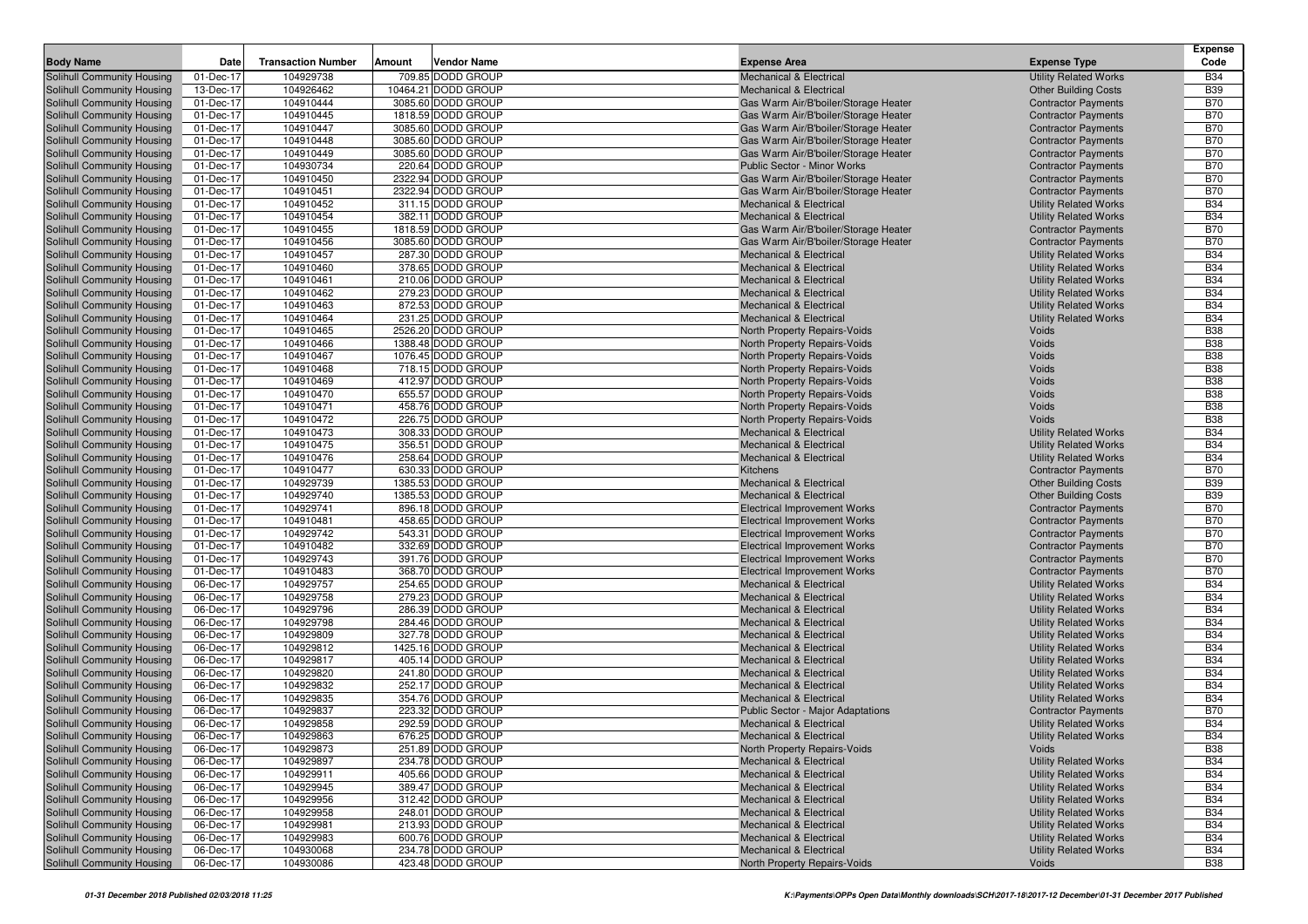|                                   |           |                           |                       |                                          |                              | <b>Expense</b> |
|-----------------------------------|-----------|---------------------------|-----------------------|------------------------------------------|------------------------------|----------------|
| <b>Body Name</b>                  | Date      | <b>Transaction Number</b> | Vendor Name<br>Amount | <b>Expense Area</b>                      | <b>Expense Type</b>          | Code           |
| Solihull Community Housing        | 01-Dec-17 | 104929738                 | 709.85 DODD GROUP     | <b>Mechanical &amp; Electrical</b>       | <b>Utility Related Works</b> | <b>B34</b>     |
| Solihull Community Housing        | 13-Dec-17 | 104926462                 | 10464.21 DODD GROUP   | <b>Mechanical &amp; Electrical</b>       | <b>Other Building Costs</b>  | <b>B39</b>     |
| Solihull Community Housing        | 01-Dec-17 | 104910444                 | 3085.60 DODD GROUP    | Gas Warm Air/B'boiler/Storage Heater     | <b>Contractor Payments</b>   | <b>B70</b>     |
| Solihull Community Housing        | 01-Dec-17 | 104910445                 | 1818.59 DODD GROUP    | Gas Warm Air/B'boiler/Storage Heater     | <b>Contractor Payments</b>   | <b>B70</b>     |
| Solihull Community Housing        | 01-Dec-17 | 104910447                 | 3085.60 DODD GROUP    | Gas Warm Air/B'boiler/Storage Heater     | <b>Contractor Payments</b>   | <b>B70</b>     |
| Solihull Community Housing        | 01-Dec-17 | 104910448                 | 3085.60 DODD GROUP    | Gas Warm Air/B'boiler/Storage Heater     | <b>Contractor Payments</b>   | <b>B70</b>     |
| Solihull Community Housing        | 01-Dec-17 | 104910449                 | 3085.60 DODD GROUP    | Gas Warm Air/B'boiler/Storage Heater     | <b>Contractor Payments</b>   | <b>B70</b>     |
| Solihull Community Housing        | 01-Dec-17 | 104930734                 | 220.64 DODD GROUP     | Public Sector - Minor Works              | <b>Contractor Payments</b>   | <b>B70</b>     |
| Solihull Community Housing        | 01-Dec-17 | 104910450                 | 2322.94 DODD GROUP    | Gas Warm Air/B'boiler/Storage Heater     | <b>Contractor Payments</b>   | <b>B70</b>     |
| Solihull Community Housing        | 01-Dec-17 | 104910451                 | 2322.94 DODD GROUP    | Gas Warm Air/B'boiler/Storage Heater     | <b>Contractor Payments</b>   | <b>B70</b>     |
| Solihull Community Housing        | 01-Dec-17 | 104910452                 | 311.15 DODD GROUP     | Mechanical & Electrical                  | <b>Utility Related Works</b> | <b>B34</b>     |
| Solihull Community Housing        | 01-Dec-17 | 104910454                 | 382.11 DODD GROUP     | <b>Mechanical &amp; Electrical</b>       | <b>Utility Related Works</b> | <b>B34</b>     |
| Solihull Community Housing        | 01-Dec-17 | 104910455                 | 1818.59 DODD GROUP    | Gas Warm Air/B'boiler/Storage Heater     | <b>Contractor Payments</b>   | <b>B70</b>     |
| Solihull Community Housing        | 01-Dec-17 | 104910456                 | 3085.60 DODD GROUP    | Gas Warm Air/B'boiler/Storage Heater     | <b>Contractor Payments</b>   | <b>B70</b>     |
| Solihull Community Housing        | 01-Dec-17 | 104910457                 | 287.30 DODD GROUP     | <b>Mechanical &amp; Electrical</b>       | <b>Utility Related Works</b> | <b>B34</b>     |
| Solihull Community Housing        | 01-Dec-17 | 104910460                 | 378.65 DODD GROUP     | <b>Mechanical &amp; Electrical</b>       | <b>Utility Related Works</b> | <b>B34</b>     |
| Solihull Community Housing        | 01-Dec-17 | 104910461                 | 210.06 DODD GROUP     | <b>Mechanical &amp; Electrical</b>       | <b>Utility Related Works</b> | <b>B34</b>     |
| Solihull Community Housing        | 01-Dec-17 | 104910462                 | 279.23 DODD GROUP     | Mechanical & Electrical                  | <b>Utility Related Works</b> | <b>B34</b>     |
| Solihull Community Housing        | 01-Dec-17 | 104910463                 | 872.53 DODD GROUP     | <b>Mechanical &amp; Electrical</b>       | <b>Utility Related Works</b> | <b>B34</b>     |
| Solihull Community Housing        | 01-Dec-17 | 104910464                 | 231.25 DODD GROUP     | <b>Mechanical &amp; Electrical</b>       | <b>Utility Related Works</b> | <b>B34</b>     |
| Solihull Community Housing        | 01-Dec-17 | 104910465                 | 2526.20 DODD GROUP    | North Property Repairs-Voids             | Voids                        | <b>B38</b>     |
| Solihull Community Housing        | 01-Dec-17 | 104910466                 | 1388.48 DODD GROUP    | North Property Repairs-Voids             | Voids                        | <b>B38</b>     |
| Solihull Community Housing        | 01-Dec-17 | 104910467                 | 1076.45 DODD GROUP    | North Property Repairs-Voids             | Voids                        | <b>B38</b>     |
| Solihull Community Housing        | 01-Dec-17 | 104910468                 | 718.15 DODD GROUP     | North Property Repairs-Voids             | Voids                        | <b>B38</b>     |
| Solihull Community Housing        | 01-Dec-17 | 104910469                 | 412.97 DODD GROUP     | North Property Repairs-Voids             | Voids                        | <b>B38</b>     |
| Solihull Community Housing        | 01-Dec-17 | 104910470                 | 655.57 DODD GROUP     | North Property Repairs-Voids             | Voids                        | <b>B38</b>     |
| Solihull Community Housing        | 01-Dec-17 | 104910471                 | 458.76 DODD GROUP     | North Property Repairs-Voids             | Voids                        | <b>B38</b>     |
| Solihull Community Housing        | 01-Dec-17 | 104910472                 | 226.75 DODD GROUP     | North Property Repairs-Voids             | Voids                        | <b>B38</b>     |
| Solihull Community Housing        | 01-Dec-17 | 104910473                 | 308.33 DODD GROUP     | <b>Mechanical &amp; Electrical</b>       | <b>Utility Related Works</b> | <b>B34</b>     |
| Solihull Community Housing        | 01-Dec-17 | 104910475                 | 356.51 DODD GROUP     | <b>Mechanical &amp; Electrical</b>       | <b>Utility Related Works</b> | <b>B34</b>     |
| Solihull Community Housing        | 01-Dec-17 | 104910476                 | 258.64 DODD GROUP     | <b>Mechanical &amp; Electrical</b>       | <b>Utility Related Works</b> | <b>B34</b>     |
| Solihull Community Housing        | 01-Dec-17 | 104910477                 | 630.33 DODD GROUP     | Kitchens                                 | <b>Contractor Payments</b>   | <b>B70</b>     |
| Solihull Community Housing        | 01-Dec-17 | 104929739                 | 1385.53 DODD GROUP    | <b>Mechanical &amp; Electrical</b>       | <b>Other Building Costs</b>  | <b>B39</b>     |
| Solihull Community Housing        | 01-Dec-17 | 104929740                 | 1385.53 DODD GROUP    | Mechanical & Electrical                  | <b>Other Building Costs</b>  | <b>B39</b>     |
| Solihull Community Housing        | 01-Dec-17 | 104929741                 | 896.18 DODD GROUP     | <b>Electrical Improvement Works</b>      | <b>Contractor Payments</b>   | <b>B70</b>     |
| Solihull Community Housing        | 01-Dec-17 | 104910481                 | 458.65 DODD GROUP     | <b>Electrical Improvement Works</b>      | <b>Contractor Payments</b>   | <b>B70</b>     |
| Solihull Community Housing        | 01-Dec-17 | 104929742                 | 543.31 DODD GROUP     | <b>Electrical Improvement Works</b>      | <b>Contractor Payments</b>   | <b>B70</b>     |
| Solihull Community Housing        | 01-Dec-17 | 104910482                 | 332.69 DODD GROUP     | <b>Electrical Improvement Works</b>      | <b>Contractor Payments</b>   | <b>B70</b>     |
| Solihull Community Housing        | 01-Dec-17 | 104929743                 | 391.76 DODD GROUP     | <b>Electrical Improvement Works</b>      | <b>Contractor Payments</b>   | <b>B70</b>     |
| Solihull Community Housing        | 01-Dec-17 | 104910483                 | 368.70 DODD GROUP     | <b>Electrical Improvement Works</b>      | <b>Contractor Payments</b>   | <b>B70</b>     |
| Solihull Community Housing        | 06-Dec-17 | 104929757                 | 254.65 DODD GROUP     | <b>Mechanical &amp; Electrical</b>       | <b>Utility Related Works</b> | <b>B34</b>     |
| Solihull Community Housing        | 06-Dec-17 | 104929758                 | 279.23 DODD GROUP     | <b>Mechanical &amp; Electrical</b>       | <b>Utility Related Works</b> | <b>B34</b>     |
| Solihull Community Housing        | 06-Dec-17 | 104929796                 | 286.39 DODD GROUP     | <b>Mechanical &amp; Electrical</b>       | <b>Utility Related Works</b> | <b>B34</b>     |
| Solihull Community Housing        | 06-Dec-17 | 104929798                 | 284.46 DODD GROUP     | <b>Mechanical &amp; Electrical</b>       | <b>Utility Related Works</b> | <b>B34</b>     |
| Solihull Community Housing        | 06-Dec-17 | 104929809                 | 327.78 DODD GROUP     | <b>Mechanical &amp; Electrical</b>       | <b>Utility Related Works</b> | <b>B34</b>     |
| Solihull Community Housing        | 06-Dec-17 | 104929812                 | 1425.16 DODD GROUP    | <b>Mechanical &amp; Electrical</b>       | <b>Utility Related Works</b> | <b>B34</b>     |
| Solihull Community Housing        | 06-Dec-17 | 104929817                 | 405.14 DODD GROUP     | <b>Mechanical &amp; Electrical</b>       | <b>Utility Related Works</b> | <b>B34</b>     |
| Solihull Community Housing        | 06-Dec-17 | 104929820                 | 241.80 DODD GROUP     | <b>Mechanical &amp; Electrical</b>       | <b>Utility Related Works</b> | <b>B34</b>     |
| Solihull Community Housing        | 06-Dec-17 | 104929832                 | 252.17 DODD GROUP     | <b>Mechanical &amp; Electrical</b>       | <b>Utility Related Works</b> | <b>B34</b>     |
| <b>Solihull Community Housing</b> | 06-Dec-17 | 104929835                 | 354.76 DODD GROUP     | <b>Mechanical &amp; Electrical</b>       | <b>Utility Related Works</b> | <b>B34</b>     |
| Solihull Community Housing        | 06-Dec-17 | 104929837                 | 223.32 DODD GROUP     | <b>Public Sector - Major Adaptations</b> | <b>Contractor Payments</b>   | <b>B70</b>     |
| Solihull Community Housing        | 06-Dec-17 | 104929858                 | 292.59 DODD GROUP     | <b>Mechanical &amp; Electrical</b>       | <b>Utility Related Works</b> | <b>B34</b>     |
| Solihull Community Housing        | 06-Dec-17 | 104929863                 | 676.25 DODD GROUP     | <b>Mechanical &amp; Electrical</b>       | <b>Utility Related Works</b> | <b>B34</b>     |
| Solihull Community Housing        | 06-Dec-17 | 104929873                 | 251.89 DODD GROUP     | North Property Repairs-Voids             | Voids                        | <b>B38</b>     |
| Solihull Community Housing        | 06-Dec-17 | 104929897                 | 234.78 DODD GROUP     | <b>Mechanical &amp; Electrical</b>       | <b>Utility Related Works</b> | <b>B34</b>     |
| Solihull Community Housing        | 06-Dec-17 | 104929911                 | 405.66 DODD GROUP     | <b>Mechanical &amp; Electrical</b>       | <b>Utility Related Works</b> | <b>B34</b>     |
| Solihull Community Housing        | 06-Dec-17 | 104929945                 | 389.47 DODD GROUP     | <b>Mechanical &amp; Electrical</b>       | <b>Utility Related Works</b> | <b>B34</b>     |
| Solihull Community Housing        | 06-Dec-17 | 104929956                 | 312.42 DODD GROUP     | <b>Mechanical &amp; Electrical</b>       | <b>Utility Related Works</b> | <b>B34</b>     |
| Solihull Community Housing        | 06-Dec-17 | 104929958                 | 248.01 DODD GROUP     | Mechanical & Electrical                  | <b>Utility Related Works</b> | <b>B34</b>     |
| Solihull Community Housing        | 06-Dec-17 | 104929981                 | 213.93 DODD GROUP     | <b>Mechanical &amp; Electrical</b>       | <b>Utility Related Works</b> | <b>B34</b>     |
| Solihull Community Housing        | 06-Dec-17 | 104929983                 | 600.76 DODD GROUP     | Mechanical & Electrical                  | <b>Utility Related Works</b> | <b>B34</b>     |
| Solihull Community Housing        | 06-Dec-17 | 104930068                 | 234.78 DODD GROUP     | Mechanical & Electrical                  | <b>Utility Related Works</b> | <b>B34</b>     |
| Solihull Community Housing        | 06-Dec-17 | 104930086                 | 423.48 DODD GROUP     | North Property Repairs-Voids             | Voids                        | <b>B38</b>     |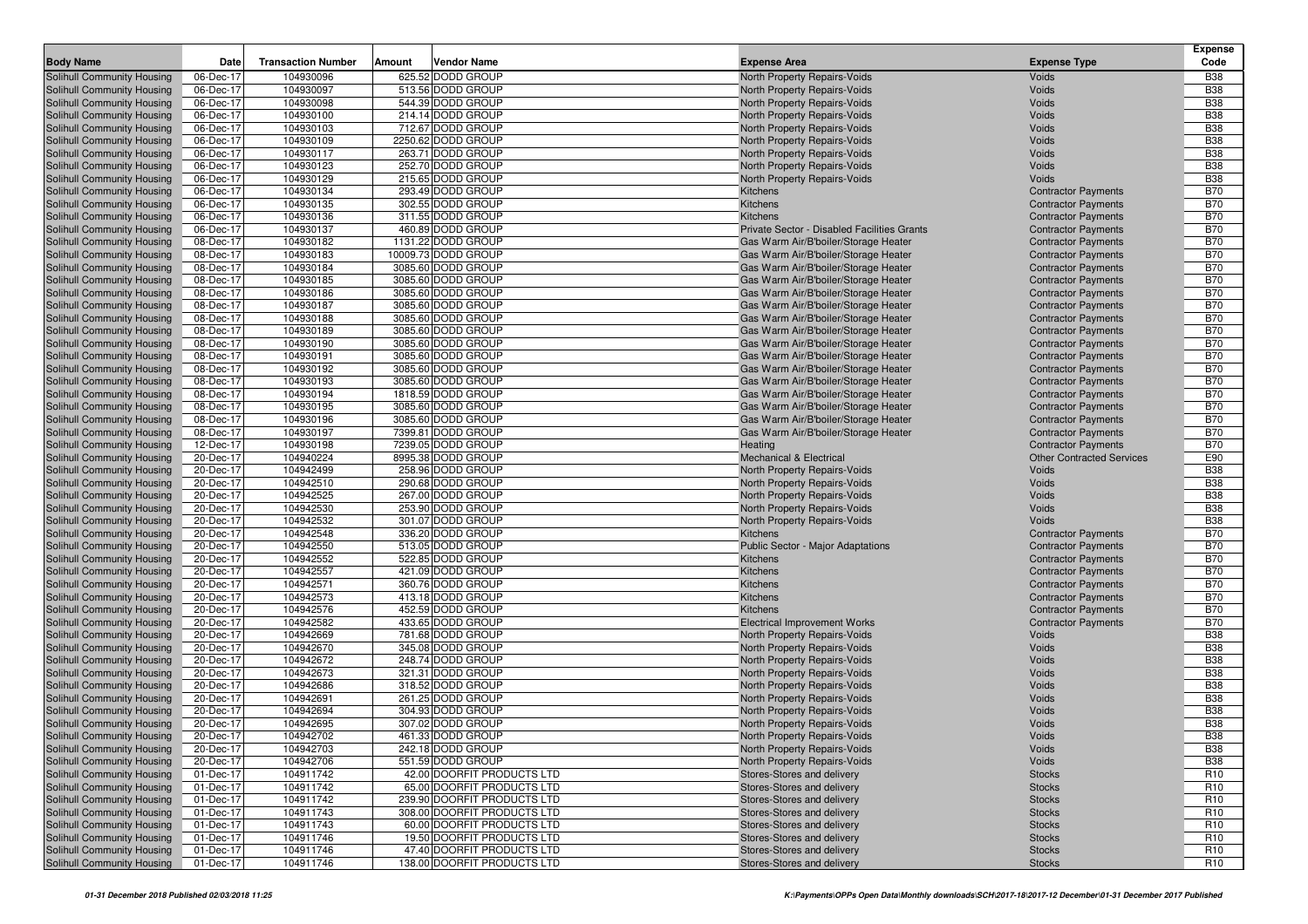| <b>Body Name</b>                                         | Date                    | <b>Transaction Number</b> | Amount | <b>Vendor Name</b>                     | <b>Expense Area</b>                           | <b>Expense Type</b>                                      | <b>Expense</b><br>Code   |
|----------------------------------------------------------|-------------------------|---------------------------|--------|----------------------------------------|-----------------------------------------------|----------------------------------------------------------|--------------------------|
| Solihull Community Housing                               | 06-Dec-17               | 104930096                 |        | 625.52 DODD GROUP                      | North Property Repairs-Voids                  | Voids                                                    | <b>B38</b>               |
| Solihull Community Housing                               | 06-Dec-17               | 104930097                 |        | 513.56 DODD GROUP                      | North Property Repairs-Voids                  | Voids                                                    | <b>B38</b>               |
| Solihull Community Housing                               | 06-Dec-17               | 104930098                 |        | 544.39 DODD GROUP                      | North Property Repairs-Voids                  | Voids                                                    | <b>B38</b>               |
| Solihull Community Housing                               | 06-Dec-17               | 104930100                 |        | 214.14 DODD GROUP                      | North Property Repairs-Voids                  | Voids                                                    | <b>B38</b>               |
| Solihull Community Housing                               | 06-Dec-17               | 104930103                 |        | 712.67 DODD GROUP                      | North Property Repairs-Voids                  | Voids                                                    | <b>B38</b>               |
| Solihull Community Housing                               | 06-Dec-17               | 104930109                 |        | 2250.62 DODD GROUP                     | North Property Repairs-Voids                  | Voids                                                    | <b>B38</b>               |
| Solihull Community Housing                               | 06-Dec-17               | 104930117                 |        | 263.71 DODD GROUP                      | North Property Repairs-Voids                  | Voids                                                    | <b>B38</b>               |
| Solihull Community Housing                               | 06-Dec-17               | 104930123                 |        | 252.70 DODD GROUP                      | North Property Repairs-Voids                  | Voids                                                    | <b>B38</b>               |
| Solihull Community Housing                               | 06-Dec-17               | 104930129                 |        | 215.65 DODD GROUP                      | North Property Repairs-Voids                  | Voids                                                    | <b>B38</b>               |
| Solihull Community Housing                               | 06-Dec-17               | 104930134                 |        | 293.49 DODD GROUP                      | Kitchens                                      | <b>Contractor Payments</b>                               | <b>B70</b>               |
| Solihull Community Housing                               | $\overline{0}$ 6-Dec-17 | 104930135                 |        | 302.55 DODD GROUP                      | Kitchens                                      | <b>Contractor Payments</b>                               | <b>B70</b>               |
| Solihull Community Housing                               | 06-Dec-17               | 104930136                 |        | 311.55 DODD GROUP                      | <b>Kitchens</b>                               | <b>Contractor Payments</b>                               | <b>B70</b>               |
| Solihull Community Housing                               | 06-Dec-17               | 104930137                 |        | 460.89 DODD GROUP                      | Private Sector - Disabled Facilities Grants   | <b>Contractor Payments</b>                               | <b>B70</b>               |
| Solihull Community Housing                               | 08-Dec-17               | 104930182                 |        | 1131.22 DODD GROUP                     | Gas Warm Air/B'boiler/Storage Heater          | <b>Contractor Payments</b>                               | <b>B70</b>               |
| Solihull Community Housing                               | 08-Dec-17               | 104930183                 |        | 10009.73 DODD GROUP                    | Gas Warm Air/B'boiler/Storage Heater          | <b>Contractor Payments</b>                               | <b>B70</b>               |
| Solihull Community Housing                               | 08-Dec-17               | 104930184                 |        | 3085.60 DODD GROUP                     | Gas Warm Air/B'boiler/Storage Heater          | <b>Contractor Payments</b>                               | <b>B70</b>               |
| Solihull Community Housing                               | 08-Dec-17               | 104930185                 |        | 3085.60 DODD GROUP                     | Gas Warm Air/B'boiler/Storage Heater          | <b>Contractor Payments</b>                               | <b>B70</b>               |
| Solihull Community Housing                               | 08-Dec-17               | 104930186                 |        | 3085.60 DODD GROUP                     | Gas Warm Air/B'boiler/Storage Heater          | <b>Contractor Payments</b>                               | <b>B70</b>               |
| Solihull Community Housing                               | 08-Dec-17               | 104930187                 |        | 3085.60 DODD GROUP                     | Gas Warm Air/B'boiler/Storage Heater          | <b>Contractor Payments</b>                               | <b>B70</b>               |
| Solihull Community Housing                               | 08-Dec-17               | 104930188                 |        | 3085.60 DODD GROUP                     | Gas Warm Air/B'boiler/Storage Heater          | <b>Contractor Payments</b>                               | <b>B70</b>               |
| Solihull Community Housing                               | 08-Dec-17               | 104930189                 |        | 3085.60 DODD GROUP                     | Gas Warm Air/B'boiler/Storage Heater          | <b>Contractor Payments</b>                               | <b>B70</b>               |
| Solihull Community Housing                               | 08-Dec-17               | 104930190                 |        | 3085.60 DODD GROUP                     | Gas Warm Air/B'boiler/Storage Heater          | <b>Contractor Payments</b>                               | <b>B70</b>               |
| Solihull Community Housing                               | 08-Dec-17               | 104930191                 |        | 3085.60 DODD GROUP                     | Gas Warm Air/B'boiler/Storage Heater          | <b>Contractor Payments</b>                               | <b>B70</b>               |
| Solihull Community Housing                               | 08-Dec-17               | 104930192                 |        | 3085.60 DODD GROUP                     | Gas Warm Air/B'boiler/Storage Heater          | <b>Contractor Payments</b>                               | <b>B70</b>               |
| Solihull Community Housing                               | 08-Dec-17               | 104930193                 |        | 3085.60 DODD GROUP                     | Gas Warm Air/B'boiler/Storage Heater          | <b>Contractor Payments</b>                               | <b>B70</b>               |
| Solihull Community Housing                               | 08-Dec-17               | 104930194                 |        | 1818.59 DODD GROUP                     | Gas Warm Air/B'boiler/Storage Heater          | <b>Contractor Payments</b>                               | <b>B70</b>               |
| Solihull Community Housing                               | 08-Dec-17               | 104930195                 |        | 3085.60 DODD GROUP                     | Gas Warm Air/B'boiler/Storage Heater          | <b>Contractor Payments</b>                               | <b>B70</b>               |
| Solihull Community Housing                               | 08-Dec-17               | 104930196                 |        | 3085.60 DODD GROUP                     | Gas Warm Air/B'boiler/Storage Heater          | <b>Contractor Payments</b>                               | <b>B70</b>               |
| Solihull Community Housing                               | 08-Dec-17               | 104930197                 |        | 7399.81 DODD GROUP                     | Gas Warm Air/B'boiler/Storage Heater          | <b>Contractor Payments</b>                               | <b>B70</b>               |
| Solihull Community Housing                               | 12-Dec-17               | 104930198                 |        | 7239.05 DODD GROUP                     | Heating                                       | <b>Contractor Payments</b>                               | <b>B70</b>               |
| Solihull Community Housing                               | 20-Dec-17               | 104940224                 |        | 8995.38 DODD GROUP                     | <b>Mechanical &amp; Electrical</b>            | <b>Other Contracted Services</b>                         | E90                      |
| Solihull Community Housing                               | 20-Dec-17               | 104942499                 |        | 258.96 DODD GROUP                      | North Property Repairs-Voids                  | <b>Voids</b>                                             | <b>B38</b>               |
| Solihull Community Housing                               | 20-Dec-17               | 104942510                 |        | 290.68 DODD GROUP                      | North Property Repairs-Voids                  | Voids                                                    | <b>B38</b>               |
| Solihull Community Housing                               | 20-Dec-17               | 104942525                 |        | 267.00 DODD GROUP                      | North Property Repairs-Voids                  | Voids                                                    | <b>B38</b>               |
| Solihull Community Housing                               | 20-Dec-17               | 104942530                 |        | 253.90 DODD GROUP                      | North Property Repairs-Voids                  | Voids                                                    | <b>B38</b>               |
| Solihull Community Housing                               | 20-Dec-17               | 104942532                 |        | 301.07 DODD GROUP                      | North Property Repairs-Voids                  | Voids                                                    | <b>B38</b>               |
| Solihull Community Housing                               | 20-Dec-17               | 104942548                 |        | 336.20 DODD GROUP                      | Kitchens                                      | <b>Contractor Payments</b>                               | <b>B70</b>               |
| Solihull Community Housing                               | 20-Dec-17               | 104942550<br>104942552    |        | 513.05 DODD GROUP                      | Public Sector - Major Adaptations<br>Kitchens | <b>Contractor Payments</b>                               | <b>B70</b><br><b>B70</b> |
| Solihull Community Housing                               | 20-Dec-17               | 104942557                 |        | 522.85 DODD GROUP<br>421.09 DODD GROUP |                                               | <b>Contractor Payments</b>                               | <b>B70</b>               |
| Solihull Community Housing<br>Solihull Community Housing | 20-Dec-17<br>20-Dec-17  | 104942571                 |        | 360.76 DODD GROUP                      | Kitchens<br>Kitchens                          | <b>Contractor Payments</b><br><b>Contractor Payments</b> | <b>B70</b>               |
| Solihull Community Housing                               | 20-Dec-17               | 104942573                 |        | 413.18 DODD GROUP                      | Kitchens                                      | <b>Contractor Payments</b>                               | <b>B70</b>               |
| Solihull Community Housing                               | 20-Dec-17               | 104942576                 |        | 452.59 DODD GROUP                      | Kitchens                                      | <b>Contractor Payments</b>                               | <b>B70</b>               |
| Solihull Community Housing                               | 20-Dec-17               | 104942582                 |        | 433.65 DODD GROUP                      | <b>Electrical Improvement Works</b>           | <b>Contractor Payments</b>                               | <b>B70</b>               |
| Solihull Community Housing                               | 20-Dec-17               | 104942669                 |        | 781.68 DODD GROUP                      | North Property Repairs-Voids                  | Voids                                                    | <b>B38</b>               |
| Solihull Community Housing                               | 20-Dec-17               | 104942670                 |        | 345.08 DODD GROUP                      | North Property Repairs-Voids                  | Voids                                                    | <b>B38</b>               |
| Solihull Community Housing                               | 20-Dec-17               | 104942672                 |        | 248.74 DODD GROUP                      | North Property Repairs-Voids                  | Voids                                                    | <b>B38</b>               |
| Solihull Community Housing                               | 20-Dec-17               | 104942673                 |        | 321.31 DODD GROUP                      | North Property Repairs-Voids                  | Voids                                                    | <b>B38</b>               |
| Solihull Community Housing                               | 20-Dec-17               | 104942686                 |        | 318.52 DODD GROUP                      | North Property Repairs-Voids                  | Voids                                                    | <b>B38</b>               |
| Solihull Community Housing                               | 20-Dec-17               | 104942691                 |        | 261.25 DODD GROUP                      | North Property Repairs-Voids                  | Voids                                                    | <b>B38</b>               |
| Solihull Community Housing                               | 20-Dec-17               | 104942694                 |        | 304.93 DODD GROUP                      | North Property Repairs-Voids                  | Voids                                                    | <b>B38</b>               |
| Solihull Community Housing                               | 20-Dec-17               | 104942695                 |        | 307.02 DODD GROUP                      | North Property Repairs-Voids                  | Voids                                                    | <b>B38</b>               |
| Solihull Community Housing                               | 20-Dec-17               | 104942702                 |        | 461.33 DODD GROUP                      | North Property Repairs-Voids                  | Voids                                                    | <b>B38</b>               |
| Solihull Community Housing                               | 20-Dec-17               | 104942703                 |        | 242.18 DODD GROUP                      | North Property Repairs-Voids                  | Voids                                                    | <b>B38</b>               |
| Solihull Community Housing                               | 20-Dec-17               | 104942706                 |        | 551.59 DODD GROUP                      | North Property Repairs-Voids                  | Voids                                                    | <b>B38</b>               |
| Solihull Community Housing                               | 01-Dec-17               | 104911742                 |        | 42.00 DOORFIT PRODUCTS LTD             | Stores-Stores and delivery                    | <b>Stocks</b>                                            | R <sub>10</sub>          |
| Solihull Community Housing                               | 01-Dec-17               | 104911742                 |        | 65.00 DOORFIT PRODUCTS LTD             | Stores-Stores and delivery                    | <b>Stocks</b>                                            | R <sub>10</sub>          |
| Solihull Community Housing                               | 01-Dec-17               | 104911742                 |        | 239.90 DOORFIT PRODUCTS LTD            | Stores-Stores and delivery                    | <b>Stocks</b>                                            | R <sub>10</sub>          |
| Solihull Community Housing                               | 01-Dec-17               | 104911743                 |        | 308.00 DOORFIT PRODUCTS LTD            | Stores-Stores and delivery                    | <b>Stocks</b>                                            | R <sub>10</sub>          |
| Solihull Community Housing                               | 01-Dec-17               | 104911743                 |        | 60.00 DOORFIT PRODUCTS LTD             | Stores-Stores and delivery                    | <b>Stocks</b>                                            | R <sub>10</sub>          |
| Solihull Community Housing                               | 01-Dec-17               | 104911746                 |        | 19.50 DOORFIT PRODUCTS LTD             | Stores-Stores and delivery                    | <b>Stocks</b>                                            | R <sub>10</sub>          |
| Solihull Community Housing                               | 01-Dec-17               | 104911746                 |        | 47.40 DOORFIT PRODUCTS LTD             | Stores-Stores and delivery                    | <b>Stocks</b>                                            | R <sub>10</sub>          |
| Solihull Community Housing                               | 01-Dec-17               | 104911746                 |        | 138.00 DOORFIT PRODUCTS LTD            | Stores-Stores and delivery                    | <b>Stocks</b>                                            | R <sub>10</sub>          |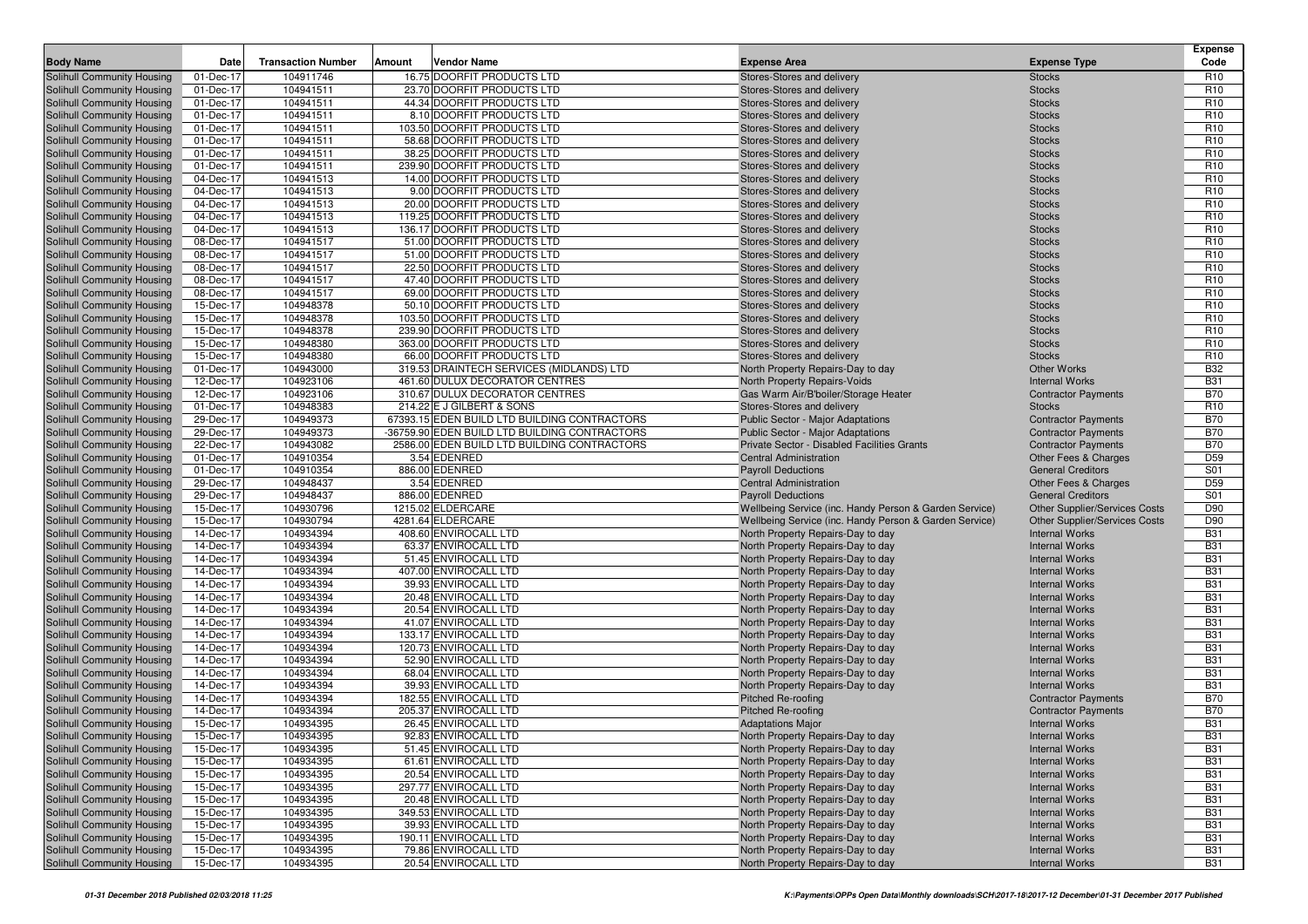| <b>Body Name</b>                                         | Date                   | <b>Transaction Number</b> | Amount | <b>Vendor Name</b>                                          | <b>Expense Area</b>                                                          | <b>Expense Type</b>                              | <b>Expense</b><br>Code             |
|----------------------------------------------------------|------------------------|---------------------------|--------|-------------------------------------------------------------|------------------------------------------------------------------------------|--------------------------------------------------|------------------------------------|
| Solihull Community Housing                               | 01-Dec-17              | 104911746                 |        | 16.75 DOORFIT PRODUCTS LTD                                  | Stores-Stores and delivery                                                   | <b>Stocks</b>                                    | R <sub>10</sub>                    |
| Solihull Community Housing                               | 01-Dec-17              | 104941511                 |        | 23.70 DOORFIT PRODUCTS LTD                                  | Stores-Stores and delivery                                                   | <b>Stocks</b>                                    | R <sub>10</sub>                    |
| Solihull Community Housing                               | 01-Dec-17              | 104941511                 |        | 44.34 DOORFIT PRODUCTS LTD                                  | Stores-Stores and delivery                                                   | <b>Stocks</b>                                    | R <sub>10</sub>                    |
| Solihull Community Housing                               | 01-Dec-17              | 104941511                 |        | 8.10 DOORFIT PRODUCTS LTD                                   | Stores-Stores and delivery                                                   | <b>Stocks</b>                                    | R <sub>10</sub>                    |
| Solihull Community Housing                               | 01-Dec-17              | 104941511                 |        | 103.50 DOORFIT PRODUCTS LTD                                 | Stores-Stores and delivery                                                   | <b>Stocks</b>                                    | R <sub>10</sub>                    |
| Solihull Community Housing                               | 01-Dec-17              | 104941511                 |        | 58.68 DOORFIT PRODUCTS LTD                                  | Stores-Stores and delivery                                                   | <b>Stocks</b>                                    | R <sub>10</sub>                    |
| Solihull Community Housing                               | 01-Dec-17              | 104941511                 |        | 38.25 DOORFIT PRODUCTS LTD                                  | Stores-Stores and delivery                                                   | <b>Stocks</b>                                    | R <sub>10</sub>                    |
| Solihull Community Housing                               | 01-Dec-17              | 104941511                 |        | 239.90 DOORFIT PRODUCTS LTD                                 | Stores-Stores and delivery                                                   | <b>Stocks</b>                                    | R <sub>10</sub>                    |
| Solihull Community Housing                               | 04-Dec-17              | 104941513                 |        | 14.00 DOORFIT PRODUCTS LTD                                  | Stores-Stores and delivery                                                   | <b>Stocks</b>                                    | R <sub>10</sub>                    |
| Solihull Community Housing                               | 04-Dec-17              | 104941513                 |        | 9.00 DOORFIT PRODUCTS LTD                                   | Stores-Stores and delivery                                                   | <b>Stocks</b>                                    | R <sub>10</sub>                    |
| Solihull Community Housing                               | 04-Dec-17              | 104941513                 |        | 20.00 DOORFIT PRODUCTS LTD                                  | Stores-Stores and delivery                                                   | <b>Stocks</b>                                    | R <sub>10</sub>                    |
| Solihull Community Housing<br>Solihull Community Housing | 04-Dec-17<br>04-Dec-17 | 104941513<br>104941513    |        | 119.25 DOORFIT PRODUCTS LTD<br>136.17 DOORFIT PRODUCTS LTD  | Stores-Stores and delivery<br>Stores-Stores and delivery                     | <b>Stocks</b><br><b>Stocks</b>                   | R <sub>10</sub><br>R <sub>10</sub> |
| Solihull Community Housing                               | 08-Dec-17              | 104941517                 |        | 51.00 DOORFIT PRODUCTS LTD                                  | Stores-Stores and delivery                                                   | <b>Stocks</b>                                    | R <sub>10</sub>                    |
| Solihull Community Housing                               | 08-Dec-17              | 104941517                 |        | 51.00 DOORFIT PRODUCTS LTD                                  | Stores-Stores and delivery                                                   | <b>Stocks</b>                                    | R <sub>10</sub>                    |
| Solihull Community Housing                               | 08-Dec-17              | 104941517                 |        | 22.50 DOORFIT PRODUCTS LTD                                  | Stores-Stores and delivery                                                   | <b>Stocks</b>                                    | R <sub>10</sub>                    |
| Solihull Community Housing                               | 08-Dec-17              | 104941517                 |        | 47.40 DOORFIT PRODUCTS LTD                                  | Stores-Stores and delivery                                                   | <b>Stocks</b>                                    | R <sub>10</sub>                    |
| Solihull Community Housing                               | 08-Dec-17              | 104941517                 |        | 69.00 DOORFIT PRODUCTS LTD                                  | Stores-Stores and delivery                                                   | <b>Stocks</b>                                    | R <sub>10</sub>                    |
| Solihull Community Housing                               | 15-Dec-17              | 104948378                 |        | 50.10 DOORFIT PRODUCTS LTD                                  | Stores-Stores and delivery                                                   | <b>Stocks</b>                                    | R <sub>10</sub>                    |
| Solihull Community Housing                               | 15-Dec-17              | 104948378                 |        | 103.50 DOORFIT PRODUCTS LTD                                 | Stores-Stores and delivery                                                   | <b>Stocks</b>                                    | R <sub>10</sub>                    |
| Solihull Community Housing                               | 15-Dec-17              | 104948378                 |        | 239.90 DOORFIT PRODUCTS LTD                                 | Stores-Stores and delivery                                                   | <b>Stocks</b>                                    | R <sub>10</sub>                    |
| Solihull Community Housing                               | 15-Dec-17              | 104948380                 |        | 363.00 DOORFIT PRODUCTS LTD                                 | Stores-Stores and delivery                                                   | <b>Stocks</b>                                    | R <sub>10</sub>                    |
| Solihull Community Housing                               | 15-Dec-17              | 104948380                 |        | 66.00 DOORFIT PRODUCTS LTD                                  | Stores-Stores and delivery                                                   | <b>Stocks</b>                                    | R <sub>10</sub>                    |
| Solihull Community Housing                               | 01-Dec-17              | 104943000                 |        | 319.53 DRAINTECH SERVICES (MIDLANDS) LTD                    | North Property Repairs-Day to day                                            | <b>Other Works</b>                               | <b>B32</b>                         |
| Solihull Community Housing                               | 12-Dec-17              | 104923106                 |        | 461.60 DULUX DECORATOR CENTRES                              | North Property Repairs-Voids                                                 | <b>Internal Works</b>                            | <b>B31</b>                         |
| Solihull Community Housing                               | 12-Dec-17              | 104923106                 |        | 310.67 DULUX DECORATOR CENTRES                              | Gas Warm Air/B'boiler/Storage Heater                                         | <b>Contractor Payments</b>                       | <b>B70</b>                         |
| Solihull Community Housing                               | 01-Dec-17              | 104948383                 |        | 214.22 E J GILBERT & SONS                                   | Stores-Stores and delivery                                                   | Stocks                                           | R <sub>10</sub>                    |
| Solihull Community Housing                               | 29-Dec-17              | 104949373                 |        | 67393.15 EDEN BUILD LTD BUILDING CONTRACTORS                | <b>Public Sector - Major Adaptations</b>                                     | <b>Contractor Payments</b>                       | <b>B70</b>                         |
| <b>Solihull Community Housing</b>                        | 29-Dec-17              | 104949373                 |        | -36759.90 EDEN BUILD LTD BUILDING CONTRACTORS               | <b>Public Sector - Major Adaptations</b>                                     | <b>Contractor Payments</b>                       | <b>B70</b>                         |
| Solihull Community Housing                               | 22-Dec-17<br>01-Dec-17 | 104943082                 |        | 2586.00 EDEN BUILD LTD BUILDING CONTRACTORS<br>3.54 EDENRED | Private Sector - Disabled Facilities Grants<br><b>Central Administration</b> | <b>Contractor Payments</b>                       | <b>B70</b>                         |
| Solihull Community Housing<br>Solihull Community Housing | 01-Dec-17              | 104910354<br>104910354    |        | 886.00 EDENRED                                              | <b>Payroll Deductions</b>                                                    | Other Fees & Charges<br><b>General Creditors</b> | D <sub>59</sub><br>S01             |
| Solihull Community Housing                               | 29-Dec-17              | 104948437                 |        | 3.54 EDENRED                                                | Central Administration                                                       | Other Fees & Charges                             | D <sub>59</sub>                    |
| Solihull Community Housing                               | 29-Dec-17              | 104948437                 |        | 886.00 EDENRED                                              | <b>Payroll Deductions</b>                                                    | <b>General Creditors</b>                         | S01                                |
| Solihull Community Housing                               | 15-Dec-17              | 104930796                 |        | 1215.02 ELDERCARE                                           | Wellbeing Service (inc. Handy Person & Garden Service)                       | <b>Other Supplier/Services Costs</b>             | D90                                |
| Solihull Community Housing                               | 15-Dec-17              | 104930794                 |        | 4281.64 ELDERCARE                                           | Wellbeing Service (inc. Handy Person & Garden Service)                       | Other Supplier/Services Costs                    | D90                                |
| Solihull Community Housing                               | 14-Dec-17              | 104934394                 |        | 408.60 ENVIROCALL LTD                                       | North Property Repairs-Day to day                                            | <b>Internal Works</b>                            | <b>B31</b>                         |
| <b>Solihull Community Housing</b>                        | 14-Dec-17              | 104934394                 |        | 63.37 ENVIROCALL LTD                                        | North Property Repairs-Day to day                                            | <b>Internal Works</b>                            | <b>B31</b>                         |
| Solihull Community Housing                               | 14-Dec-17              | 104934394                 |        | 51.45 ENVIROCALL LTD                                        | North Property Repairs-Day to day                                            | <b>Internal Works</b>                            | <b>B31</b>                         |
| Solihull Community Housing                               | 14-Dec-17              | 104934394                 |        | 407.00 ENVIROCALL LTD                                       | North Property Repairs-Day to day                                            | <b>Internal Works</b>                            | <b>B31</b>                         |
| Solihull Community Housing                               | 14-Dec-17              | 104934394                 |        | 39.93 ENVIROCALL LTD                                        | North Property Repairs-Day to day                                            | <b>Internal Works</b>                            | <b>B31</b>                         |
| Solihull Community Housing                               | 14-Dec-17              | 104934394                 |        | 20.48 ENVIROCALL LTD                                        | North Property Repairs-Day to day                                            | <b>Internal Works</b>                            | <b>B31</b>                         |
| Solihull Community Housing                               | 14-Dec-17              | 104934394                 |        | 20.54 ENVIROCALL LTD                                        | North Property Repairs-Day to day                                            | <b>Internal Works</b>                            | <b>B31</b>                         |
| Solihull Community Housing                               | 14-Dec-17              | 104934394                 |        | 41.07 ENVIROCALL LTD                                        | North Property Repairs-Day to day                                            | <b>Internal Works</b>                            | <b>B31</b>                         |
| Solihull Community Housing                               | 14-Dec-17              | 104934394                 |        | 133.17 ENVIROCALL LTD                                       | North Property Repairs-Day to day                                            | <b>Internal Works</b>                            | <b>B31</b>                         |
| Solihull Community Housing<br>Solihull Community Housing | 14-Dec-17              | 104934394                 |        | 120.73 ENVIROCALL LTD                                       | North Property Repairs-Day to day                                            | <b>Internal Works</b>                            | <b>B31</b><br><b>B31</b>           |
| Solihull Community Housing                               | 14-Dec-17<br>14-Dec-17 | 104934394<br>104934394    |        | 52.90 ENVIROCALL LTD<br>68.04 ENVIROCALL LTD                | North Property Repairs-Day to day                                            | <b>Internal Works</b><br><b>Internal Works</b>   | <b>B31</b>                         |
| Solihull Community Housing                               | 14-Dec-17              | 104934394                 |        | 39.93 ENVIROCALL LTD                                        | North Property Repairs-Day to day<br>North Property Repairs-Day to day       | <b>Internal Works</b>                            | <b>B31</b>                         |
| <b>Solihull Community Housing</b>                        | 14-Dec-17              | 104934394                 |        | 182.55 ENVIROCALL LTD                                       | <b>Pitched Re-roofing</b>                                                    | <b>Contractor Payments</b>                       | <b>B70</b>                         |
| Solihull Community Housing                               | 14-Dec-17              | 104934394                 |        | 205.37 ENVIROCALL LTD                                       | <b>Pitched Re-roofing</b>                                                    | <b>Contractor Payments</b>                       | <b>B70</b>                         |
| <b>Solihull Community Housing</b>                        | 15-Dec-17              | 104934395                 |        | 26.45 ENVIROCALL LTD                                        | <b>Adaptations Major</b>                                                     | <b>Internal Works</b>                            | <b>B31</b>                         |
| Solihull Community Housing                               | 15-Dec-17              | 104934395                 |        | 92.83 ENVIROCALL LTD                                        | North Property Repairs-Day to day                                            | <b>Internal Works</b>                            | <b>B31</b>                         |
| Solihull Community Housing                               | 15-Dec-17              | 104934395                 |        | 51.45 ENVIROCALL LTD                                        | North Property Repairs-Day to day                                            | <b>Internal Works</b>                            | <b>B31</b>                         |
| Solihull Community Housing                               | 15-Dec-17              | 104934395                 |        | 61.61 ENVIROCALL LTD                                        | North Property Repairs-Day to day                                            | <b>Internal Works</b>                            | <b>B31</b>                         |
| Solihull Community Housing                               | 15-Dec-17              | 104934395                 |        | 20.54 ENVIROCALL LTD                                        | North Property Repairs-Day to day                                            | <b>Internal Works</b>                            | <b>B31</b>                         |
| Solihull Community Housing                               | 15-Dec-17              | 104934395                 |        | 297.77 ENVIROCALL LTD                                       | North Property Repairs-Day to day                                            | <b>Internal Works</b>                            | <b>B31</b>                         |
| Solihull Community Housing                               | 15-Dec-17              | 104934395                 |        | 20.48 ENVIROCALL LTD                                        | North Property Repairs-Day to day                                            | <b>Internal Works</b>                            | <b>B31</b>                         |
| Solihull Community Housing                               | 15-Dec-17              | 104934395                 |        | 349.53 ENVIROCALL LTD                                       | North Property Repairs-Day to day                                            | <b>Internal Works</b>                            | <b>B31</b>                         |
| Solihull Community Housing                               | 15-Dec-17              | 104934395                 |        | 39.93 ENVIROCALL LTD                                        | North Property Repairs-Day to day                                            | <b>Internal Works</b>                            | <b>B31</b>                         |
| Solihull Community Housing                               | 15-Dec-17              | 104934395                 |        | 190.11 ENVIROCALL LTD                                       | North Property Repairs-Day to day                                            | <b>Internal Works</b>                            | <b>B31</b>                         |
| Solihull Community Housing                               | 15-Dec-17              | 104934395                 |        | 79.86 ENVIROCALL LTD                                        | North Property Repairs-Day to day                                            | <b>Internal Works</b>                            | <b>B31</b>                         |
| Solihull Community Housing                               | 15-Dec-17              | 104934395                 |        | 20.54 ENVIROCALL LTD                                        | North Property Repairs-Day to day                                            | <b>Internal Works</b>                            | <b>B31</b>                         |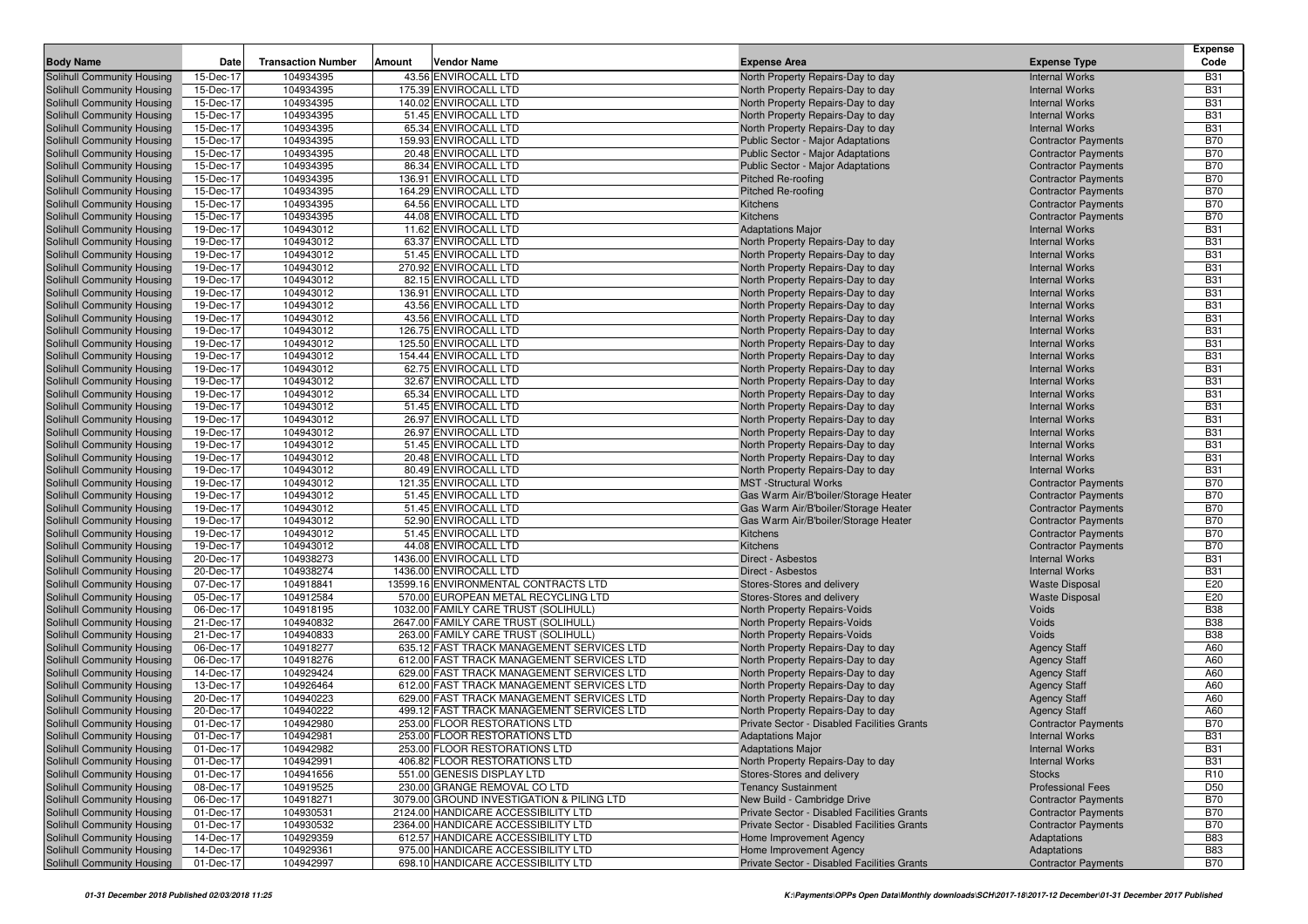| <b>Body Name</b><br><b>Transaction Number</b><br><b>Vendor Name</b><br><b>Expense Type</b><br>Date<br>Amount<br><b>Expense Area</b><br>104934395<br>43.56 ENVIROCALL LTD<br>Solihull Community Housing<br>15-Dec-17<br><b>Internal Works</b><br>North Property Repairs-Day to day<br>15-Dec-17<br>104934395<br>175.39 ENVIROCALL LTD<br>Solihull Community Housing<br>North Property Repairs-Day to day<br><b>Internal Works</b><br>104934395<br>140.02 ENVIROCALL LTD<br>Solihull Community Housing<br>15-Dec-17<br>North Property Repairs-Day to day<br><b>Internal Works</b><br>51.45 ENVIROCALL LTD<br>15-Dec-17<br>104934395<br>North Property Repairs-Day to day<br>Solihull Community Housing<br><b>Internal Works</b><br>104934395<br>65.34 ENVIROCALL LTD<br>Solihull Community Housing<br>15-Dec-17<br>North Property Repairs-Day to day<br><b>Internal Works</b><br>104934395<br>159.93 ENVIROCALL LTD<br>Solihull Community Housing<br>15-Dec-17<br>Public Sector - Major Adaptations<br><b>Contractor Payments</b><br>104934395<br>20.48 ENVIROCALL LTD<br>Solihull Community Housing<br>15-Dec-17<br><b>Public Sector - Major Adaptations</b><br><b>Contractor Payments</b><br>86.34 ENVIROCALL LTD<br>Solihull Community Housing<br>15-Dec-17<br>104934395<br>Public Sector - Major Adaptations<br><b>Contractor Payments</b><br>104934395<br>136.91 ENVIROCALL LTD<br>Solihull Community Housing<br>15-Dec-17<br>Pitched Re-roofing<br><b>Contractor Payments</b><br>104934395<br>164.29 ENVIROCALL LTD<br>Solihull Community Housing<br>15-Dec-17<br><b>Pitched Re-roofing</b><br><b>Contractor Payments</b><br>104934395<br>64.56 ENVIROCALL LTD<br>Solihull Community Housing<br>15-Dec-17<br>Kitchens<br><b>Contractor Payments</b><br>104934395<br>44.08 ENVIROCALL LTD<br><b>Contractor Payments</b><br>Solihull Community Housing<br>15-Dec-17<br>Kitchens<br>104943012<br>11.62 ENVIROCALL LTD<br>Solihull Community Housing<br>19-Dec-17<br><b>Adaptations Major</b><br><b>Internal Works</b><br>104943012<br>63.37 ENVIROCALL LTD<br>Solihull Community Housing<br>19-Dec-17<br>North Property Repairs-Day to day<br><b>Internal Works</b><br>104943012<br>51.45 ENVIROCALL LTD<br>Solihull Community Housing<br>19-Dec-17<br>North Property Repairs-Day to day<br><b>Internal Works</b><br>19-Dec-17<br>104943012<br>270.92 ENVIROCALL LTD<br>North Property Repairs-Day to day<br>Solihull Community Housing<br><b>Internal Works</b><br>Solihull Community Housing<br>19-Dec-17<br>104943012<br>82.15 ENVIROCALL LTD<br>North Property Repairs-Day to day<br><b>Internal Works</b> | Code<br><b>B31</b><br><b>B31</b><br><b>B31</b><br><b>B31</b><br><b>B31</b><br><b>B70</b><br><b>B70</b><br><b>B70</b><br><b>B70</b><br><b>B70</b><br><b>B70</b><br><b>B70</b><br><b>B31</b><br><b>B31</b><br><b>B31</b><br><b>B31</b><br><b>B31</b><br><b>B31</b><br><b>B31</b> |
|-----------------------------------------------------------------------------------------------------------------------------------------------------------------------------------------------------------------------------------------------------------------------------------------------------------------------------------------------------------------------------------------------------------------------------------------------------------------------------------------------------------------------------------------------------------------------------------------------------------------------------------------------------------------------------------------------------------------------------------------------------------------------------------------------------------------------------------------------------------------------------------------------------------------------------------------------------------------------------------------------------------------------------------------------------------------------------------------------------------------------------------------------------------------------------------------------------------------------------------------------------------------------------------------------------------------------------------------------------------------------------------------------------------------------------------------------------------------------------------------------------------------------------------------------------------------------------------------------------------------------------------------------------------------------------------------------------------------------------------------------------------------------------------------------------------------------------------------------------------------------------------------------------------------------------------------------------------------------------------------------------------------------------------------------------------------------------------------------------------------------------------------------------------------------------------------------------------------------------------------------------------------------------------------------------------------------------------------------------------------------------------------------------------------------------------------------------------------------------------------------------------------------------------------------------------------------------------------------------------------|--------------------------------------------------------------------------------------------------------------------------------------------------------------------------------------------------------------------------------------------------------------------------------|
|                                                                                                                                                                                                                                                                                                                                                                                                                                                                                                                                                                                                                                                                                                                                                                                                                                                                                                                                                                                                                                                                                                                                                                                                                                                                                                                                                                                                                                                                                                                                                                                                                                                                                                                                                                                                                                                                                                                                                                                                                                                                                                                                                                                                                                                                                                                                                                                                                                                                                                                                                                                                                 |                                                                                                                                                                                                                                                                                |
|                                                                                                                                                                                                                                                                                                                                                                                                                                                                                                                                                                                                                                                                                                                                                                                                                                                                                                                                                                                                                                                                                                                                                                                                                                                                                                                                                                                                                                                                                                                                                                                                                                                                                                                                                                                                                                                                                                                                                                                                                                                                                                                                                                                                                                                                                                                                                                                                                                                                                                                                                                                                                 |                                                                                                                                                                                                                                                                                |
|                                                                                                                                                                                                                                                                                                                                                                                                                                                                                                                                                                                                                                                                                                                                                                                                                                                                                                                                                                                                                                                                                                                                                                                                                                                                                                                                                                                                                                                                                                                                                                                                                                                                                                                                                                                                                                                                                                                                                                                                                                                                                                                                                                                                                                                                                                                                                                                                                                                                                                                                                                                                                 |                                                                                                                                                                                                                                                                                |
|                                                                                                                                                                                                                                                                                                                                                                                                                                                                                                                                                                                                                                                                                                                                                                                                                                                                                                                                                                                                                                                                                                                                                                                                                                                                                                                                                                                                                                                                                                                                                                                                                                                                                                                                                                                                                                                                                                                                                                                                                                                                                                                                                                                                                                                                                                                                                                                                                                                                                                                                                                                                                 |                                                                                                                                                                                                                                                                                |
|                                                                                                                                                                                                                                                                                                                                                                                                                                                                                                                                                                                                                                                                                                                                                                                                                                                                                                                                                                                                                                                                                                                                                                                                                                                                                                                                                                                                                                                                                                                                                                                                                                                                                                                                                                                                                                                                                                                                                                                                                                                                                                                                                                                                                                                                                                                                                                                                                                                                                                                                                                                                                 |                                                                                                                                                                                                                                                                                |
|                                                                                                                                                                                                                                                                                                                                                                                                                                                                                                                                                                                                                                                                                                                                                                                                                                                                                                                                                                                                                                                                                                                                                                                                                                                                                                                                                                                                                                                                                                                                                                                                                                                                                                                                                                                                                                                                                                                                                                                                                                                                                                                                                                                                                                                                                                                                                                                                                                                                                                                                                                                                                 |                                                                                                                                                                                                                                                                                |
|                                                                                                                                                                                                                                                                                                                                                                                                                                                                                                                                                                                                                                                                                                                                                                                                                                                                                                                                                                                                                                                                                                                                                                                                                                                                                                                                                                                                                                                                                                                                                                                                                                                                                                                                                                                                                                                                                                                                                                                                                                                                                                                                                                                                                                                                                                                                                                                                                                                                                                                                                                                                                 |                                                                                                                                                                                                                                                                                |
|                                                                                                                                                                                                                                                                                                                                                                                                                                                                                                                                                                                                                                                                                                                                                                                                                                                                                                                                                                                                                                                                                                                                                                                                                                                                                                                                                                                                                                                                                                                                                                                                                                                                                                                                                                                                                                                                                                                                                                                                                                                                                                                                                                                                                                                                                                                                                                                                                                                                                                                                                                                                                 |                                                                                                                                                                                                                                                                                |
|                                                                                                                                                                                                                                                                                                                                                                                                                                                                                                                                                                                                                                                                                                                                                                                                                                                                                                                                                                                                                                                                                                                                                                                                                                                                                                                                                                                                                                                                                                                                                                                                                                                                                                                                                                                                                                                                                                                                                                                                                                                                                                                                                                                                                                                                                                                                                                                                                                                                                                                                                                                                                 |                                                                                                                                                                                                                                                                                |
|                                                                                                                                                                                                                                                                                                                                                                                                                                                                                                                                                                                                                                                                                                                                                                                                                                                                                                                                                                                                                                                                                                                                                                                                                                                                                                                                                                                                                                                                                                                                                                                                                                                                                                                                                                                                                                                                                                                                                                                                                                                                                                                                                                                                                                                                                                                                                                                                                                                                                                                                                                                                                 |                                                                                                                                                                                                                                                                                |
|                                                                                                                                                                                                                                                                                                                                                                                                                                                                                                                                                                                                                                                                                                                                                                                                                                                                                                                                                                                                                                                                                                                                                                                                                                                                                                                                                                                                                                                                                                                                                                                                                                                                                                                                                                                                                                                                                                                                                                                                                                                                                                                                                                                                                                                                                                                                                                                                                                                                                                                                                                                                                 |                                                                                                                                                                                                                                                                                |
|                                                                                                                                                                                                                                                                                                                                                                                                                                                                                                                                                                                                                                                                                                                                                                                                                                                                                                                                                                                                                                                                                                                                                                                                                                                                                                                                                                                                                                                                                                                                                                                                                                                                                                                                                                                                                                                                                                                                                                                                                                                                                                                                                                                                                                                                                                                                                                                                                                                                                                                                                                                                                 |                                                                                                                                                                                                                                                                                |
|                                                                                                                                                                                                                                                                                                                                                                                                                                                                                                                                                                                                                                                                                                                                                                                                                                                                                                                                                                                                                                                                                                                                                                                                                                                                                                                                                                                                                                                                                                                                                                                                                                                                                                                                                                                                                                                                                                                                                                                                                                                                                                                                                                                                                                                                                                                                                                                                                                                                                                                                                                                                                 |                                                                                                                                                                                                                                                                                |
|                                                                                                                                                                                                                                                                                                                                                                                                                                                                                                                                                                                                                                                                                                                                                                                                                                                                                                                                                                                                                                                                                                                                                                                                                                                                                                                                                                                                                                                                                                                                                                                                                                                                                                                                                                                                                                                                                                                                                                                                                                                                                                                                                                                                                                                                                                                                                                                                                                                                                                                                                                                                                 |                                                                                                                                                                                                                                                                                |
|                                                                                                                                                                                                                                                                                                                                                                                                                                                                                                                                                                                                                                                                                                                                                                                                                                                                                                                                                                                                                                                                                                                                                                                                                                                                                                                                                                                                                                                                                                                                                                                                                                                                                                                                                                                                                                                                                                                                                                                                                                                                                                                                                                                                                                                                                                                                                                                                                                                                                                                                                                                                                 |                                                                                                                                                                                                                                                                                |
|                                                                                                                                                                                                                                                                                                                                                                                                                                                                                                                                                                                                                                                                                                                                                                                                                                                                                                                                                                                                                                                                                                                                                                                                                                                                                                                                                                                                                                                                                                                                                                                                                                                                                                                                                                                                                                                                                                                                                                                                                                                                                                                                                                                                                                                                                                                                                                                                                                                                                                                                                                                                                 |                                                                                                                                                                                                                                                                                |
|                                                                                                                                                                                                                                                                                                                                                                                                                                                                                                                                                                                                                                                                                                                                                                                                                                                                                                                                                                                                                                                                                                                                                                                                                                                                                                                                                                                                                                                                                                                                                                                                                                                                                                                                                                                                                                                                                                                                                                                                                                                                                                                                                                                                                                                                                                                                                                                                                                                                                                                                                                                                                 |                                                                                                                                                                                                                                                                                |
|                                                                                                                                                                                                                                                                                                                                                                                                                                                                                                                                                                                                                                                                                                                                                                                                                                                                                                                                                                                                                                                                                                                                                                                                                                                                                                                                                                                                                                                                                                                                                                                                                                                                                                                                                                                                                                                                                                                                                                                                                                                                                                                                                                                                                                                                                                                                                                                                                                                                                                                                                                                                                 |                                                                                                                                                                                                                                                                                |
| 104943012<br>136.91 ENVIROCALL LTD<br>Solihull Community Housing<br>19-Dec-17<br>North Property Repairs-Day to day<br><b>Internal Works</b>                                                                                                                                                                                                                                                                                                                                                                                                                                                                                                                                                                                                                                                                                                                                                                                                                                                                                                                                                                                                                                                                                                                                                                                                                                                                                                                                                                                                                                                                                                                                                                                                                                                                                                                                                                                                                                                                                                                                                                                                                                                                                                                                                                                                                                                                                                                                                                                                                                                                     |                                                                                                                                                                                                                                                                                |
| 19-Dec-17<br>104943012<br>43.56 ENVIROCALL LTD<br>Solihull Community Housing<br>North Property Repairs-Day to day<br><b>Internal Works</b>                                                                                                                                                                                                                                                                                                                                                                                                                                                                                                                                                                                                                                                                                                                                                                                                                                                                                                                                                                                                                                                                                                                                                                                                                                                                                                                                                                                                                                                                                                                                                                                                                                                                                                                                                                                                                                                                                                                                                                                                                                                                                                                                                                                                                                                                                                                                                                                                                                                                      |                                                                                                                                                                                                                                                                                |
| 19-Dec-17<br>104943012<br>43.56 ENVIROCALL LTD<br>Solihull Community Housing<br>North Property Repairs-Day to day<br><b>Internal Works</b>                                                                                                                                                                                                                                                                                                                                                                                                                                                                                                                                                                                                                                                                                                                                                                                                                                                                                                                                                                                                                                                                                                                                                                                                                                                                                                                                                                                                                                                                                                                                                                                                                                                                                                                                                                                                                                                                                                                                                                                                                                                                                                                                                                                                                                                                                                                                                                                                                                                                      | <b>B31</b>                                                                                                                                                                                                                                                                     |
| Solihull Community Housing<br>104943012<br>126.75 ENVIROCALL LTD<br>19-Dec-17<br>North Property Repairs-Day to day<br><b>Internal Works</b>                                                                                                                                                                                                                                                                                                                                                                                                                                                                                                                                                                                                                                                                                                                                                                                                                                                                                                                                                                                                                                                                                                                                                                                                                                                                                                                                                                                                                                                                                                                                                                                                                                                                                                                                                                                                                                                                                                                                                                                                                                                                                                                                                                                                                                                                                                                                                                                                                                                                     | <b>B31</b>                                                                                                                                                                                                                                                                     |
| 125.50 ENVIROCALL LTD<br>Solihull Community Housing<br>19-Dec-17<br>104943012<br>North Property Repairs-Day to day<br><b>Internal Works</b>                                                                                                                                                                                                                                                                                                                                                                                                                                                                                                                                                                                                                                                                                                                                                                                                                                                                                                                                                                                                                                                                                                                                                                                                                                                                                                                                                                                                                                                                                                                                                                                                                                                                                                                                                                                                                                                                                                                                                                                                                                                                                                                                                                                                                                                                                                                                                                                                                                                                     | <b>B31</b>                                                                                                                                                                                                                                                                     |
| 104943012<br>154.44 ENVIROCALL LTD<br>Solihull Community Housing<br>19-Dec-17<br>North Property Repairs-Day to day<br><b>Internal Works</b>                                                                                                                                                                                                                                                                                                                                                                                                                                                                                                                                                                                                                                                                                                                                                                                                                                                                                                                                                                                                                                                                                                                                                                                                                                                                                                                                                                                                                                                                                                                                                                                                                                                                                                                                                                                                                                                                                                                                                                                                                                                                                                                                                                                                                                                                                                                                                                                                                                                                     | <b>B31</b>                                                                                                                                                                                                                                                                     |
| 104943012<br>62.75 ENVIROCALL LTD<br>Solihull Community Housing<br>19-Dec-17<br>North Property Repairs-Day to day<br><b>Internal Works</b>                                                                                                                                                                                                                                                                                                                                                                                                                                                                                                                                                                                                                                                                                                                                                                                                                                                                                                                                                                                                                                                                                                                                                                                                                                                                                                                                                                                                                                                                                                                                                                                                                                                                                                                                                                                                                                                                                                                                                                                                                                                                                                                                                                                                                                                                                                                                                                                                                                                                      | <b>B31</b>                                                                                                                                                                                                                                                                     |
| 19-Dec-17<br>104943012<br>32.67 ENVIROCALL LTD<br>Solihull Community Housing<br>North Property Repairs-Day to day<br><b>Internal Works</b>                                                                                                                                                                                                                                                                                                                                                                                                                                                                                                                                                                                                                                                                                                                                                                                                                                                                                                                                                                                                                                                                                                                                                                                                                                                                                                                                                                                                                                                                                                                                                                                                                                                                                                                                                                                                                                                                                                                                                                                                                                                                                                                                                                                                                                                                                                                                                                                                                                                                      | <b>B31</b>                                                                                                                                                                                                                                                                     |
| 104943012<br>65.34 ENVIROCALL LTD<br>Solihull Community Housing<br>19-Dec-17<br>North Property Repairs-Day to day<br><b>Internal Works</b>                                                                                                                                                                                                                                                                                                                                                                                                                                                                                                                                                                                                                                                                                                                                                                                                                                                                                                                                                                                                                                                                                                                                                                                                                                                                                                                                                                                                                                                                                                                                                                                                                                                                                                                                                                                                                                                                                                                                                                                                                                                                                                                                                                                                                                                                                                                                                                                                                                                                      | <b>B31</b>                                                                                                                                                                                                                                                                     |
| 19-Dec-17<br>104943012<br>51.45 ENVIROCALL LTD<br>Solihull Community Housing<br>North Property Repairs-Day to day<br><b>Internal Works</b>                                                                                                                                                                                                                                                                                                                                                                                                                                                                                                                                                                                                                                                                                                                                                                                                                                                                                                                                                                                                                                                                                                                                                                                                                                                                                                                                                                                                                                                                                                                                                                                                                                                                                                                                                                                                                                                                                                                                                                                                                                                                                                                                                                                                                                                                                                                                                                                                                                                                      | <b>B31</b>                                                                                                                                                                                                                                                                     |
| 104943012<br>26.97 ENVIROCALL LTD<br>Solihull Community Housing<br>19-Dec-17<br>North Property Repairs-Day to day<br><b>Internal Works</b>                                                                                                                                                                                                                                                                                                                                                                                                                                                                                                                                                                                                                                                                                                                                                                                                                                                                                                                                                                                                                                                                                                                                                                                                                                                                                                                                                                                                                                                                                                                                                                                                                                                                                                                                                                                                                                                                                                                                                                                                                                                                                                                                                                                                                                                                                                                                                                                                                                                                      | <b>B31</b>                                                                                                                                                                                                                                                                     |
| 104943012<br>26.97 ENVIROCALL LTD<br>Solihull Community Housing<br>19-Dec-17<br>North Property Repairs-Day to day<br><b>Internal Works</b><br>104943012<br>51.45 ENVIROCALL LTD<br>Solihull Community Housing<br>19-Dec-17<br><b>Internal Works</b>                                                                                                                                                                                                                                                                                                                                                                                                                                                                                                                                                                                                                                                                                                                                                                                                                                                                                                                                                                                                                                                                                                                                                                                                                                                                                                                                                                                                                                                                                                                                                                                                                                                                                                                                                                                                                                                                                                                                                                                                                                                                                                                                                                                                                                                                                                                                                             | <b>B31</b><br><b>B31</b>                                                                                                                                                                                                                                                       |
| North Property Repairs-Day to day<br>104943012<br>20.48 ENVIROCALL LTD<br>Solihull Community Housing<br>19-Dec-17<br><b>Internal Works</b>                                                                                                                                                                                                                                                                                                                                                                                                                                                                                                                                                                                                                                                                                                                                                                                                                                                                                                                                                                                                                                                                                                                                                                                                                                                                                                                                                                                                                                                                                                                                                                                                                                                                                                                                                                                                                                                                                                                                                                                                                                                                                                                                                                                                                                                                                                                                                                                                                                                                      | <b>B31</b>                                                                                                                                                                                                                                                                     |
| North Property Repairs-Day to day<br>104943012<br>80.49 ENVIROCALL LTD<br><b>Internal Works</b><br>Solihull Community Housing<br>19-Dec-17<br>North Property Repairs-Day to day                                                                                                                                                                                                                                                                                                                                                                                                                                                                                                                                                                                                                                                                                                                                                                                                                                                                                                                                                                                                                                                                                                                                                                                                                                                                                                                                                                                                                                                                                                                                                                                                                                                                                                                                                                                                                                                                                                                                                                                                                                                                                                                                                                                                                                                                                                                                                                                                                                 | <b>B31</b>                                                                                                                                                                                                                                                                     |
| 121.35 ENVIROCALL LTD<br>Solihull Community Housing<br>19-Dec-17<br>104943012<br><b>MST</b> -Structural Works<br><b>Contractor Payments</b>                                                                                                                                                                                                                                                                                                                                                                                                                                                                                                                                                                                                                                                                                                                                                                                                                                                                                                                                                                                                                                                                                                                                                                                                                                                                                                                                                                                                                                                                                                                                                                                                                                                                                                                                                                                                                                                                                                                                                                                                                                                                                                                                                                                                                                                                                                                                                                                                                                                                     | <b>B70</b>                                                                                                                                                                                                                                                                     |
| 104943012<br>51.45 ENVIROCALL LTD<br>Solihull Community Housing<br>19-Dec-17<br>Gas Warm Air/B'boiler/Storage Heater<br><b>Contractor Payments</b>                                                                                                                                                                                                                                                                                                                                                                                                                                                                                                                                                                                                                                                                                                                                                                                                                                                                                                                                                                                                                                                                                                                                                                                                                                                                                                                                                                                                                                                                                                                                                                                                                                                                                                                                                                                                                                                                                                                                                                                                                                                                                                                                                                                                                                                                                                                                                                                                                                                              | <b>B70</b>                                                                                                                                                                                                                                                                     |
| 19-Dec-17<br>104943012<br>51.45 ENVIROCALL LTD<br>Solihull Community Housing<br>Gas Warm Air/B'boiler/Storage Heater<br><b>Contractor Payments</b>                                                                                                                                                                                                                                                                                                                                                                                                                                                                                                                                                                                                                                                                                                                                                                                                                                                                                                                                                                                                                                                                                                                                                                                                                                                                                                                                                                                                                                                                                                                                                                                                                                                                                                                                                                                                                                                                                                                                                                                                                                                                                                                                                                                                                                                                                                                                                                                                                                                              | <b>B70</b>                                                                                                                                                                                                                                                                     |
| 104943012<br>52.90 ENVIROCALL LTD<br>Solihull Community Housing<br>19-Dec-17<br>Gas Warm Air/B'boiler/Storage Heater<br><b>Contractor Payments</b>                                                                                                                                                                                                                                                                                                                                                                                                                                                                                                                                                                                                                                                                                                                                                                                                                                                                                                                                                                                                                                                                                                                                                                                                                                                                                                                                                                                                                                                                                                                                                                                                                                                                                                                                                                                                                                                                                                                                                                                                                                                                                                                                                                                                                                                                                                                                                                                                                                                              | <b>B70</b>                                                                                                                                                                                                                                                                     |
| 104943012<br>51.45 ENVIROCALL LTD<br>Solihull Community Housing<br>19-Dec-17<br>Kitchens<br><b>Contractor Payments</b>                                                                                                                                                                                                                                                                                                                                                                                                                                                                                                                                                                                                                                                                                                                                                                                                                                                                                                                                                                                                                                                                                                                                                                                                                                                                                                                                                                                                                                                                                                                                                                                                                                                                                                                                                                                                                                                                                                                                                                                                                                                                                                                                                                                                                                                                                                                                                                                                                                                                                          | <b>B70</b>                                                                                                                                                                                                                                                                     |
| Solihull Community Housing<br>19-Dec-17<br>104943012<br>44.08 ENVIROCALL LTD<br>Kitchens<br><b>Contractor Payments</b>                                                                                                                                                                                                                                                                                                                                                                                                                                                                                                                                                                                                                                                                                                                                                                                                                                                                                                                                                                                                                                                                                                                                                                                                                                                                                                                                                                                                                                                                                                                                                                                                                                                                                                                                                                                                                                                                                                                                                                                                                                                                                                                                                                                                                                                                                                                                                                                                                                                                                          | <b>B70</b>                                                                                                                                                                                                                                                                     |
| 104938273<br>1436.00 ENVIROCALL LTD<br><b>Internal Works</b><br>Solihull Community Housing<br>20-Dec-17<br>Direct - Asbestos                                                                                                                                                                                                                                                                                                                                                                                                                                                                                                                                                                                                                                                                                                                                                                                                                                                                                                                                                                                                                                                                                                                                                                                                                                                                                                                                                                                                                                                                                                                                                                                                                                                                                                                                                                                                                                                                                                                                                                                                                                                                                                                                                                                                                                                                                                                                                                                                                                                                                    | <b>B31</b>                                                                                                                                                                                                                                                                     |
| 104938274<br>1436.00 ENVIROCALL LTD<br>Solihull Community Housing<br>20-Dec-17<br>Direct - Asbestos<br><b>Internal Works</b>                                                                                                                                                                                                                                                                                                                                                                                                                                                                                                                                                                                                                                                                                                                                                                                                                                                                                                                                                                                                                                                                                                                                                                                                                                                                                                                                                                                                                                                                                                                                                                                                                                                                                                                                                                                                                                                                                                                                                                                                                                                                                                                                                                                                                                                                                                                                                                                                                                                                                    | <b>B31</b>                                                                                                                                                                                                                                                                     |
| 07-Dec-17<br>104918841<br>13599.16 ENVIRONMENTAL CONTRACTS LTD<br>Solihull Community Housing<br>Stores-Stores and delivery<br><b>Waste Disposal</b>                                                                                                                                                                                                                                                                                                                                                                                                                                                                                                                                                                                                                                                                                                                                                                                                                                                                                                                                                                                                                                                                                                                                                                                                                                                                                                                                                                                                                                                                                                                                                                                                                                                                                                                                                                                                                                                                                                                                                                                                                                                                                                                                                                                                                                                                                                                                                                                                                                                             | E20                                                                                                                                                                                                                                                                            |
| 570.00 EUROPEAN METAL RECYCLING LTD<br>Solihull Community Housing<br>05-Dec-17<br>104912584<br>Stores-Stores and delivery<br><b>Waste Disposal</b>                                                                                                                                                                                                                                                                                                                                                                                                                                                                                                                                                                                                                                                                                                                                                                                                                                                                                                                                                                                                                                                                                                                                                                                                                                                                                                                                                                                                                                                                                                                                                                                                                                                                                                                                                                                                                                                                                                                                                                                                                                                                                                                                                                                                                                                                                                                                                                                                                                                              | E20                                                                                                                                                                                                                                                                            |
| 1032.00 FAMILY CARE TRUST (SOLIHULL)<br>Voids<br>Solihull Community Housing<br>06-Dec-17<br>104918195<br>North Property Repairs-Voids                                                                                                                                                                                                                                                                                                                                                                                                                                                                                                                                                                                                                                                                                                                                                                                                                                                                                                                                                                                                                                                                                                                                                                                                                                                                                                                                                                                                                                                                                                                                                                                                                                                                                                                                                                                                                                                                                                                                                                                                                                                                                                                                                                                                                                                                                                                                                                                                                                                                           | <b>B38</b>                                                                                                                                                                                                                                                                     |
| 21-Dec-17<br>104940832<br>2647.00 FAMILY CARE TRUST (SOLIHULL)<br>Voids<br>Solihull Community Housing<br>North Property Repairs-Voids                                                                                                                                                                                                                                                                                                                                                                                                                                                                                                                                                                                                                                                                                                                                                                                                                                                                                                                                                                                                                                                                                                                                                                                                                                                                                                                                                                                                                                                                                                                                                                                                                                                                                                                                                                                                                                                                                                                                                                                                                                                                                                                                                                                                                                                                                                                                                                                                                                                                           | <b>B38</b>                                                                                                                                                                                                                                                                     |
| 21-Dec-17<br>104940833<br>263.00 FAMILY CARE TRUST (SOLIHULL)<br>Voids<br>Solihull Community Housing<br>North Property Repairs-Voids                                                                                                                                                                                                                                                                                                                                                                                                                                                                                                                                                                                                                                                                                                                                                                                                                                                                                                                                                                                                                                                                                                                                                                                                                                                                                                                                                                                                                                                                                                                                                                                                                                                                                                                                                                                                                                                                                                                                                                                                                                                                                                                                                                                                                                                                                                                                                                                                                                                                            | <b>B38</b>                                                                                                                                                                                                                                                                     |
| 104918277<br><b>Agency Staff</b><br>Solihull Community Housing<br>06-Dec-17<br>635.12 FAST TRACK MANAGEMENT SERVICES LTD<br>North Property Repairs-Day to day                                                                                                                                                                                                                                                                                                                                                                                                                                                                                                                                                                                                                                                                                                                                                                                                                                                                                                                                                                                                                                                                                                                                                                                                                                                                                                                                                                                                                                                                                                                                                                                                                                                                                                                                                                                                                                                                                                                                                                                                                                                                                                                                                                                                                                                                                                                                                                                                                                                   | A60                                                                                                                                                                                                                                                                            |
| Solihull Community Housing<br>06-Dec-17<br>104918276<br>612.00 FAST TRACK MANAGEMENT SERVICES LTD<br>North Property Repairs-Day to day<br><b>Agency Staff</b>                                                                                                                                                                                                                                                                                                                                                                                                                                                                                                                                                                                                                                                                                                                                                                                                                                                                                                                                                                                                                                                                                                                                                                                                                                                                                                                                                                                                                                                                                                                                                                                                                                                                                                                                                                                                                                                                                                                                                                                                                                                                                                                                                                                                                                                                                                                                                                                                                                                   | A60                                                                                                                                                                                                                                                                            |
| 14-Dec-17<br>104929424<br>629.00 FAST TRACK MANAGEMENT SERVICES LTD<br><b>Agency Staff</b><br>Solihull Community Housing<br>North Property Repairs-Day to day                                                                                                                                                                                                                                                                                                                                                                                                                                                                                                                                                                                                                                                                                                                                                                                                                                                                                                                                                                                                                                                                                                                                                                                                                                                                                                                                                                                                                                                                                                                                                                                                                                                                                                                                                                                                                                                                                                                                                                                                                                                                                                                                                                                                                                                                                                                                                                                                                                                   | A60                                                                                                                                                                                                                                                                            |
| 13-Dec-17<br>104926464<br>612.00 FAST TRACK MANAGEMENT SERVICES LTD<br>Solihull Community Housing<br>North Property Repairs-Day to day<br><b>Agency Staff</b>                                                                                                                                                                                                                                                                                                                                                                                                                                                                                                                                                                                                                                                                                                                                                                                                                                                                                                                                                                                                                                                                                                                                                                                                                                                                                                                                                                                                                                                                                                                                                                                                                                                                                                                                                                                                                                                                                                                                                                                                                                                                                                                                                                                                                                                                                                                                                                                                                                                   | A60                                                                                                                                                                                                                                                                            |
| <b>Solihull Community Housing</b><br>20-Dec-17<br>104940223<br>629.00 FAST TRACK MANAGEMENT SERVICES LTD<br>North Property Repairs-Day to day<br><b>Agency Staff</b>                                                                                                                                                                                                                                                                                                                                                                                                                                                                                                                                                                                                                                                                                                                                                                                                                                                                                                                                                                                                                                                                                                                                                                                                                                                                                                                                                                                                                                                                                                                                                                                                                                                                                                                                                                                                                                                                                                                                                                                                                                                                                                                                                                                                                                                                                                                                                                                                                                            | A60                                                                                                                                                                                                                                                                            |
| 104940222<br>Solihull Community Housing<br>20-Dec-17<br>499.12 FAST TRACK MANAGEMENT SERVICES LTD<br>North Property Repairs-Day to day<br><b>Agency Staff</b>                                                                                                                                                                                                                                                                                                                                                                                                                                                                                                                                                                                                                                                                                                                                                                                                                                                                                                                                                                                                                                                                                                                                                                                                                                                                                                                                                                                                                                                                                                                                                                                                                                                                                                                                                                                                                                                                                                                                                                                                                                                                                                                                                                                                                                                                                                                                                                                                                                                   | A60                                                                                                                                                                                                                                                                            |
| Solihull Community Housing<br>01-Dec-17<br>104942980<br>253.00 FLOOR RESTORATIONS LTD<br>Private Sector - Disabled Facilities Grants<br><b>Contractor Payments</b>                                                                                                                                                                                                                                                                                                                                                                                                                                                                                                                                                                                                                                                                                                                                                                                                                                                                                                                                                                                                                                                                                                                                                                                                                                                                                                                                                                                                                                                                                                                                                                                                                                                                                                                                                                                                                                                                                                                                                                                                                                                                                                                                                                                                                                                                                                                                                                                                                                              | <b>B70</b>                                                                                                                                                                                                                                                                     |
| 253.00 FLOOR RESTORATIONS LTD<br>Solihull Community Housing<br>01-Dec-17<br>104942981<br><b>Adaptations Major</b><br><b>Internal Works</b>                                                                                                                                                                                                                                                                                                                                                                                                                                                                                                                                                                                                                                                                                                                                                                                                                                                                                                                                                                                                                                                                                                                                                                                                                                                                                                                                                                                                                                                                                                                                                                                                                                                                                                                                                                                                                                                                                                                                                                                                                                                                                                                                                                                                                                                                                                                                                                                                                                                                      | <b>B31</b>                                                                                                                                                                                                                                                                     |
| Solihull Community Housing<br>104942982<br>253.00 FLOOR RESTORATIONS LTD<br><b>Adaptations Major</b><br>01-Dec-17<br><b>Internal Works</b>                                                                                                                                                                                                                                                                                                                                                                                                                                                                                                                                                                                                                                                                                                                                                                                                                                                                                                                                                                                                                                                                                                                                                                                                                                                                                                                                                                                                                                                                                                                                                                                                                                                                                                                                                                                                                                                                                                                                                                                                                                                                                                                                                                                                                                                                                                                                                                                                                                                                      | <b>B31</b>                                                                                                                                                                                                                                                                     |
| 406.82 FLOOR RESTORATIONS LTD<br>Solihull Community Housing<br>01-Dec-17<br>104942991<br>North Property Repairs-Day to day<br><b>Internal Works</b>                                                                                                                                                                                                                                                                                                                                                                                                                                                                                                                                                                                                                                                                                                                                                                                                                                                                                                                                                                                                                                                                                                                                                                                                                                                                                                                                                                                                                                                                                                                                                                                                                                                                                                                                                                                                                                                                                                                                                                                                                                                                                                                                                                                                                                                                                                                                                                                                                                                             | <b>B31</b>                                                                                                                                                                                                                                                                     |
| Solihull Community Housing<br>104941656<br>551.00 GENESIS DISPLAY LTD<br>01-Dec-17<br>Stores-Stores and delivery<br><b>Stocks</b>                                                                                                                                                                                                                                                                                                                                                                                                                                                                                                                                                                                                                                                                                                                                                                                                                                                                                                                                                                                                                                                                                                                                                                                                                                                                                                                                                                                                                                                                                                                                                                                                                                                                                                                                                                                                                                                                                                                                                                                                                                                                                                                                                                                                                                                                                                                                                                                                                                                                               | R <sub>10</sub>                                                                                                                                                                                                                                                                |
| Solihull Community Housing<br>08-Dec-17<br>104919525<br>230.00 GRANGE REMOVAL CO LTD<br><b>Tenancy Sustainment</b><br><b>Professional Fees</b>                                                                                                                                                                                                                                                                                                                                                                                                                                                                                                                                                                                                                                                                                                                                                                                                                                                                                                                                                                                                                                                                                                                                                                                                                                                                                                                                                                                                                                                                                                                                                                                                                                                                                                                                                                                                                                                                                                                                                                                                                                                                                                                                                                                                                                                                                                                                                                                                                                                                  | D <sub>50</sub>                                                                                                                                                                                                                                                                |
| Solihull Community Housing<br>104918271<br>3079.00 GROUND INVESTIGATION & PILING LTD<br>New Build - Cambridge Drive<br><b>Contractor Payments</b><br>06-Dec-17<br>Solihull Community Housing<br>01-Dec-17<br>104930531<br>2124.00 HANDICARE ACCESSIBILITY LTD<br>Private Sector - Disabled Facilities Grants<br><b>Contractor Payments</b>                                                                                                                                                                                                                                                                                                                                                                                                                                                                                                                                                                                                                                                                                                                                                                                                                                                                                                                                                                                                                                                                                                                                                                                                                                                                                                                                                                                                                                                                                                                                                                                                                                                                                                                                                                                                                                                                                                                                                                                                                                                                                                                                                                                                                                                                      | <b>B70</b><br><b>B70</b>                                                                                                                                                                                                                                                       |
| Solihull Community Housing<br>104930532<br>2364.00 HANDICARE ACCESSIBILITY LTD<br>Private Sector - Disabled Facilities Grants<br><b>Contractor Payments</b><br>01-Dec-17                                                                                                                                                                                                                                                                                                                                                                                                                                                                                                                                                                                                                                                                                                                                                                                                                                                                                                                                                                                                                                                                                                                                                                                                                                                                                                                                                                                                                                                                                                                                                                                                                                                                                                                                                                                                                                                                                                                                                                                                                                                                                                                                                                                                                                                                                                                                                                                                                                        | <b>B70</b>                                                                                                                                                                                                                                                                     |
| Solihull Community Housing<br>104929359<br>612.57 HANDICARE ACCESSIBILITY LTD<br>Home Improvement Agency<br>Adaptations<br>14-Dec-17                                                                                                                                                                                                                                                                                                                                                                                                                                                                                                                                                                                                                                                                                                                                                                                                                                                                                                                                                                                                                                                                                                                                                                                                                                                                                                                                                                                                                                                                                                                                                                                                                                                                                                                                                                                                                                                                                                                                                                                                                                                                                                                                                                                                                                                                                                                                                                                                                                                                            | <b>B83</b>                                                                                                                                                                                                                                                                     |
| Solihull Community Housing<br>14-Dec-17<br>104929361<br>975.00 HANDICARE ACCESSIBILITY LTD<br>Home Improvement Agency<br>Adaptations                                                                                                                                                                                                                                                                                                                                                                                                                                                                                                                                                                                                                                                                                                                                                                                                                                                                                                                                                                                                                                                                                                                                                                                                                                                                                                                                                                                                                                                                                                                                                                                                                                                                                                                                                                                                                                                                                                                                                                                                                                                                                                                                                                                                                                                                                                                                                                                                                                                                            | <b>B83</b>                                                                                                                                                                                                                                                                     |
| Solihull Community Housing<br>01-Dec-17<br>104942997<br>698.10 HANDICARE ACCESSIBILITY LTD<br>Private Sector - Disabled Facilities Grants<br><b>Contractor Payments</b>                                                                                                                                                                                                                                                                                                                                                                                                                                                                                                                                                                                                                                                                                                                                                                                                                                                                                                                                                                                                                                                                                                                                                                                                                                                                                                                                                                                                                                                                                                                                                                                                                                                                                                                                                                                                                                                                                                                                                                                                                                                                                                                                                                                                                                                                                                                                                                                                                                         |                                                                                                                                                                                                                                                                                |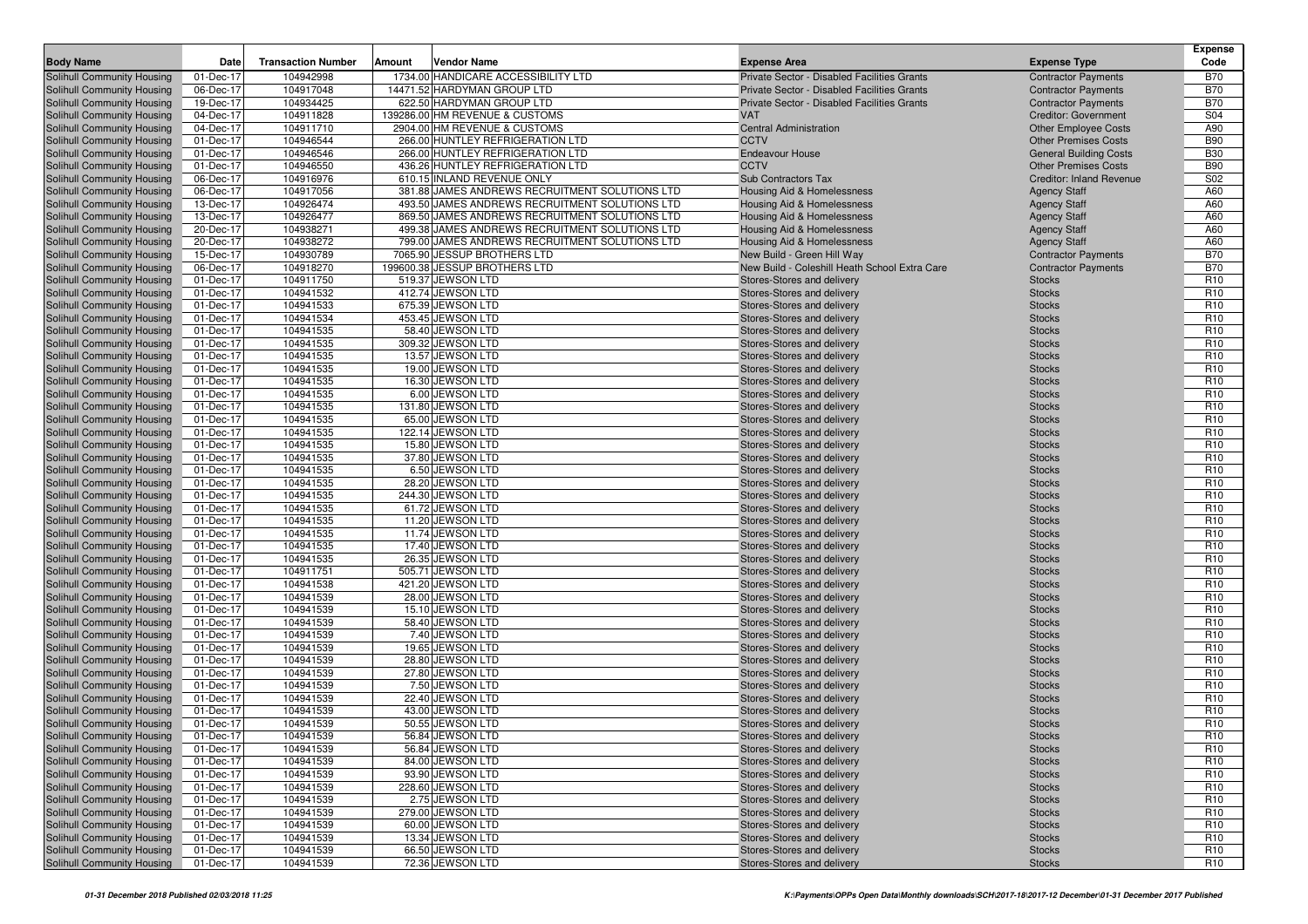|                                   |           |                           |                                                |                                                          |                                 | <b>Expense</b>  |
|-----------------------------------|-----------|---------------------------|------------------------------------------------|----------------------------------------------------------|---------------------------------|-----------------|
| <b>Body Name</b>                  | Date      | <b>Transaction Number</b> | Amount<br>Vendor Name                          | <b>Expense Area</b>                                      | <b>Expense Type</b>             | Code            |
| Solihull Community Housing        | 01-Dec-17 | 104942998                 | 1734.00 HANDICARE ACCESSIBILITY LTD            | Private Sector - Disabled Facilities Grants              | <b>Contractor Payments</b>      | <b>B70</b>      |
| Solihull Community Housing        | 06-Dec-17 | 104917048                 | 14471.52 HARDYMAN GROUP LTD                    | Private Sector - Disabled Facilities Grants              | <b>Contractor Payments</b>      | <b>B70</b>      |
| Solihull Community Housing        | 19-Dec-17 | 104934425                 | 622.50 HARDYMAN GROUP LTD                      | Private Sector - Disabled Facilities Grants              | <b>Contractor Payments</b>      | <b>B70</b>      |
| Solihull Community Housing        | 04-Dec-17 | 104911828                 | 139286.00 HM REVENUE & CUSTOMS                 | <b>VAT</b>                                               | <b>Creditor: Government</b>     | S04             |
| Solihull Community Housing        | 04-Dec-17 | 104911710                 | 2904.00 HM REVENUE & CUSTOMS                   | <b>Central Administration</b>                            | <b>Other Employee Costs</b>     | A90             |
| Solihull Community Housing        | 01-Dec-17 | 104946544                 | 266.00 HUNTLEY REFRIGERATION LTD               | <b>CCTV</b>                                              | <b>Other Premises Costs</b>     | <b>B90</b>      |
| Solihull Community Housing        | 01-Dec-17 | 104946546                 | 266.00 HUNTLEY REFRIGERATION LTD               | Endeavour House                                          | <b>General Building Costs</b>   | <b>B30</b>      |
| Solihull Community Housing        | 01-Dec-17 | 104946550                 | 436.26 HUNTLEY REFRIGERATION LTD               | <b>CCTV</b>                                              | <b>Other Premises Costs</b>     | <b>B90</b>      |
| Solihull Community Housing        | 06-Dec-17 | 104916976                 | 610.15 INLAND REVENUE ONLY                     | <b>Sub Contractors Tax</b>                               | <b>Creditor: Inland Revenue</b> | S02             |
| Solihull Community Housing        | 06-Dec-17 | 104917056                 | 381.88 JAMES ANDREWS RECRUITMENT SOLUTIONS LTD | Housing Aid & Homelessness                               | <b>Agency Staff</b>             | A60             |
| Solihull Community Housing        | 13-Dec-17 | 104926474                 | 493.50 JAMES ANDREWS RECRUITMENT SOLUTIONS LTD | Housing Aid & Homelessness                               | <b>Agency Staff</b>             | A60             |
| Solihull Community Housing        | 13-Dec-17 | 104926477                 | 869.50 JAMES ANDREWS RECRUITMENT SOLUTIONS LTD | Housing Aid & Homelessness                               | <b>Agency Staff</b>             | A60             |
| Solihull Community Housing        | 20-Dec-17 | 104938271                 | 499.38 JAMES ANDREWS RECRUITMENT SOLUTIONS LTD | Housing Aid & Homelessness                               | <b>Agency Staff</b>             | A60             |
| Solihull Community Housing        | 20-Dec-17 | 104938272                 | 799.00 JAMES ANDREWS RECRUITMENT SOLUTIONS LTD | Housing Aid & Homelessness                               | <b>Agency Staff</b>             | A60             |
| Solihull Community Housing        | 15-Dec-17 | 104930789                 | 7065.90 JESSUP BROTHERS LTD                    | New Build - Green Hill Way                               | <b>Contractor Payments</b>      | <b>B70</b>      |
| Solihull Community Housing        | 06-Dec-17 | 104918270                 | 199600.38 JESSUP BROTHERS LTD                  | New Build - Coleshill Heath School Extra Care            | <b>Contractor Payments</b>      | <b>B70</b>      |
| Solihull Community Housing        | 01-Dec-17 | 104911750                 | 519.37 JEWSON LTD                              | Stores-Stores and delivery                               | <b>Stocks</b>                   | R <sub>10</sub> |
| Solihull Community Housing        | 01-Dec-17 | 104941532                 | 412.74 JEWSON LTD                              | Stores-Stores and delivery                               | <b>Stocks</b>                   | R <sub>10</sub> |
| Solihull Community Housing        | 01-Dec-17 | 104941533                 | 675.39 JEWSON LTD                              | Stores-Stores and delivery                               | <b>Stocks</b>                   | R <sub>10</sub> |
| Solihull Community Housing        | 01-Dec-17 | 104941534                 | 453.45 JEWSON LTD                              | Stores-Stores and delivery                               | <b>Stocks</b>                   | R <sub>10</sub> |
| <b>Solihull Community Housing</b> | 01-Dec-17 | 104941535                 | 58.40 JEWSON LTD                               | Stores-Stores and delivery                               | <b>Stocks</b>                   | R <sub>10</sub> |
| Solihull Community Housing        | 01-Dec-17 | 104941535                 | 309.32 JEWSON LTD                              | Stores-Stores and delivery                               | <b>Stocks</b>                   | R <sub>10</sub> |
| Solihull Community Housing        | 01-Dec-17 | 104941535                 | 13.57 JEWSON LTD                               | Stores-Stores and delivery                               | <b>Stocks</b>                   | R <sub>10</sub> |
| Solihull Community Housing        | 01-Dec-17 | 104941535                 | 19.00 JEWSON LTD                               | Stores-Stores and delivery                               | <b>Stocks</b>                   | R <sub>10</sub> |
| Solihull Community Housing        | 01-Dec-17 | 104941535                 | 16.30 JEWSON LTD                               | Stores-Stores and delivery                               | <b>Stocks</b>                   | R <sub>10</sub> |
| Solihull Community Housing        | 01-Dec-17 | 104941535                 | 6.00 JEWSON LTD                                | Stores-Stores and delivery                               | <b>Stocks</b>                   | R <sub>10</sub> |
| Solihull Community Housing        | 01-Dec-17 | 104941535                 | 131.80 JEWSON LTD                              | Stores-Stores and delivery                               | <b>Stocks</b>                   | R <sub>10</sub> |
| Solihull Community Housing        | 01-Dec-17 | 104941535                 | 65.00 JEWSON LTD                               | Stores-Stores and delivery                               | <b>Stocks</b>                   | R <sub>10</sub> |
| Solihull Community Housing        | 01-Dec-17 | 104941535                 | 122.14 JEWSON LTD                              | Stores-Stores and delivery                               | <b>Stocks</b>                   | R <sub>10</sub> |
| Solihull Community Housing        | 01-Dec-17 | 104941535                 | 15.80 JEWSON LTD                               | Stores-Stores and delivery                               | <b>Stocks</b>                   | R <sub>10</sub> |
| Solihull Community Housing        | 01-Dec-17 | 104941535                 | 37.80 JEWSON LTD                               | Stores-Stores and delivery                               | <b>Stocks</b>                   | R <sub>10</sub> |
| Solihull Community Housing        | 01-Dec-17 | 104941535                 | 6.50 JEWSON LTD                                | Stores-Stores and delivery                               | <b>Stocks</b>                   | R <sub>10</sub> |
| Solihull Community Housing        | 01-Dec-17 | 104941535                 | 28.20 JEWSON LTD                               | Stores-Stores and delivery                               | <b>Stocks</b>                   | R <sub>10</sub> |
| Solihull Community Housing        | 01-Dec-17 | 104941535                 | 244.30 JEWSON LTD                              | Stores-Stores and delivery                               | <b>Stocks</b>                   | R <sub>10</sub> |
| Solihull Community Housing        | 01-Dec-17 | 104941535                 | 61.72 JEWSON LTD                               | Stores-Stores and delivery                               | <b>Stocks</b>                   | R <sub>10</sub> |
| Solihull Community Housing        | 01-Dec-17 | 104941535                 | 11.20 JEWSON LTD                               | Stores-Stores and delivery                               | <b>Stocks</b>                   | R <sub>10</sub> |
| Solihull Community Housing        | 01-Dec-17 | 104941535                 | 11.74 JEWSON LTD                               | Stores-Stores and delivery                               | <b>Stocks</b>                   | R <sub>10</sub> |
| Solihull Community Housing        | 01-Dec-17 | 104941535                 | 17.40 JEWSON LTD                               | Stores-Stores and delivery                               | <b>Stocks</b>                   | R <sub>10</sub> |
| Solihull Community Housing        | 01-Dec-17 | 104941535                 | 26.35 JEWSON LTD                               | Stores-Stores and delivery                               | <b>Stocks</b>                   | R <sub>10</sub> |
| Solihull Community Housing        | 01-Dec-17 | 104911751                 | 505.71 JEWSON LTD                              | Stores-Stores and delivery                               | <b>Stocks</b>                   | R <sub>10</sub> |
| Solihull Community Housing        | 01-Dec-17 | 104941538                 | 421.20 JEWSON LTD                              | Stores-Stores and delivery                               | <b>Stocks</b>                   | R <sub>10</sub> |
| Solihull Community Housing        | 01-Dec-17 | 104941539                 | 28.00 JEWSON LTD                               | Stores-Stores and delivery                               | <b>Stocks</b>                   | R <sub>10</sub> |
| Solihull Community Housing        | 01-Dec-17 | 104941539                 | 15.10 JEWSON LTD                               | Stores-Stores and delivery                               | <b>Stocks</b>                   | R <sub>10</sub> |
| Solihull Community Housing        | 01-Dec-17 | 104941539                 | 58.40 JEWSON LTD                               | Stores-Stores and delivery                               | <b>Stocks</b>                   | R <sub>10</sub> |
| Solihull Community Housing        | 01-Dec-17 | 104941539                 | 7.40 JEWSON LTD                                | Stores-Stores and delivery                               | <b>Stocks</b>                   | R <sub>10</sub> |
| Solihull Community Housing        | 01-Dec-17 | 104941539                 | 19.65 JEWSON LTD                               | Stores-Stores and delivery                               | <b>Stocks</b>                   | R <sub>10</sub> |
| Solihull Community Housing        | 01-Dec-17 | 104941539                 | 28.80 JEWSON LTD                               | Stores-Stores and delivery                               | <b>Stocks</b>                   | R <sub>10</sub> |
| Solihull Community Housing        | 01-Dec-17 | 104941539                 | 27.80 JEWSON LTD                               | Stores-Stores and delivery                               | <b>Stocks</b>                   | R <sub>10</sub> |
| Solihull Community Housing        | 01-Dec-17 | 104941539                 | 7.50 JEWSON LTD                                | Stores-Stores and delivery                               | <b>Stocks</b>                   | R <sub>10</sub> |
| <b>Solihull Community Housing</b> | 01-Dec-17 | 104941539                 | 22.40 JEWSON LTD                               | Stores-Stores and delivery                               | <b>Stocks</b>                   | R <sub>10</sub> |
| Solihull Community Housing        | 01-Dec-17 | 104941539                 | 43.00 JEWSON LTD                               | Stores-Stores and delivery                               | <b>Stocks</b>                   | R <sub>10</sub> |
| Solihull Community Housing        | 01-Dec-17 | 104941539                 | 50.55 JEWSON LTD                               | Stores-Stores and delivery                               | <b>Stocks</b>                   | R <sub>10</sub> |
| Solihull Community Housing        | 01-Dec-17 | 104941539                 | 56.84 JEWSON LTD                               | Stores-Stores and delivery                               | <b>Stocks</b>                   | R <sub>10</sub> |
| Solihull Community Housing        | 01-Dec-17 | 104941539                 | 56.84 JEWSON LTD                               | Stores-Stores and delivery                               | <b>Stocks</b>                   | R <sub>10</sub> |
| Solihull Community Housing        | 01-Dec-17 | 104941539                 | 84.00 JEWSON LTD                               | Stores-Stores and delivery                               | <b>Stocks</b>                   | R <sub>10</sub> |
| Solihull Community Housing        | 01-Dec-17 | 104941539                 | 93.90 JEWSON LTD                               | Stores-Stores and delivery                               | <b>Stocks</b>                   | R <sub>10</sub> |
| Solihull Community Housing        | 01-Dec-17 | 104941539                 | 228.60 JEWSON LTD                              | Stores-Stores and delivery                               | <b>Stocks</b>                   | R <sub>10</sub> |
| Solihull Community Housing        | 01-Dec-17 | 104941539                 | 2.75 JEWSON LTD                                | Stores-Stores and delivery                               | <b>Stocks</b>                   | R <sub>10</sub> |
| Solihull Community Housing        | 01-Dec-17 | 104941539                 | 279.00 JEWSON LTD                              | Stores-Stores and delivery                               | <b>Stocks</b>                   | R <sub>10</sub> |
| Solihull Community Housing        | 01-Dec-17 | 104941539                 | 60.00 JEWSON LTD                               | Stores-Stores and delivery<br>Stores-Stores and delivery | <b>Stocks</b>                   | R <sub>10</sub> |
| Solihull Community Housing        | 01-Dec-17 | 104941539                 | 13.34 JEWSON LTD<br>66.50 JEWSON LTD           |                                                          | <b>Stocks</b>                   | R <sub>10</sub> |
| Solihull Community Housing        | 01-Dec-17 | 104941539                 |                                                | Stores-Stores and delivery                               | <b>Stocks</b>                   | R <sub>10</sub> |
| Solihull Community Housing        | 01-Dec-17 | 104941539                 | 72.36 JEWSON LTD                               | Stores-Stores and delivery                               | <b>Stocks</b>                   | R <sub>10</sub> |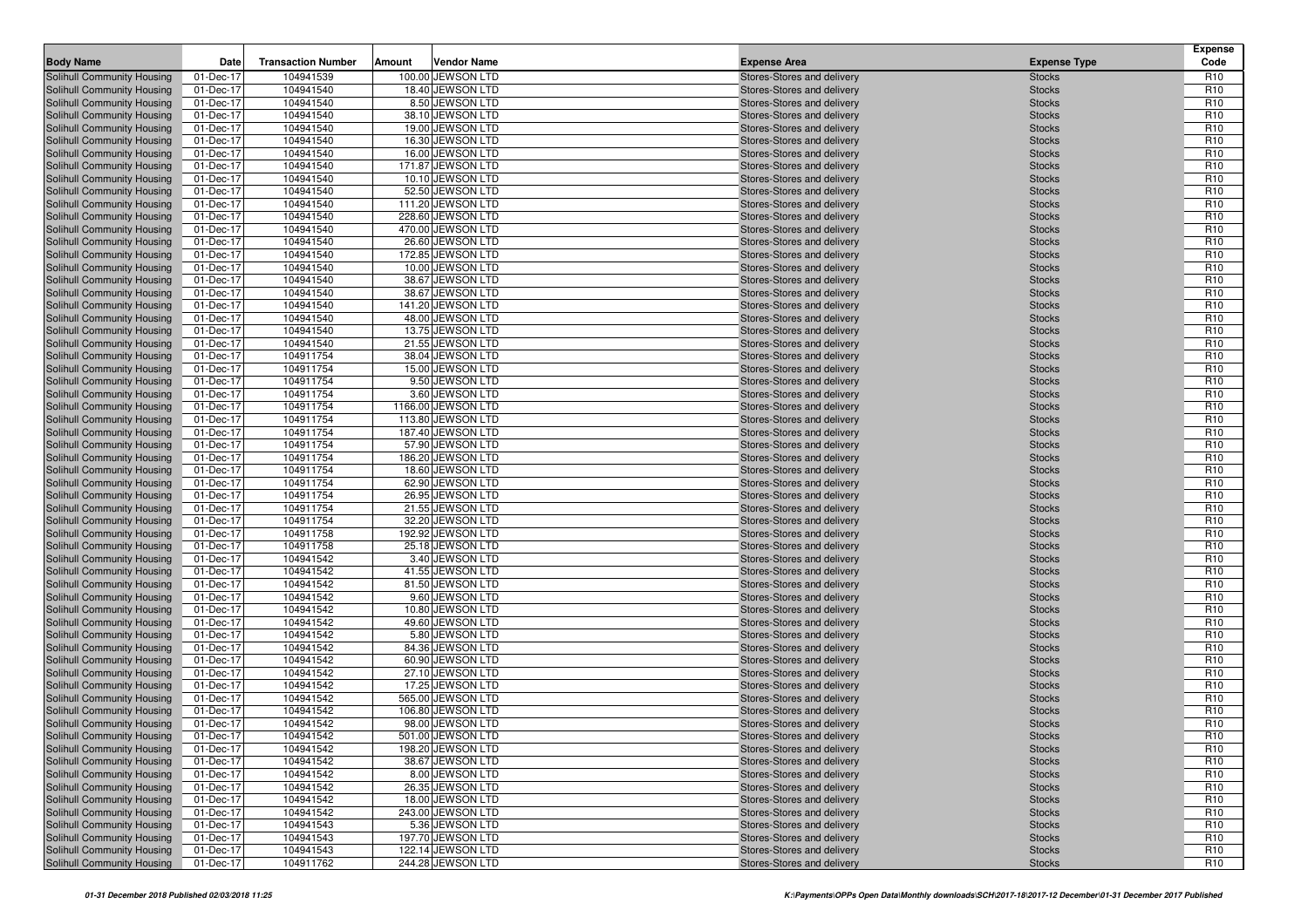| <b>Body Name</b>                                         | Date                   | <b>Transaction Number</b> | Amount | <b>Vendor Name</b>                    | <b>Expense Area</b>                                      | <b>Expense Type</b>            | <b>Expense</b><br>Code             |
|----------------------------------------------------------|------------------------|---------------------------|--------|---------------------------------------|----------------------------------------------------------|--------------------------------|------------------------------------|
| Solihull Community Housing                               | 01-Dec-17              | 104941539                 |        | 100.00 JEWSON LTD                     | Stores-Stores and delivery                               | <b>Stocks</b>                  | R <sub>10</sub>                    |
| Solihull Community Housing                               | 01-Dec-17              | 104941540                 |        | 18.40 JEWSON LTD                      | Stores-Stores and delivery                               | <b>Stocks</b>                  | R <sub>10</sub>                    |
| Solihull Community Housing                               | 01-Dec-17              | 104941540                 |        | 8.50 JEWSON LTD                       | Stores-Stores and delivery                               | <b>Stocks</b>                  | R <sub>10</sub>                    |
| Solihull Community Housing                               | 01-Dec-17              | 104941540                 |        | 38.10 JEWSON LTD                      | Stores-Stores and delivery                               | <b>Stocks</b>                  | R <sub>10</sub>                    |
| Solihull Community Housing                               | 01-Dec-17              | 104941540                 |        | 19.00 JEWSON LTD                      | Stores-Stores and delivery                               | <b>Stocks</b>                  | R <sub>10</sub>                    |
| Solihull Community Housing                               | 01-Dec-17              | 104941540                 |        | 16.30 JEWSON LTD                      | Stores-Stores and delivery                               | <b>Stocks</b>                  | R <sub>10</sub>                    |
| Solihull Community Housing                               | 01-Dec-17              | 104941540                 |        | 16.00 JEWSON LTD                      | Stores-Stores and delivery                               | <b>Stocks</b>                  | R <sub>10</sub>                    |
| Solihull Community Housing                               | 01-Dec-17              | 104941540                 |        | 171.87 JEWSON LTD                     | Stores-Stores and delivery                               | <b>Stocks</b>                  | R <sub>10</sub>                    |
| Solihull Community Housing                               | 01-Dec-17              | 104941540                 |        | 10.10 JEWSON LTD                      | Stores-Stores and delivery                               | <b>Stocks</b>                  | R <sub>10</sub>                    |
| Solihull Community Housing                               | 01-Dec-17              | 104941540                 |        | 52.50 JEWSON LTD                      | Stores-Stores and delivery                               | <b>Stocks</b>                  | R <sub>10</sub>                    |
| Solihull Community Housing                               | 01-Dec-17              | 104941540                 |        | 111.20 JEWSON LTD                     | Stores-Stores and delivery                               | <b>Stocks</b>                  | R <sub>10</sub>                    |
| Solihull Community Housing                               | 01-Dec-17              | 104941540                 |        | 228.60 JEWSON LTD                     | Stores-Stores and delivery                               | <b>Stocks</b>                  | R <sub>10</sub>                    |
| Solihull Community Housing                               | 01-Dec-17              | 104941540                 |        | 470.00 JEWSON LTD                     | Stores-Stores and delivery                               | <b>Stocks</b>                  | R <sub>10</sub>                    |
| Solihull Community Housing                               | 01-Dec-17              | 104941540                 |        | 26.60 JEWSON LTD                      | Stores-Stores and delivery                               | <b>Stocks</b>                  | R <sub>10</sub>                    |
| Solihull Community Housing                               | 01-Dec-17              | 104941540                 |        | 172.85 JEWSON LTD                     | Stores-Stores and delivery                               | <b>Stocks</b>                  | R <sub>10</sub>                    |
| Solihull Community Housing                               | 01-Dec-17              | 104941540                 |        | 10.00 JEWSON LTD                      | Stores-Stores and delivery                               | <b>Stocks</b>                  | R <sub>10</sub>                    |
| Solihull Community Housing                               | 01-Dec-17              | 104941540<br>104941540    |        | 38.67 JEWSON LTD                      | Stores-Stores and delivery                               | <b>Stocks</b>                  | R <sub>10</sub><br>R <sub>10</sub> |
| Solihull Community Housing                               | 01-Dec-17              | 104941540                 |        | 38.67 JEWSON LTD<br>141.20 JEWSON LTD | Stores-Stores and delivery                               | <b>Stocks</b>                  | R <sub>10</sub>                    |
| Solihull Community Housing<br>Solihull Community Housing | 01-Dec-17<br>01-Dec-17 | 104941540                 |        | 48.00 JEWSON LTD                      | Stores-Stores and delivery<br>Stores-Stores and delivery | <b>Stocks</b><br><b>Stocks</b> | R <sub>10</sub>                    |
| Solihull Community Housing                               | 01-Dec-17              | 104941540                 |        | 13.75 JEWSON LTD                      | Stores-Stores and delivery                               | <b>Stocks</b>                  | R <sub>10</sub>                    |
| Solihull Community Housing                               | 01-Dec-17              | 104941540                 |        | 21.55 JEWSON LTD                      | Stores-Stores and delivery                               | <b>Stocks</b>                  | R <sub>10</sub>                    |
| Solihull Community Housing                               | 01-Dec-17              | 104911754                 |        | 38.04 JEWSON LTD                      | Stores-Stores and delivery                               | <b>Stocks</b>                  | R <sub>10</sub>                    |
| Solihull Community Housing                               | 01-Dec-17              | 104911754                 |        | 15.00 JEWSON LTD                      | Stores-Stores and delivery                               | <b>Stocks</b>                  | R <sub>10</sub>                    |
| Solihull Community Housing                               | 01-Dec-17              | 104911754                 |        | 9.50 JEWSON LTD                       | Stores-Stores and delivery                               | <b>Stocks</b>                  | R <sub>10</sub>                    |
| Solihull Community Housing                               | 01-Dec-17              | 104911754                 |        | 3.60 JEWSON LTD                       | Stores-Stores and delivery                               | <b>Stocks</b>                  | R <sub>10</sub>                    |
| Solihull Community Housing                               | 01-Dec-17              | 104911754                 |        | 1166.00 JEWSON LTD                    | Stores-Stores and delivery                               | <b>Stocks</b>                  | R <sub>10</sub>                    |
| Solihull Community Housing                               | 01-Dec-17              | 104911754                 |        | 113.80 JEWSON LTD                     | Stores-Stores and delivery                               | <b>Stocks</b>                  | R <sub>10</sub>                    |
| Solihull Community Housing                               | 01-Dec-17              | 104911754                 |        | 187.40 JEWSON LTD                     | Stores-Stores and delivery                               | <b>Stocks</b>                  | R <sub>10</sub>                    |
| Solihull Community Housing                               | 01-Dec-17              | 104911754                 |        | 57.90 JEWSON LTD                      | Stores-Stores and delivery                               | <b>Stocks</b>                  | R <sub>10</sub>                    |
| Solihull Community Housing                               | 01-Dec-17              | 104911754                 |        | 186.20 JEWSON LTD                     | Stores-Stores and delivery                               | <b>Stocks</b>                  | R <sub>10</sub>                    |
| Solihull Community Housing                               | 01-Dec-17              | 104911754                 |        | 18.60 JEWSON LTD                      | Stores-Stores and delivery                               | <b>Stocks</b>                  | R <sub>10</sub>                    |
| Solihull Community Housing                               | 01-Dec-17              | 104911754                 |        | 62.90 JEWSON LTD                      | Stores-Stores and delivery                               | <b>Stocks</b>                  | R <sub>10</sub>                    |
| Solihull Community Housing                               | 01-Dec-17              | 104911754                 |        | 26.95 JEWSON LTD                      | Stores-Stores and delivery                               | <b>Stocks</b>                  | R <sub>10</sub>                    |
| Solihull Community Housing                               | 01-Dec-17              | 104911754                 |        | 21.55 JEWSON LTD                      | Stores-Stores and delivery                               | <b>Stocks</b>                  | R <sub>10</sub>                    |
| Solihull Community Housing                               | 01-Dec-17              | 104911754                 |        | 32.20 JEWSON LTD                      | Stores-Stores and delivery                               | <b>Stocks</b>                  | R <sub>10</sub>                    |
| Solihull Community Housing                               | 01-Dec-17              | 104911758                 |        | 192.92 JEWSON LTD                     | Stores-Stores and delivery                               | <b>Stocks</b>                  | R <sub>10</sub>                    |
| Solihull Community Housing                               | 01-Dec-17              | 104911758                 |        | 25.18 JEWSON LTD                      | Stores-Stores and delivery                               | <b>Stocks</b>                  | R <sub>10</sub>                    |
| Solihull Community Housing                               | 01-Dec-17              | 104941542                 |        | 3.40 JEWSON LTD                       | Stores-Stores and delivery                               | <b>Stocks</b>                  | R <sub>10</sub>                    |
| Solihull Community Housing                               | 01-Dec-17              | 104941542                 |        | 41.55 JEWSON LTD                      | Stores-Stores and delivery                               | <b>Stocks</b>                  | R <sub>10</sub>                    |
| Solihull Community Housing                               | 01-Dec-17              | 104941542                 |        | 81.50 JEWSON LTD                      | Stores-Stores and delivery                               | <b>Stocks</b>                  | R <sub>10</sub>                    |
| Solihull Community Housing                               | 01-Dec-17              | 104941542                 |        | 9.60 JEWSON LTD                       | Stores-Stores and delivery                               | <b>Stocks</b>                  | R <sub>10</sub><br>R <sub>10</sub> |
| Solihull Community Housing                               | 01-Dec-17              | 104941542<br>104941542    |        | 10.80 JEWSON LTD<br>49.60 JEWSON LTD  | Stores-Stores and delivery                               | <b>Stocks</b>                  | R <sub>10</sub>                    |
| Solihull Community Housing<br>Solihull Community Housing | 01-Dec-17<br>01-Dec-17 | 104941542                 |        | 5.80 JEWSON LTD                       | Stores-Stores and delivery<br>Stores-Stores and delivery | <b>Stocks</b><br><b>Stocks</b> | R <sub>10</sub>                    |
| Solihull Community Housing                               | 01-Dec-17              | 104941542                 |        | 84.36 JEWSON LTD                      | Stores-Stores and delivery                               | <b>Stocks</b>                  | R <sub>10</sub>                    |
| Solihull Community Housing                               | 01-Dec-17              | 104941542                 |        | 60.90 JEWSON LTD                      | Stores-Stores and delivery                               | <b>Stocks</b>                  | R <sub>10</sub>                    |
| Solihull Community Housing                               | 01-Dec-17              | 104941542                 |        | 27.10 JEWSON LTD                      | Stores-Stores and delivery                               | <b>Stocks</b>                  | R <sub>10</sub>                    |
| Solihull Community Housing                               | 01-Dec-17              | 104941542                 |        | 17.25 JEWSON LTD                      | Stores-Stores and delivery                               | <b>Stocks</b>                  | R <sub>10</sub>                    |
| Solihull Community Housing                               | 01-Dec-17              | 104941542                 |        | 565.00 JEWSON LTD                     | Stores-Stores and delivery                               | <b>Stocks</b>                  | R <sub>10</sub>                    |
| Solihull Community Housing                               | 01-Dec-17              | 104941542                 |        | 106.80 JEWSON LTD                     | Stores-Stores and delivery                               | <b>Stocks</b>                  | R <sub>10</sub>                    |
| <b>Solihull Community Housing</b>                        | 01-Dec-17              | 104941542                 |        | 98.00 JEWSON LTD                      | Stores-Stores and delivery                               | <b>Stocks</b>                  | R <sub>10</sub>                    |
| Solihull Community Housing                               | 01-Dec-17              | 104941542                 |        | 501.00 JEWSON LTD                     | Stores-Stores and delivery                               | <b>Stocks</b>                  | R <sub>10</sub>                    |
| Solihull Community Housing                               | 01-Dec-17              | 104941542                 |        | 198.20 JEWSON LTD                     | Stores-Stores and delivery                               | <b>Stocks</b>                  | R <sub>10</sub>                    |
| Solihull Community Housing                               | 01-Dec-17              | 104941542                 |        | 38.67 JEWSON LTD                      | Stores-Stores and delivery                               | <b>Stocks</b>                  | R <sub>10</sub>                    |
| Solihull Community Housing                               | 01-Dec-17              | 104941542                 |        | 8.00 JEWSON LTD                       | Stores-Stores and delivery                               | <b>Stocks</b>                  | R <sub>10</sub>                    |
| Solihull Community Housing                               | 01-Dec-17              | 104941542                 |        | 26.35 JEWSON LTD                      | Stores-Stores and delivery                               | <b>Stocks</b>                  | R <sub>10</sub>                    |
| Solihull Community Housing                               | 01-Dec-17              | 104941542                 |        | 18.00 JEWSON LTD                      | Stores-Stores and delivery                               | <b>Stocks</b>                  | R <sub>10</sub>                    |
| Solihull Community Housing                               | 01-Dec-17              | 104941542                 |        | 243.00 JEWSON LTD                     | Stores-Stores and delivery                               | <b>Stocks</b>                  | R <sub>10</sub>                    |
| Solihull Community Housing                               | 01-Dec-17              | 104941543                 |        | 5.36 JEWSON LTD                       | Stores-Stores and delivery                               | <b>Stocks</b>                  | R <sub>10</sub>                    |
| Solihull Community Housing                               | 01-Dec-17              | 104941543                 |        | 197.70 JEWSON LTD                     | Stores-Stores and delivery                               | <b>Stocks</b>                  | R <sub>10</sub>                    |
| Solihull Community Housing                               | 01-Dec-17              | 104941543                 |        | 122.14 JEWSON LTD                     | Stores-Stores and delivery                               | <b>Stocks</b>                  | R <sub>10</sub>                    |
| Solihull Community Housing                               | 01-Dec-17              | 104911762                 |        | 244.28 JEWSON LTD                     | Stores-Stores and delivery                               | <b>Stocks</b>                  | R <sub>10</sub>                    |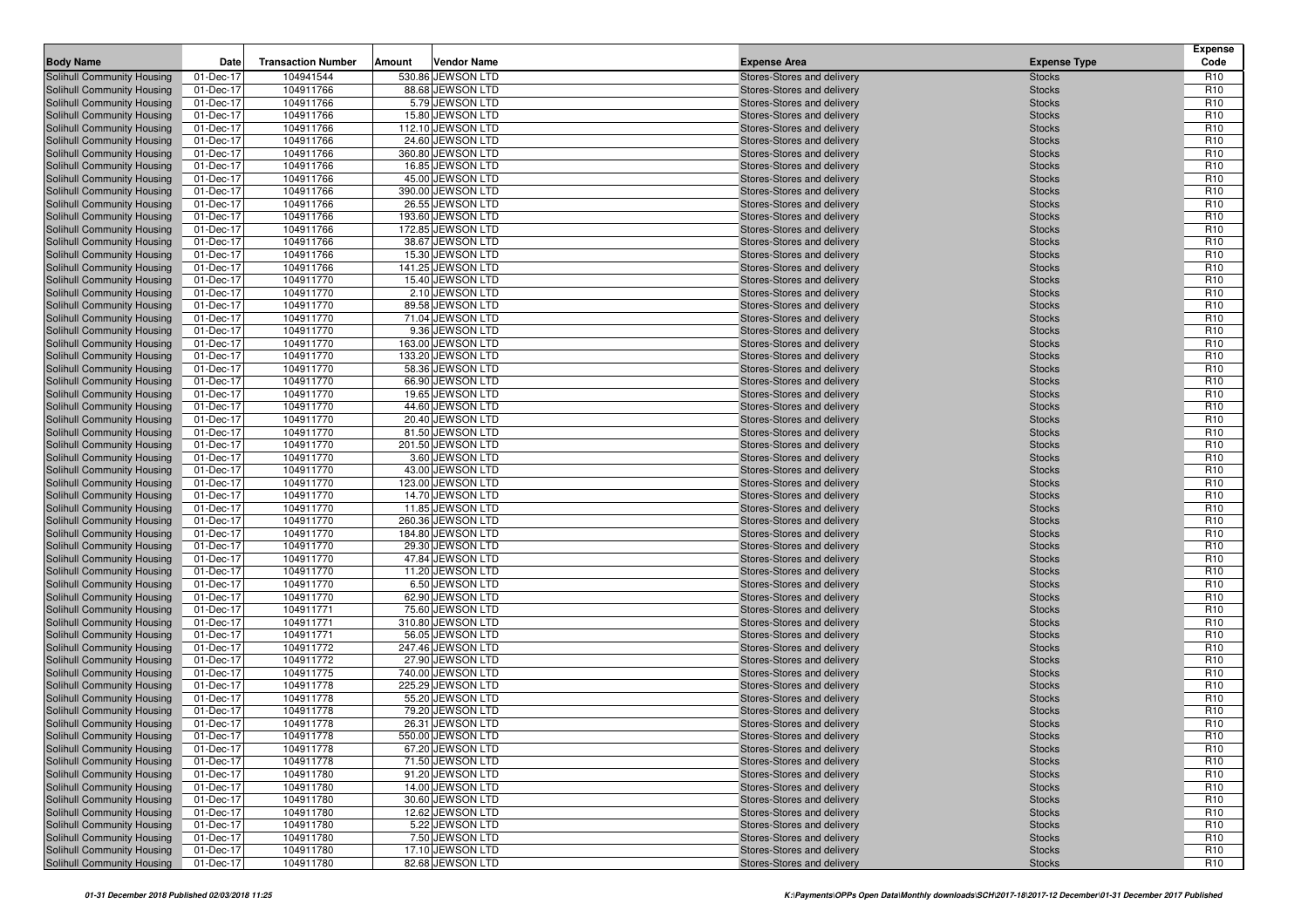| <b>Body Name</b>                                         | Date                   | <b>Transaction Number</b> | Amount | <b>Vendor Name</b>                    | <b>Expense Area</b>                                      | <b>Expense Type</b>            | <b>Expense</b><br>Code             |
|----------------------------------------------------------|------------------------|---------------------------|--------|---------------------------------------|----------------------------------------------------------|--------------------------------|------------------------------------|
| Solihull Community Housing                               | 01-Dec-17              | 104941544                 |        | 530.86 JEWSON LTD                     | Stores-Stores and delivery                               | <b>Stocks</b>                  | R <sub>10</sub>                    |
| Solihull Community Housing                               | 01-Dec-17              | 104911766                 |        | 88.68 JEWSON LTD                      | Stores-Stores and delivery                               | <b>Stocks</b>                  | R <sub>10</sub>                    |
| Solihull Community Housing                               | 01-Dec-17              | 104911766                 |        | 5.79 JEWSON LTD                       | Stores-Stores and delivery                               | <b>Stocks</b>                  | R <sub>10</sub>                    |
| Solihull Community Housing                               | 01-Dec-17              | 104911766                 |        | 15.80 JEWSON LTD                      | Stores-Stores and delivery                               | <b>Stocks</b>                  | R <sub>10</sub>                    |
| Solihull Community Housing                               | 01-Dec-17              | 104911766                 |        | 112.10 JEWSON LTD                     | Stores-Stores and delivery                               | <b>Stocks</b>                  | R <sub>10</sub>                    |
| Solihull Community Housing                               | 01-Dec-17              | 104911766                 |        | 24.60 JEWSON LTD                      | Stores-Stores and delivery                               | <b>Stocks</b>                  | R <sub>10</sub>                    |
| Solihull Community Housing                               | 01-Dec-17              | 104911766                 |        | 360.80 JEWSON LTD                     | Stores-Stores and delivery                               | <b>Stocks</b>                  | R <sub>10</sub>                    |
| Solihull Community Housing                               | 01-Dec-17              | 104911766                 |        | 16.85 JEWSON LTD                      | Stores-Stores and delivery                               | <b>Stocks</b>                  | R <sub>10</sub>                    |
| Solihull Community Housing                               | 01-Dec-17              | 104911766                 |        | 45.00 JEWSON LTD                      | Stores-Stores and delivery                               | <b>Stocks</b>                  | R <sub>10</sub>                    |
| Solihull Community Housing                               | 01-Dec-17              | 104911766                 |        | 390.00 JEWSON LTD                     | Stores-Stores and delivery                               | <b>Stocks</b>                  | R <sub>10</sub>                    |
| Solihull Community Housing                               | 01-Dec-17              | 104911766                 |        | 26.55 JEWSON LTD                      | Stores-Stores and delivery                               | <b>Stocks</b>                  | R <sub>10</sub>                    |
| Solihull Community Housing                               | 01-Dec-17              | 104911766                 |        | 193.60 JEWSON LTD                     | Stores-Stores and delivery                               | <b>Stocks</b>                  | R <sub>10</sub>                    |
| Solihull Community Housing                               | 01-Dec-17              | 104911766                 |        | 172.85 JEWSON LTD                     | Stores-Stores and delivery                               | <b>Stocks</b>                  | R <sub>10</sub>                    |
| Solihull Community Housing                               | 01-Dec-17              | 104911766                 |        | 38.67 JEWSON LTD                      | Stores-Stores and delivery                               | <b>Stocks</b>                  | R <sub>10</sub>                    |
| Solihull Community Housing                               | 01-Dec-17              | 104911766                 |        | 15.30 JEWSON LTD                      | Stores-Stores and delivery                               | <b>Stocks</b>                  | R <sub>10</sub>                    |
| Solihull Community Housing                               | 01-Dec-17              | 104911766                 |        | 141.25 JEWSON LTD                     | Stores-Stores and delivery                               | <b>Stocks</b>                  | R <sub>10</sub>                    |
| Solihull Community Housing                               | 01-Dec-17              | 104911770                 |        | 15.40 JEWSON LTD                      | Stores-Stores and delivery                               | <b>Stocks</b>                  | R <sub>10</sub><br>R <sub>10</sub> |
| Solihull Community Housing                               | 01-Dec-17              | 104911770<br>104911770    |        | 2.10 JEWSON LTD<br>89.58 JEWSON LTD   | Stores-Stores and delivery                               | <b>Stocks</b>                  | R <sub>10</sub>                    |
| Solihull Community Housing<br>Solihull Community Housing | 01-Dec-17<br>01-Dec-17 | 104911770                 |        | 71.04 JEWSON LTD                      | Stores-Stores and delivery<br>Stores-Stores and delivery | <b>Stocks</b><br><b>Stocks</b> | R <sub>10</sub>                    |
| Solihull Community Housing                               | 01-Dec-17              | 104911770                 |        | 9.36 JEWSON LTD                       | Stores-Stores and delivery                               | <b>Stocks</b>                  | R <sub>10</sub>                    |
| Solihull Community Housing                               | 01-Dec-17              | 104911770                 |        | 163.00 JEWSON LTD                     | Stores-Stores and delivery                               | <b>Stocks</b>                  | R <sub>10</sub>                    |
| Solihull Community Housing                               | 01-Dec-17              | 104911770                 |        | 133.20 JEWSON LTD                     | Stores-Stores and delivery                               | <b>Stocks</b>                  | R <sub>10</sub>                    |
| Solihull Community Housing                               | 01-Dec-17              | 104911770                 |        | 58.36 JEWSON LTD                      | Stores-Stores and delivery                               | <b>Stocks</b>                  | R <sub>10</sub>                    |
| Solihull Community Housing                               | 01-Dec-17              | 104911770                 |        | 66.90 JEWSON LTD                      | Stores-Stores and delivery                               | <b>Stocks</b>                  | R <sub>10</sub>                    |
| Solihull Community Housing                               | 01-Dec-17              | 104911770                 |        | 19.65 JEWSON LTD                      | Stores-Stores and delivery                               | <b>Stocks</b>                  | R <sub>10</sub>                    |
| Solihull Community Housing                               | 01-Dec-17              | 104911770                 |        | 44.60 JEWSON LTD                      | Stores-Stores and delivery                               | <b>Stocks</b>                  | R <sub>10</sub>                    |
| Solihull Community Housing                               | 01-Dec-17              | 104911770                 |        | 20.40 JEWSON LTD                      | Stores-Stores and delivery                               | <b>Stocks</b>                  | R <sub>10</sub>                    |
| Solihull Community Housing                               | 01-Dec-17              | 104911770                 |        | 81.50 JEWSON LTD                      | Stores-Stores and delivery                               | <b>Stocks</b>                  | R <sub>10</sub>                    |
| Solihull Community Housing                               | 01-Dec-17              | 104911770                 |        | 201.50 JEWSON LTD                     | Stores-Stores and delivery                               | <b>Stocks</b>                  | R <sub>10</sub>                    |
| Solihull Community Housing                               | 01-Dec-17              | 104911770                 |        | 3.60 JEWSON LTD                       | Stores-Stores and delivery                               | <b>Stocks</b>                  | R <sub>10</sub>                    |
| Solihull Community Housing                               | 01-Dec-17              | 104911770                 |        | 43.00 JEWSON LTD                      | Stores-Stores and delivery                               | <b>Stocks</b>                  | R <sub>10</sub>                    |
| Solihull Community Housing                               | 01-Dec-17              | 104911770                 |        | 123.00 JEWSON LTD                     | Stores-Stores and delivery                               | <b>Stocks</b>                  | R <sub>10</sub>                    |
| Solihull Community Housing                               | 01-Dec-17              | 104911770                 |        | 14.70 JEWSON LTD                      | Stores-Stores and delivery                               | <b>Stocks</b>                  | R <sub>10</sub>                    |
| Solihull Community Housing                               | 01-Dec-17              | 104911770                 |        | 11.85 JEWSON LTD                      | Stores-Stores and delivery                               | <b>Stocks</b>                  | R <sub>10</sub>                    |
| Solihull Community Housing                               | 01-Dec-17              | 104911770                 |        | 260.36 JEWSON LTD                     | Stores-Stores and delivery                               | <b>Stocks</b>                  | R <sub>10</sub>                    |
| Solihull Community Housing                               | 01-Dec-17              | 104911770                 |        | 184.80 JEWSON LTD                     | Stores-Stores and delivery                               | <b>Stocks</b>                  | R <sub>10</sub>                    |
| Solihull Community Housing                               | 01-Dec-17              | 104911770                 |        | 29.30 JEWSON LTD                      | Stores-Stores and delivery                               | <b>Stocks</b>                  | R <sub>10</sub>                    |
| Solihull Community Housing                               | 01-Dec-17              | 104911770                 |        | 47.84 JEWSON LTD                      | Stores-Stores and delivery                               | <b>Stocks</b>                  | R <sub>10</sub>                    |
| Solihull Community Housing                               | 01-Dec-17              | 104911770                 |        | 11.20 JEWSON LTD                      | Stores-Stores and delivery                               | <b>Stocks</b>                  | R <sub>10</sub>                    |
| Solihull Community Housing                               | 01-Dec-17              | 104911770                 |        | 6.50 JEWSON LTD                       | Stores-Stores and delivery                               | <b>Stocks</b>                  | R <sub>10</sub>                    |
| Solihull Community Housing                               | 01-Dec-17              | 104911770                 |        | 62.90 JEWSON LTD                      | Stores-Stores and delivery                               | <b>Stocks</b>                  | R <sub>10</sub>                    |
| Solihull Community Housing                               | 01-Dec-17              | 104911771<br>104911771    |        | 75.60 JEWSON LTD<br>310.80 JEWSON LTD | Stores-Stores and delivery                               | <b>Stocks</b>                  | R <sub>10</sub><br>R <sub>10</sub> |
| Solihull Community Housing<br>Solihull Community Housing | 01-Dec-17<br>01-Dec-17 | 104911771                 |        | 56.05 JEWSON LTD                      | Stores-Stores and delivery<br>Stores-Stores and delivery | <b>Stocks</b><br><b>Stocks</b> | R <sub>10</sub>                    |
| Solihull Community Housing                               | 01-Dec-17              | 104911772                 |        | 247.46 JEWSON LTD                     | Stores-Stores and delivery                               | <b>Stocks</b>                  | R <sub>10</sub>                    |
| Solihull Community Housing                               | 01-Dec-17              | 104911772                 |        | 27.90 JEWSON LTD                      | Stores-Stores and delivery                               | <b>Stocks</b>                  | R <sub>10</sub>                    |
| Solihull Community Housing                               | 01-Dec-17              | 104911775                 |        | 740.00 JEWSON LTD                     | Stores-Stores and delivery                               | <b>Stocks</b>                  | R <sub>10</sub>                    |
| Solihull Community Housing                               | 01-Dec-17              | 104911778                 |        | 225.29 JEWSON LTD                     | Stores-Stores and delivery                               | <b>Stocks</b>                  | R <sub>10</sub>                    |
| Solihull Community Housing                               | 01-Dec-17              | 104911778                 |        | 55.20 JEWSON LTD                      | Stores-Stores and delivery                               | <b>Stocks</b>                  | R <sub>10</sub>                    |
| Solihull Community Housing                               | 01-Dec-17              | 104911778                 |        | 79.20 JEWSON LTD                      | Stores-Stores and delivery                               | <b>Stocks</b>                  | R <sub>10</sub>                    |
| <b>Solihull Community Housing</b>                        | 01-Dec-17              | 104911778                 |        | 26.31 JEWSON LTD                      | Stores-Stores and delivery                               | <b>Stocks</b>                  | R <sub>10</sub>                    |
| Solihull Community Housing                               | 01-Dec-17              | 104911778                 |        | 550.00 JEWSON LTD                     | Stores-Stores and delivery                               | <b>Stocks</b>                  | R <sub>10</sub>                    |
| Solihull Community Housing                               | 01-Dec-17              | 104911778                 |        | 67.20 JEWSON LTD                      | Stores-Stores and delivery                               | <b>Stocks</b>                  | R <sub>10</sub>                    |
| Solihull Community Housing                               | 01-Dec-17              | 104911778                 |        | 71.50 JEWSON LTD                      | Stores-Stores and delivery                               | <b>Stocks</b>                  | R <sub>10</sub>                    |
| Solihull Community Housing                               | 01-Dec-17              | 104911780                 |        | 91.20 JEWSON LTD                      | Stores-Stores and delivery                               | <b>Stocks</b>                  | R <sub>10</sub>                    |
| Solihull Community Housing                               | 01-Dec-17              | 104911780                 |        | 14.00 JEWSON LTD                      | Stores-Stores and delivery                               | <b>Stocks</b>                  | R <sub>10</sub>                    |
| Solihull Community Housing                               | 01-Dec-17              | 104911780                 |        | 30.60 JEWSON LTD                      | Stores-Stores and delivery                               | <b>Stocks</b>                  | R <sub>10</sub>                    |
| Solihull Community Housing                               | 01-Dec-17              | 104911780                 |        | 12.62 JEWSON LTD                      | Stores-Stores and delivery                               | <b>Stocks</b>                  | R <sub>10</sub>                    |
| Solihull Community Housing                               | 01-Dec-17              | 104911780                 |        | 5.22 JEWSON LTD                       | Stores-Stores and delivery                               | <b>Stocks</b>                  | R <sub>10</sub>                    |
| Solihull Community Housing                               | 01-Dec-17              | 104911780                 |        | 7.50 JEWSON LTD                       | Stores-Stores and delivery                               | <b>Stocks</b>                  | R <sub>10</sub>                    |
| Solihull Community Housing                               | 01-Dec-17              | 104911780                 |        | 17.10 JEWSON LTD                      | Stores-Stores and delivery                               | <b>Stocks</b>                  | R <sub>10</sub>                    |
| Solihull Community Housing                               | 01-Dec-17              | 104911780                 |        | 82.68 JEWSON LTD                      | Stores-Stores and delivery                               | <b>Stocks</b>                  | R <sub>10</sub>                    |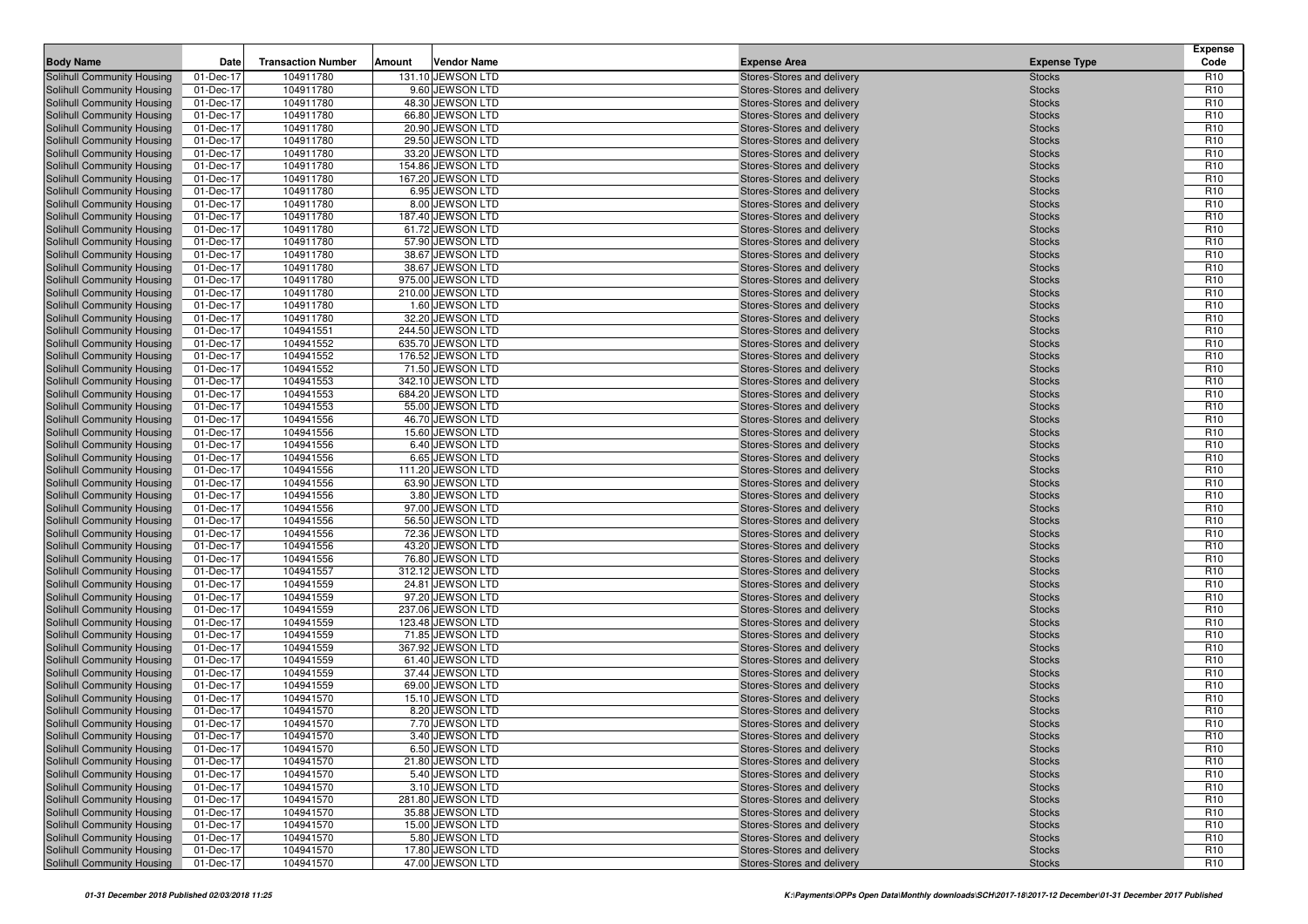| <b>Body Name</b>                                         | Date                   | <b>Transaction Number</b> | Amount | <b>Vendor Name</b>                     | <b>Expense Area</b>                                      | <b>Expense Type</b>            | <b>Expense</b><br>Code             |
|----------------------------------------------------------|------------------------|---------------------------|--------|----------------------------------------|----------------------------------------------------------|--------------------------------|------------------------------------|
| Solihull Community Housing                               | 01-Dec-17              | 104911780                 |        | 131.10 JEWSON LTD                      | Stores-Stores and delivery                               | <b>Stocks</b>                  | R <sub>10</sub>                    |
| Solihull Community Housing                               | 01-Dec-17              | 104911780                 |        | 9.60 JEWSON LTD                        | Stores-Stores and delivery                               | <b>Stocks</b>                  | R <sub>10</sub>                    |
| Solihull Community Housing                               | 01-Dec-17              | 104911780                 |        | 48.30 JEWSON LTD                       | Stores-Stores and delivery                               | <b>Stocks</b>                  | R <sub>10</sub>                    |
| Solihull Community Housing                               | 01-Dec-17              | 104911780                 |        | 66.80 JEWSON LTD                       | Stores-Stores and delivery                               | <b>Stocks</b>                  | R <sub>10</sub>                    |
| Solihull Community Housing                               | 01-Dec-17              | 104911780                 |        | 20.90 JEWSON LTD                       | Stores-Stores and delivery                               | <b>Stocks</b>                  | R <sub>10</sub>                    |
| Solihull Community Housing                               | 01-Dec-17              | 104911780                 |        | 29.50 JEWSON LTD                       | Stores-Stores and delivery                               | <b>Stocks</b>                  | R <sub>10</sub>                    |
| Solihull Community Housing                               | 01-Dec-17              | 104911780                 |        | 33.20 JEWSON LTD                       | Stores-Stores and delivery                               | <b>Stocks</b>                  | R <sub>10</sub>                    |
| Solihull Community Housing                               | 01-Dec-17              | 104911780                 |        | 154.86 JEWSON LTD                      | Stores-Stores and delivery                               | <b>Stocks</b>                  | R <sub>10</sub>                    |
| Solihull Community Housing                               | 01-Dec-17              | 104911780                 |        | 167.20 JEWSON LTD                      | Stores-Stores and delivery                               | <b>Stocks</b>                  | R <sub>10</sub>                    |
| Solihull Community Housing                               | 01-Dec-17              | 104911780                 |        | 6.95 JEWSON LTD                        | Stores-Stores and delivery                               | <b>Stocks</b>                  | R <sub>10</sub>                    |
| Solihull Community Housing                               | 01-Dec-17              | 104911780                 |        | 8.00 JEWSON LTD                        | Stores-Stores and delivery                               | <b>Stocks</b>                  | R <sub>10</sub>                    |
| Solihull Community Housing                               | 01-Dec-17              | 104911780                 |        | 187.40 JEWSON LTD                      | Stores-Stores and delivery                               | <b>Stocks</b>                  | R <sub>10</sub>                    |
| Solihull Community Housing                               | 01-Dec-17              | 104911780                 |        | 61.72 JEWSON LTD                       | Stores-Stores and delivery                               | <b>Stocks</b>                  | R <sub>10</sub>                    |
| Solihull Community Housing                               | 01-Dec-17              | 104911780                 |        | 57.90 JEWSON LTD                       | Stores-Stores and delivery                               | <b>Stocks</b>                  | R <sub>10</sub>                    |
| Solihull Community Housing                               | 01-Dec-17              | 104911780                 |        | 38.67 JEWSON LTD                       | Stores-Stores and delivery                               | <b>Stocks</b>                  | R <sub>10</sub>                    |
| Solihull Community Housing                               | 01-Dec-17              | 104911780                 |        | 38.67 JEWSON LTD                       | Stores-Stores and delivery                               | <b>Stocks</b>                  | R <sub>10</sub>                    |
| Solihull Community Housing                               | 01-Dec-17              | 104911780                 |        | 975.00 JEWSON LTD                      | Stores-Stores and delivery                               | <b>Stocks</b>                  | R <sub>10</sub><br>R <sub>10</sub> |
| Solihull Community Housing<br>Solihull Community Housing | 01-Dec-17<br>01-Dec-17 | 104911780<br>104911780    |        | 210.00 JEWSON LTD<br>1.60 JEWSON LTD   | Stores-Stores and delivery<br>Stores-Stores and delivery | <b>Stocks</b><br><b>Stocks</b> | R <sub>10</sub>                    |
| Solihull Community Housing                               | 01-Dec-17              | 104911780                 |        | 32.20 JEWSON LTD                       | Stores-Stores and delivery                               | <b>Stocks</b>                  | R <sub>10</sub>                    |
| Solihull Community Housing                               | 01-Dec-17              | 104941551                 |        | 244.50 JEWSON LTD                      | Stores-Stores and delivery                               | <b>Stocks</b>                  | R <sub>10</sub>                    |
| Solihull Community Housing                               | 01-Dec-17              | 104941552                 |        | 635.70 JEWSON LTD                      | Stores-Stores and delivery                               | <b>Stocks</b>                  | R <sub>10</sub>                    |
| Solihull Community Housing                               | 01-Dec-17              | 104941552                 |        | 176.52 JEWSON LTD                      | Stores-Stores and delivery                               | <b>Stocks</b>                  | R <sub>10</sub>                    |
| Solihull Community Housing                               | 01-Dec-17              | 104941552                 |        | 71.50 JEWSON LTD                       | Stores-Stores and delivery                               | <b>Stocks</b>                  | R <sub>10</sub>                    |
| Solihull Community Housing                               | 01-Dec-17              | 104941553                 |        | 342.10 JEWSON LTD                      | Stores-Stores and delivery                               | <b>Stocks</b>                  | R <sub>10</sub>                    |
| Solihull Community Housing                               | 01-Dec-17              | 104941553                 |        | 684.20 JEWSON LTD                      | Stores-Stores and delivery                               | <b>Stocks</b>                  | R <sub>10</sub>                    |
| Solihull Community Housing                               | 01-Dec-17              | 104941553                 |        | 55.00 JEWSON LTD                       | Stores-Stores and delivery                               | <b>Stocks</b>                  | R <sub>10</sub>                    |
| Solihull Community Housing                               | 01-Dec-17              | 104941556                 |        | 46.70 JEWSON LTD                       | Stores-Stores and delivery                               | <b>Stocks</b>                  | R <sub>10</sub>                    |
| Solihull Community Housing                               | 01-Dec-17              | 104941556                 |        | 15.60 JEWSON LTD                       | Stores-Stores and delivery                               | <b>Stocks</b>                  | R <sub>10</sub>                    |
| Solihull Community Housing                               | 01-Dec-17              | 104941556                 |        | 6.40 JEWSON LTD                        | Stores-Stores and delivery                               | <b>Stocks</b>                  | R <sub>10</sub>                    |
| Solihull Community Housing                               | 01-Dec-17              | 104941556                 |        | 6.65 JEWSON LTD                        | Stores-Stores and delivery                               | <b>Stocks</b>                  | R <sub>10</sub>                    |
| Solihull Community Housing                               | 01-Dec-17              | 104941556                 |        | 111.20 JEWSON LTD                      | Stores-Stores and delivery                               | <b>Stocks</b>                  | R <sub>10</sub>                    |
| Solihull Community Housing                               | 01-Dec-17              | 104941556                 |        | 63.90 JEWSON LTD                       | Stores-Stores and delivery                               | <b>Stocks</b>                  | R <sub>10</sub>                    |
| Solihull Community Housing                               | 01-Dec-17              | 104941556                 |        | 3.80 JEWSON LTD                        | Stores-Stores and delivery                               | <b>Stocks</b>                  | R <sub>10</sub>                    |
| Solihull Community Housing                               | 01-Dec-17              | 104941556                 |        | 97.00 JEWSON LTD                       | Stores-Stores and delivery                               | <b>Stocks</b>                  | R <sub>10</sub>                    |
| Solihull Community Housing                               | 01-Dec-17              | 104941556                 |        | 56.50 JEWSON LTD                       | Stores-Stores and delivery                               | <b>Stocks</b>                  | R <sub>10</sub>                    |
| Solihull Community Housing                               | 01-Dec-17              | 104941556                 |        | 72.36 JEWSON LTD                       | Stores-Stores and delivery                               | <b>Stocks</b>                  | R <sub>10</sub>                    |
| Solihull Community Housing                               | 01-Dec-17              | 104941556                 |        | 43.20 JEWSON LTD                       | Stores-Stores and delivery                               | <b>Stocks</b>                  | R <sub>10</sub>                    |
| Solihull Community Housing                               | 01-Dec-17              | 104941556                 |        | 76.80 JEWSON LTD                       | Stores-Stores and delivery                               | <b>Stocks</b>                  | R <sub>10</sub>                    |
| Solihull Community Housing                               | 01-Dec-17              | 104941557                 |        | 312.12 JEWSON LTD                      | Stores-Stores and delivery                               | <b>Stocks</b>                  | R <sub>10</sub>                    |
| Solihull Community Housing                               | 01-Dec-17              | 104941559                 |        | 24.81 JEWSON LTD                       | Stores-Stores and delivery                               | <b>Stocks</b>                  | R <sub>10</sub>                    |
| Solihull Community Housing                               | 01-Dec-17              | 104941559                 |        | 97.20 JEWSON LTD                       | Stores-Stores and delivery                               | <b>Stocks</b>                  | R <sub>10</sub><br>R <sub>10</sub> |
| Solihull Community Housing                               | 01-Dec-17              | 104941559<br>104941559    |        | 237.06 JEWSON LTD<br>123.48 JEWSON LTD | Stores-Stores and delivery                               | <b>Stocks</b>                  | R <sub>10</sub>                    |
| Solihull Community Housing<br>Solihull Community Housing | 01-Dec-17<br>01-Dec-17 | 104941559                 |        | 71.85 JEWSON LTD                       | Stores-Stores and delivery<br>Stores-Stores and delivery | <b>Stocks</b><br><b>Stocks</b> | R <sub>10</sub>                    |
| Solihull Community Housing                               | 01-Dec-17              | 104941559                 |        | 367.92 JEWSON LTD                      | Stores-Stores and delivery                               | <b>Stocks</b>                  | R <sub>10</sub>                    |
| Solihull Community Housing                               | 01-Dec-17              | 104941559                 |        | 61.40 JEWSON LTD                       | Stores-Stores and delivery                               | <b>Stocks</b>                  | R <sub>10</sub>                    |
| Solihull Community Housing                               | 01-Dec-17              | 104941559                 |        | 37.44 JEWSON LTD                       | Stores-Stores and delivery                               | <b>Stocks</b>                  | R <sub>10</sub>                    |
| Solihull Community Housing                               | 01-Dec-17              | 104941559                 |        | 69.00 JEWSON LTD                       | Stores-Stores and delivery                               | <b>Stocks</b>                  | R <sub>10</sub>                    |
| Solihull Community Housing                               | 01-Dec-17              | 104941570                 |        | 15.10 JEWSON LTD                       | Stores-Stores and delivery                               | <b>Stocks</b>                  | R <sub>10</sub>                    |
| Solihull Community Housing                               | 01-Dec-17              | 104941570                 |        | 8.20 JEWSON LTD                        | Stores-Stores and delivery                               | <b>Stocks</b>                  | R <sub>10</sub>                    |
| <b>Solihull Community Housing</b>                        | 01-Dec-17              | 104941570                 |        | 7.70 JEWSON LTD                        | Stores-Stores and delivery                               | <b>Stocks</b>                  | R <sub>10</sub>                    |
| Solihull Community Housing                               | 01-Dec-17              | 104941570                 |        | 3.40 JEWSON LTD                        | Stores-Stores and delivery                               | <b>Stocks</b>                  | R <sub>10</sub>                    |
| Solihull Community Housing                               | 01-Dec-17              | 104941570                 |        | 6.50 JEWSON LTD                        | Stores-Stores and delivery                               | <b>Stocks</b>                  | R <sub>10</sub>                    |
| Solihull Community Housing                               | 01-Dec-17              | 104941570                 |        | 21.80 JEWSON LTD                       | Stores-Stores and delivery                               | <b>Stocks</b>                  | R <sub>10</sub>                    |
| Solihull Community Housing                               | 01-Dec-17              | 104941570                 |        | 5.40 JEWSON LTD                        | Stores-Stores and delivery                               | <b>Stocks</b>                  | R <sub>10</sub>                    |
| Solihull Community Housing                               | 01-Dec-17              | 104941570                 |        | 3.10 JEWSON LTD                        | Stores-Stores and delivery                               | <b>Stocks</b>                  | R <sub>10</sub>                    |
| Solihull Community Housing                               | 01-Dec-17              | 104941570                 |        | 281.80 JEWSON LTD                      | Stores-Stores and delivery                               | <b>Stocks</b>                  | R <sub>10</sub>                    |
| Solihull Community Housing                               | 01-Dec-17              | 104941570                 |        | 35.88 JEWSON LTD                       | Stores-Stores and delivery                               | <b>Stocks</b>                  | R <sub>10</sub>                    |
| Solihull Community Housing                               | 01-Dec-17              | 104941570                 |        | 15.00 JEWSON LTD                       | Stores-Stores and delivery                               | <b>Stocks</b>                  | R <sub>10</sub>                    |
| Solihull Community Housing                               | 01-Dec-17              | 104941570                 |        | 5.80 JEWSON LTD                        | Stores-Stores and delivery                               | <b>Stocks</b>                  | R <sub>10</sub>                    |
| Solihull Community Housing                               | 01-Dec-17              | 104941570                 |        | 17.80 JEWSON LTD                       | Stores-Stores and delivery                               | <b>Stocks</b>                  | R <sub>10</sub>                    |
| Solihull Community Housing                               | 01-Dec-17              | 104941570                 |        | 47.00 JEWSON LTD                       | Stores-Stores and delivery                               | <b>Stocks</b>                  | R <sub>10</sub>                    |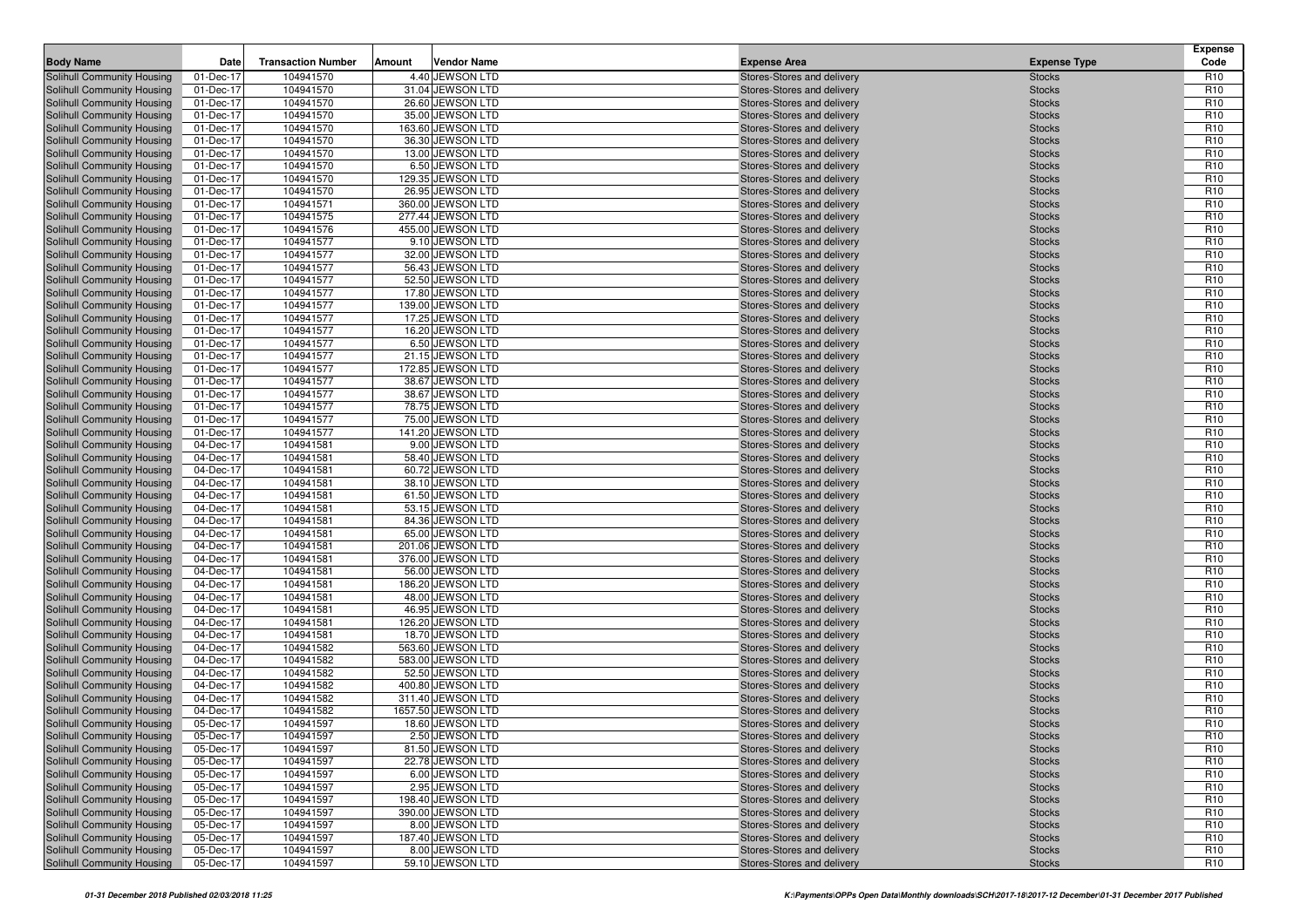| <b>Body Name</b>                                         | Date                   | <b>Transaction Number</b> | Amount | <b>Vendor Name</b>                    | <b>Expense Area</b>                                      | <b>Expense Type</b>            | <b>Expense</b><br>Code             |
|----------------------------------------------------------|------------------------|---------------------------|--------|---------------------------------------|----------------------------------------------------------|--------------------------------|------------------------------------|
| Solihull Community Housing                               | 01-Dec-17              | 104941570                 |        | 4.40 JEWSON LTD                       | Stores-Stores and delivery                               | <b>Stocks</b>                  | R <sub>10</sub>                    |
| Solihull Community Housing                               | 01-Dec-17              | 104941570                 |        | 31.04 JEWSON LTD                      | Stores-Stores and delivery                               | <b>Stocks</b>                  | R <sub>10</sub>                    |
| Solihull Community Housing                               | 01-Dec-17              | 104941570                 |        | 26.60 JEWSON LTD                      | Stores-Stores and delivery                               | <b>Stocks</b>                  | R <sub>10</sub>                    |
| Solihull Community Housing                               | 01-Dec-17              | 104941570                 |        | 35.00 JEWSON LTD                      | Stores-Stores and delivery                               | <b>Stocks</b>                  | R <sub>10</sub>                    |
| Solihull Community Housing                               | 01-Dec-17              | 104941570                 |        | 163.60 JEWSON LTD                     | Stores-Stores and delivery                               | <b>Stocks</b>                  | R <sub>10</sub>                    |
| Solihull Community Housing                               | 01-Dec-17              | 104941570                 |        | 36.30 JEWSON LTD                      | Stores-Stores and delivery                               | <b>Stocks</b>                  | R <sub>10</sub>                    |
| Solihull Community Housing                               | 01-Dec-17              | 104941570                 |        | 13.00 JEWSON LTD                      | Stores-Stores and delivery                               | <b>Stocks</b>                  | R <sub>10</sub>                    |
| Solihull Community Housing                               | 01-Dec-17              | 104941570                 |        | 6.50 JEWSON LTD                       | Stores-Stores and delivery                               | <b>Stocks</b>                  | R <sub>10</sub>                    |
| Solihull Community Housing                               | 01-Dec-17              | 104941570                 |        | 129.35 JEWSON LTD                     | Stores-Stores and delivery                               | <b>Stocks</b>                  | R <sub>10</sub>                    |
| Solihull Community Housing                               | 01-Dec-17              | 104941570                 |        | 26.95 JEWSON LTD                      | Stores-Stores and delivery                               | <b>Stocks</b>                  | R <sub>10</sub>                    |
| Solihull Community Housing                               | 01-Dec-17              | 104941571                 |        | 360.00 JEWSON LTD                     | Stores-Stores and delivery                               | <b>Stocks</b>                  | R <sub>10</sub>                    |
| Solihull Community Housing                               | 01-Dec-17              | 104941575                 |        | 277.44 JEWSON LTD                     | Stores-Stores and delivery                               | <b>Stocks</b>                  | R <sub>10</sub>                    |
| Solihull Community Housing                               | 01-Dec-17              | 104941576                 |        | 455.00 JEWSON LTD                     | Stores-Stores and delivery                               | <b>Stocks</b>                  | R <sub>10</sub>                    |
| Solihull Community Housing                               | 01-Dec-17              | 104941577                 |        | 9.10 JEWSON LTD                       | Stores-Stores and delivery                               | <b>Stocks</b>                  | R <sub>10</sub>                    |
| Solihull Community Housing                               | 01-Dec-17              | 104941577                 |        | 32.00 JEWSON LTD                      | Stores-Stores and delivery                               | <b>Stocks</b>                  | R <sub>10</sub>                    |
| Solihull Community Housing<br>Solihull Community Housing | 01-Dec-17<br>01-Dec-17 | 104941577<br>104941577    |        | 56.43 JEWSON LTD<br>52.50 JEWSON LTD  | Stores-Stores and delivery<br>Stores-Stores and delivery | <b>Stocks</b><br><b>Stocks</b> | R <sub>10</sub><br>R <sub>10</sub> |
| Solihull Community Housing                               | 01-Dec-17              | 104941577                 |        | 17.80 JEWSON LTD                      | Stores-Stores and delivery                               | <b>Stocks</b>                  | R <sub>10</sub>                    |
| Solihull Community Housing                               | 01-Dec-17              | 104941577                 |        | 139.00 JEWSON LTD                     | Stores-Stores and delivery                               | <b>Stocks</b>                  | R <sub>10</sub>                    |
| Solihull Community Housing                               | 01-Dec-17              | 104941577                 |        | 17.25 JEWSON LTD                      | Stores-Stores and delivery                               | <b>Stocks</b>                  | R <sub>10</sub>                    |
| Solihull Community Housing                               | 01-Dec-17              | 104941577                 |        | 16.20 JEWSON LTD                      | Stores-Stores and delivery                               | <b>Stocks</b>                  | R <sub>10</sub>                    |
| Solihull Community Housing                               | 01-Dec-17              | 104941577                 |        | 6.50 JEWSON LTD                       | Stores-Stores and delivery                               | <b>Stocks</b>                  | R <sub>10</sub>                    |
| Solihull Community Housing                               | 01-Dec-17              | 104941577                 |        | 21.15 JEWSON LTD                      | Stores-Stores and delivery                               | <b>Stocks</b>                  | R <sub>10</sub>                    |
| Solihull Community Housing                               | 01-Dec-17              | 104941577                 |        | 172.85 JEWSON LTD                     | Stores-Stores and delivery                               | <b>Stocks</b>                  | R <sub>10</sub>                    |
| Solihull Community Housing                               | 01-Dec-17              | 104941577                 |        | 38.67 JEWSON LTD                      | Stores-Stores and delivery                               | <b>Stocks</b>                  | R <sub>10</sub>                    |
| Solihull Community Housing                               | 01-Dec-17              | 104941577                 |        | 38.67 JEWSON LTD                      | Stores-Stores and delivery                               | <b>Stocks</b>                  | R <sub>10</sub>                    |
| Solihull Community Housing                               | 01-Dec-17              | 104941577                 |        | 78.75 JEWSON LTD                      | Stores-Stores and delivery                               | <b>Stocks</b>                  | R <sub>10</sub>                    |
| Solihull Community Housing                               | 01-Dec-17              | 104941577                 |        | 75.00 JEWSON LTD                      | Stores-Stores and delivery                               | <b>Stocks</b>                  | R <sub>10</sub>                    |
| Solihull Community Housing                               | 01-Dec-17              | 104941577                 |        | 141.20 JEWSON LTD                     | Stores-Stores and delivery                               | <b>Stocks</b>                  | R <sub>10</sub>                    |
| Solihull Community Housing                               | 04-Dec-17              | 104941581                 |        | 9.00 JEWSON LTD                       | Stores-Stores and delivery                               | <b>Stocks</b>                  | R <sub>10</sub>                    |
| Solihull Community Housing                               | 04-Dec-17              | 104941581                 |        | 58.40 JEWSON LTD                      | Stores-Stores and delivery                               | <b>Stocks</b>                  | R <sub>10</sub>                    |
| Solihull Community Housing                               | 04-Dec-17              | 104941581                 |        | 60.72 JEWSON LTD                      | Stores-Stores and delivery                               | <b>Stocks</b>                  | R <sub>10</sub>                    |
| Solihull Community Housing                               | 04-Dec-17              | 104941581                 |        | 38.10 JEWSON LTD                      | Stores-Stores and delivery                               | <b>Stocks</b>                  | R <sub>10</sub>                    |
| Solihull Community Housing                               | 04-Dec-17              | 104941581                 |        | 61.50 JEWSON LTD                      | Stores-Stores and delivery                               | <b>Stocks</b>                  | R <sub>10</sub>                    |
| Solihull Community Housing                               | 04-Dec-17              | 104941581                 |        | 53.15 JEWSON LTD                      | Stores-Stores and delivery                               | <b>Stocks</b>                  | R <sub>10</sub>                    |
| Solihull Community Housing                               | 04-Dec-17              | 104941581                 |        | 84.36 JEWSON LTD                      | Stores-Stores and delivery                               | <b>Stocks</b>                  | R <sub>10</sub>                    |
| Solihull Community Housing                               | 04-Dec-17              | 104941581                 |        | 65.00 JEWSON LTD                      | Stores-Stores and delivery                               | <b>Stocks</b>                  | R <sub>10</sub>                    |
| Solihull Community Housing                               | 04-Dec-17              | 104941581                 |        | 201.06 JEWSON LTD                     | Stores-Stores and delivery                               | <b>Stocks</b>                  | R <sub>10</sub>                    |
| Solihull Community Housing                               | 04-Dec-17              | 104941581                 |        | 376.00 JEWSON LTD                     | Stores-Stores and delivery                               | <b>Stocks</b>                  | R <sub>10</sub>                    |
| Solihull Community Housing                               | 04-Dec-17              | 104941581<br>104941581    |        | 56.00 JEWSON LTD<br>186.20 JEWSON LTD | Stores-Stores and delivery                               | <b>Stocks</b>                  | R <sub>10</sub><br>R <sub>10</sub> |
| Solihull Community Housing<br>Solihull Community Housing | 04-Dec-17<br>04-Dec-17 | 104941581                 |        | 48.00 JEWSON LTD                      | Stores-Stores and delivery<br>Stores-Stores and delivery | <b>Stocks</b><br><b>Stocks</b> | R <sub>10</sub>                    |
| Solihull Community Housing                               | 04-Dec-17              | 104941581                 |        | 46.95 JEWSON LTD                      | Stores-Stores and delivery                               | <b>Stocks</b>                  | R <sub>10</sub>                    |
| Solihull Community Housing                               | 04-Dec-17              | 104941581                 |        | 126.20 JEWSON LTD                     | Stores-Stores and delivery                               | <b>Stocks</b>                  | R <sub>10</sub>                    |
| Solihull Community Housing                               | 04-Dec-17              | 104941581                 |        | 18.70 JEWSON LTD                      | Stores-Stores and delivery                               | <b>Stocks</b>                  | R <sub>10</sub>                    |
| Solihull Community Housing                               | 04-Dec-17              | 104941582                 |        | 563.60 JEWSON LTD                     | Stores-Stores and delivery                               | <b>Stocks</b>                  | R <sub>10</sub>                    |
| Solihull Community Housing                               | 04-Dec-17              | 104941582                 |        | 583.00 JEWSON LTD                     | Stores-Stores and delivery                               | <b>Stocks</b>                  | R <sub>10</sub>                    |
| Solihull Community Housing                               | 04-Dec-17              | 104941582                 |        | 52.50 JEWSON LTD                      | Stores-Stores and delivery                               | <b>Stocks</b>                  | R <sub>10</sub>                    |
| Solihull Community Housing                               | 04-Dec-17              | 104941582                 |        | 400.80 JEWSON LTD                     | Stores-Stores and delivery                               | <b>Stocks</b>                  | R <sub>10</sub>                    |
| Solihull Community Housing                               | 04-Dec-17              | 104941582                 |        | 311.40 JEWSON LTD                     | Stores-Stores and delivery                               | <b>Stocks</b>                  | R <sub>10</sub>                    |
| Solihull Community Housing                               | 04-Dec-17              | 104941582                 |        | 1657.50 JEWSON LTD                    | Stores-Stores and delivery                               | <b>Stocks</b>                  | R <sub>10</sub>                    |
| <b>Solihull Community Housing</b>                        | 05-Dec-17              | 104941597                 |        | 18.60 JEWSON LTD                      | Stores-Stores and delivery                               | <b>Stocks</b>                  | R <sub>10</sub>                    |
| Solihull Community Housing                               | 05-Dec-17              | 104941597                 |        | 2.50 JEWSON LTD                       | Stores-Stores and delivery                               | <b>Stocks</b>                  | R <sub>10</sub>                    |
| Solihull Community Housing                               | 05-Dec-17              | 104941597                 |        | 81.50 JEWSON LTD                      | Stores-Stores and delivery                               | <b>Stocks</b>                  | R <sub>10</sub>                    |
| Solihull Community Housing                               | 05-Dec-17              | 104941597                 |        | 22.78 JEWSON LTD                      | Stores-Stores and delivery                               | <b>Stocks</b>                  | R <sub>10</sub>                    |
| Solihull Community Housing                               | 05-Dec-17              | 104941597                 |        | 6.00 JEWSON LTD                       | Stores-Stores and delivery                               | <b>Stocks</b>                  | R <sub>10</sub>                    |
| Solihull Community Housing                               | 05-Dec-17              | 104941597                 |        | 2.95 JEWSON LTD                       | Stores-Stores and delivery                               | <b>Stocks</b>                  | R <sub>10</sub>                    |
| Solihull Community Housing                               | 05-Dec-17              | 104941597                 |        | 198.40 JEWSON LTD                     | Stores-Stores and delivery                               | <b>Stocks</b>                  | R <sub>10</sub>                    |
| Solihull Community Housing                               | 05-Dec-17              | 104941597                 |        | 390.00 JEWSON LTD                     | Stores-Stores and delivery                               | <b>Stocks</b>                  | R <sub>10</sub>                    |
| Solihull Community Housing                               | 05-Dec-17              | 104941597                 |        | 8.00 JEWSON LTD                       | Stores-Stores and delivery                               | <b>Stocks</b>                  | R <sub>10</sub>                    |
| Solihull Community Housing                               | 05-Dec-17              | 104941597                 |        | 187.40 JEWSON LTD                     | Stores-Stores and delivery                               | <b>Stocks</b>                  | R <sub>10</sub>                    |
| Solihull Community Housing                               | 05-Dec-17              | 104941597                 |        | 8.00 JEWSON LTD                       | Stores-Stores and delivery                               | <b>Stocks</b>                  | R <sub>10</sub>                    |
| Solihull Community Housing                               | 05-Dec-17              | 104941597                 |        | 59.10 JEWSON LTD                      | Stores-Stores and delivery                               | <b>Stocks</b>                  | R <sub>10</sub>                    |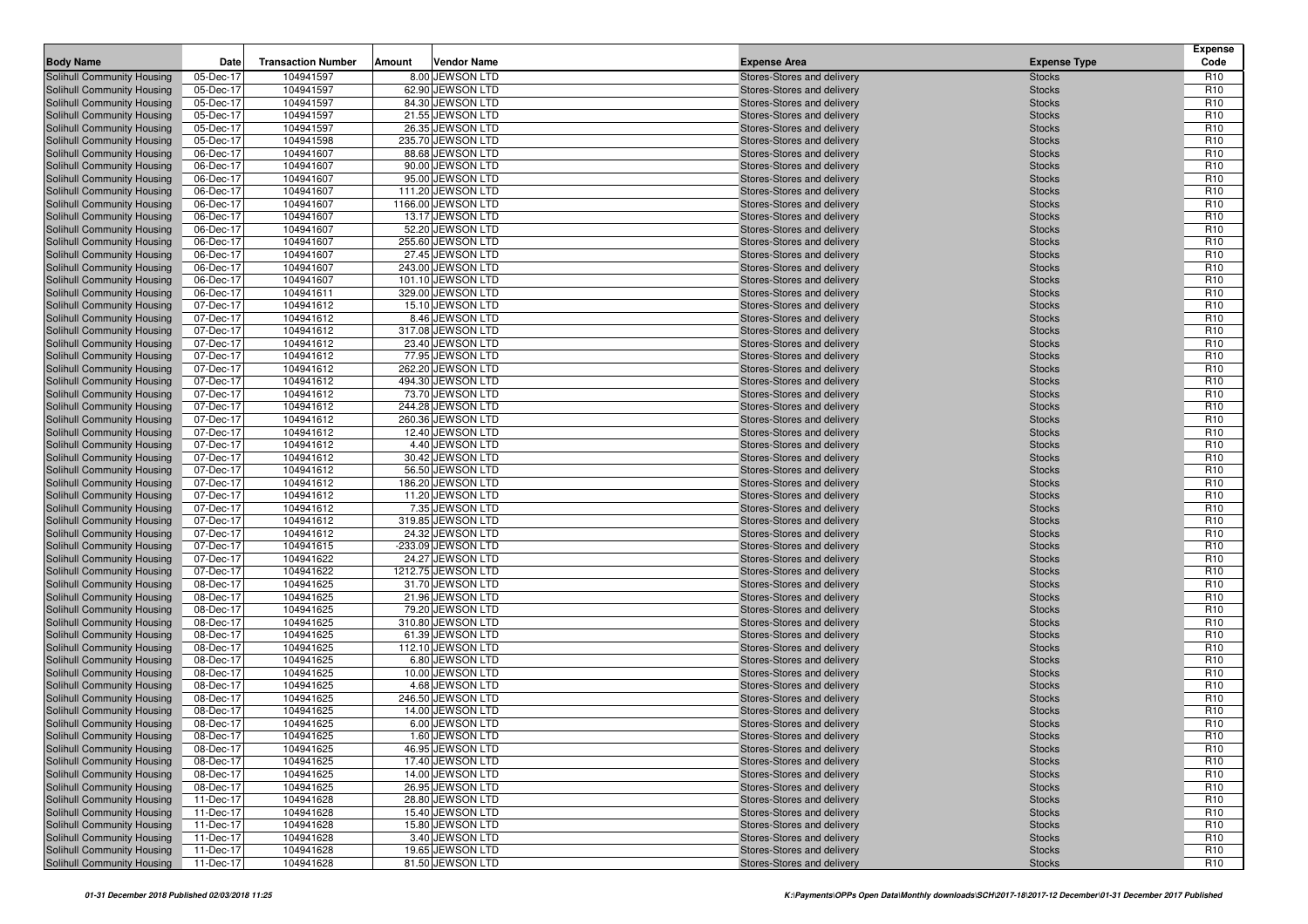| <b>Body Name</b>                                         | Date                   | <b>Transaction Number</b> | Amount | <b>Vendor Name</b>                    | <b>Expense Area</b>                                      | <b>Expense Type</b>            | <b>Expense</b><br>Code             |
|----------------------------------------------------------|------------------------|---------------------------|--------|---------------------------------------|----------------------------------------------------------|--------------------------------|------------------------------------|
| Solihull Community Housing                               | 05-Dec-17              | 104941597                 |        | 8.00 JEWSON LTD                       | Stores-Stores and delivery                               | <b>Stocks</b>                  | R <sub>10</sub>                    |
| Solihull Community Housing                               | 05-Dec-17              | 104941597                 |        | 62.90 JEWSON LTD                      | Stores-Stores and delivery                               | <b>Stocks</b>                  | R <sub>10</sub>                    |
| Solihull Community Housing                               | 05-Dec-17              | 104941597                 |        | 84.30 JEWSON LTD                      | Stores-Stores and delivery                               | <b>Stocks</b>                  | R <sub>10</sub>                    |
| Solihull Community Housing                               | 05-Dec-17              | 104941597                 |        | 21.55 JEWSON LTD                      | Stores-Stores and delivery                               | <b>Stocks</b>                  | R <sub>10</sub>                    |
| Solihull Community Housing                               | 05-Dec-17              | 104941597                 |        | 26.35 JEWSON LTD                      | Stores-Stores and delivery                               | <b>Stocks</b>                  | R <sub>10</sub>                    |
| Solihull Community Housing                               | 05-Dec-17              | 104941598                 |        | 235.70 JEWSON LTD                     | Stores-Stores and delivery                               | <b>Stocks</b>                  | R <sub>10</sub>                    |
| Solihull Community Housing                               | 06-Dec-17              | 104941607                 |        | 88.68 JEWSON LTD                      | Stores-Stores and delivery                               | <b>Stocks</b>                  | R <sub>10</sub>                    |
| Solihull Community Housing                               | 06-Dec-17              | 104941607                 |        | 90.00 JEWSON LTD                      | Stores-Stores and delivery                               | <b>Stocks</b>                  | R <sub>10</sub>                    |
| Solihull Community Housing                               | 06-Dec-17              | 104941607                 |        | 95.00 JEWSON LTD                      | Stores-Stores and delivery                               | <b>Stocks</b>                  | R <sub>10</sub>                    |
| Solihull Community Housing                               | 06-Dec-17              | 104941607                 |        | 111.20 JEWSON LTD                     | Stores-Stores and delivery                               | <b>Stocks</b>                  | R <sub>10</sub>                    |
| Solihull Community Housing                               | 06-Dec-17              | 104941607                 |        | 1166.00 JEWSON LTD                    | Stores-Stores and delivery                               | <b>Stocks</b>                  | R <sub>10</sub>                    |
| Solihull Community Housing                               | 06-Dec-17              | 104941607                 |        | 13.17 JEWSON LTD                      | Stores-Stores and delivery                               | <b>Stocks</b>                  | R <sub>10</sub>                    |
| Solihull Community Housing                               | 06-Dec-17              | 104941607                 |        | 52.20 JEWSON LTD                      | Stores-Stores and delivery                               | <b>Stocks</b>                  | R <sub>10</sub>                    |
| Solihull Community Housing                               | 06-Dec-17              | 104941607                 |        | 255.60 JEWSON LTD                     | Stores-Stores and delivery                               | <b>Stocks</b>                  | R <sub>10</sub>                    |
| Solihull Community Housing                               | 06-Dec-17              | 104941607                 |        | 27.45 JEWSON LTD                      | Stores-Stores and delivery                               | <b>Stocks</b>                  | R <sub>10</sub>                    |
| Solihull Community Housing                               | 06-Dec-17              | 104941607                 |        | 243.00 JEWSON LTD                     | Stores-Stores and delivery                               | <b>Stocks</b>                  | R <sub>10</sub>                    |
| Solihull Community Housing                               | 06-Dec-17              | 104941607                 |        | 101.10 JEWSON LTD                     | Stores-Stores and delivery                               | <b>Stocks</b>                  | R <sub>10</sub><br>R <sub>10</sub> |
| Solihull Community Housing                               | 06-Dec-17              | 104941611                 |        | 329.00 JEWSON LTD<br>15.10 JEWSON LTD | Stores-Stores and delivery                               | <b>Stocks</b>                  | R <sub>10</sub>                    |
| Solihull Community Housing<br>Solihull Community Housing | 07-Dec-17<br>07-Dec-17 | 104941612<br>104941612    |        | 8.46 JEWSON LTD                       | Stores-Stores and delivery<br>Stores-Stores and delivery | <b>Stocks</b><br><b>Stocks</b> | R <sub>10</sub>                    |
| Solihull Community Housing                               | 07-Dec-17              | 104941612                 |        | 317.08 JEWSON LTD                     | Stores-Stores and delivery                               | <b>Stocks</b>                  | R <sub>10</sub>                    |
| Solihull Community Housing                               | 07-Dec-17              | 104941612                 |        | 23.40 JEWSON LTD                      | Stores-Stores and delivery                               | <b>Stocks</b>                  | R <sub>10</sub>                    |
| Solihull Community Housing                               | 07-Dec-17              | 104941612                 |        | 77.95 JEWSON LTD                      | Stores-Stores and delivery                               | <b>Stocks</b>                  | R <sub>10</sub>                    |
| Solihull Community Housing                               | 07-Dec-17              | 104941612                 |        | 262.20 JEWSON LTD                     | Stores-Stores and delivery                               | <b>Stocks</b>                  | R <sub>10</sub>                    |
| Solihull Community Housing                               | 07-Dec-17              | 104941612                 |        | 494.30 JEWSON LTD                     | Stores-Stores and delivery                               | <b>Stocks</b>                  | R <sub>10</sub>                    |
| Solihull Community Housing                               | 07-Dec-17              | 104941612                 |        | 73.70 JEWSON LTD                      | Stores-Stores and delivery                               | <b>Stocks</b>                  | R <sub>10</sub>                    |
| Solihull Community Housing                               | 07-Dec-17              | 104941612                 |        | 244.28 JEWSON LTD                     | Stores-Stores and delivery                               | <b>Stocks</b>                  | R <sub>10</sub>                    |
| Solihull Community Housing                               | 07-Dec-17              | 104941612                 |        | 260.36 JEWSON LTD                     | Stores-Stores and delivery                               | <b>Stocks</b>                  | R <sub>10</sub>                    |
| Solihull Community Housing                               | 07-Dec-17              | 104941612                 |        | 12.40 JEWSON LTD                      | Stores-Stores and delivery                               | <b>Stocks</b>                  | R <sub>10</sub>                    |
| Solihull Community Housing                               | 07-Dec-17              | 104941612                 |        | 4.40 JEWSON LTD                       | Stores-Stores and delivery                               | <b>Stocks</b>                  | R <sub>10</sub>                    |
| Solihull Community Housing                               | 07-Dec-17              | 104941612                 |        | 30.42 JEWSON LTD                      | Stores-Stores and delivery                               | <b>Stocks</b>                  | R <sub>10</sub>                    |
| Solihull Community Housing                               | 07-Dec-17              | 104941612                 |        | 56.50 JEWSON LTD                      | Stores-Stores and delivery                               | <b>Stocks</b>                  | R <sub>10</sub>                    |
| Solihull Community Housing                               | 07-Dec-17              | 104941612                 |        | 186.20 JEWSON LTD                     | Stores-Stores and delivery                               | <b>Stocks</b>                  | R <sub>10</sub>                    |
| Solihull Community Housing                               | 07-Dec-17              | 104941612                 |        | 11.20 JEWSON LTD                      | Stores-Stores and delivery                               | <b>Stocks</b>                  | R <sub>10</sub>                    |
| Solihull Community Housing                               | 07-Dec-17              | 104941612                 |        | 7.35 JEWSON LTD                       | Stores-Stores and delivery                               | <b>Stocks</b>                  | R <sub>10</sub>                    |
| Solihull Community Housing                               | 07-Dec-17              | 104941612                 |        | 319.85 JEWSON LTD                     | Stores-Stores and delivery                               | <b>Stocks</b>                  | R <sub>10</sub>                    |
| Solihull Community Housing                               | 07-Dec-17              | 104941612                 |        | 24.32 JEWSON LTD                      | Stores-Stores and delivery                               | <b>Stocks</b>                  | R <sub>10</sub>                    |
| Solihull Community Housing                               | 07-Dec-17              | 104941615                 |        | -233.09 JEWSON LTD                    | Stores-Stores and delivery                               | <b>Stocks</b>                  | R <sub>10</sub>                    |
| Solihull Community Housing                               | 07-Dec-17              | 104941622                 |        | 24.27 JEWSON LTD                      | Stores-Stores and delivery                               | <b>Stocks</b>                  | R <sub>10</sub>                    |
| Solihull Community Housing                               | 07-Dec-17              | 104941622                 |        | 1212.75 JEWSON LTD                    | Stores-Stores and delivery                               | <b>Stocks</b>                  | R <sub>10</sub>                    |
| Solihull Community Housing                               | 08-Dec-17              | 104941625                 |        | 31.70 JEWSON LTD                      | Stores-Stores and delivery                               | <b>Stocks</b>                  | R <sub>10</sub>                    |
| Solihull Community Housing                               | 08-Dec-17              | 104941625                 |        | 21.96 JEWSON LTD                      | Stores-Stores and delivery                               | <b>Stocks</b>                  | R <sub>10</sub>                    |
| Solihull Community Housing                               | 08-Dec-17              | 104941625                 |        | 79.20 JEWSON LTD                      | Stores-Stores and delivery                               | <b>Stocks</b>                  | R <sub>10</sub>                    |
| Solihull Community Housing                               | 08-Dec-17              | 104941625<br>104941625    |        | 310.80 JEWSON LTD<br>61.39 JEWSON LTD | Stores-Stores and delivery                               | <b>Stocks</b>                  | R <sub>10</sub><br>R <sub>10</sub> |
| Solihull Community Housing<br>Solihull Community Housing | 08-Dec-17<br>08-Dec-17 | 104941625                 |        | 112.10 JEWSON LTD                     | Stores-Stores and delivery<br>Stores-Stores and delivery | <b>Stocks</b><br><b>Stocks</b> | R <sub>10</sub>                    |
| Solihull Community Housing                               | 08-Dec-17              | 104941625                 |        | 6.80 JEWSON LTD                       | Stores-Stores and delivery                               | <b>Stocks</b>                  | R <sub>10</sub>                    |
| Solihull Community Housing                               | 08-Dec-17              | 104941625                 |        | 10.00 JEWSON LTD                      | Stores-Stores and delivery                               | <b>Stocks</b>                  | R <sub>10</sub>                    |
| Solihull Community Housing                               | 08-Dec-17              | 104941625                 |        | 4.68 JEWSON LTD                       | Stores-Stores and delivery                               | <b>Stocks</b>                  | R <sub>10</sub>                    |
| Solihull Community Housing                               | 08-Dec-17              | 104941625                 |        | 246.50 JEWSON LTD                     | Stores-Stores and delivery                               | <b>Stocks</b>                  | R <sub>10</sub>                    |
| Solihull Community Housing                               | 08-Dec-17              | 104941625                 |        | 14.00 JEWSON LTD                      | Stores-Stores and delivery                               | <b>Stocks</b>                  | R <sub>10</sub>                    |
| <b>Solihull Community Housing</b>                        | 08-Dec-17              | 104941625                 |        | 6.00 JEWSON LTD                       | Stores-Stores and delivery                               | <b>Stocks</b>                  | R <sub>10</sub>                    |
| Solihull Community Housing                               | 08-Dec-17              | 104941625                 |        | 1.60 JEWSON LTD                       | Stores-Stores and delivery                               | <b>Stocks</b>                  | R <sub>10</sub>                    |
| Solihull Community Housing                               | 08-Dec-17              | 104941625                 |        | 46.95 JEWSON LTD                      | Stores-Stores and delivery                               | <b>Stocks</b>                  | R <sub>10</sub>                    |
| Solihull Community Housing                               | 08-Dec-17              | 104941625                 |        | 17.40 JEWSON LTD                      | Stores-Stores and delivery                               | <b>Stocks</b>                  | R <sub>10</sub>                    |
| Solihull Community Housing                               | 08-Dec-17              | 104941625                 |        | 14.00 JEWSON LTD                      | Stores-Stores and delivery                               | <b>Stocks</b>                  | R <sub>10</sub>                    |
| Solihull Community Housing                               | 08-Dec-17              | 104941625                 |        | 26.95 JEWSON LTD                      | Stores-Stores and delivery                               | <b>Stocks</b>                  | R <sub>10</sub>                    |
| Solihull Community Housing                               | 11-Dec-17              | 104941628                 |        | 28.80 JEWSON LTD                      | Stores-Stores and delivery                               | <b>Stocks</b>                  | R <sub>10</sub>                    |
| Solihull Community Housing                               | 11-Dec-17              | 104941628                 |        | 15.40 JEWSON LTD                      | Stores-Stores and delivery                               | <b>Stocks</b>                  | R <sub>10</sub>                    |
| Solihull Community Housing                               | 11-Dec-17              | 104941628                 |        | 15.80 JEWSON LTD                      | Stores-Stores and delivery                               | <b>Stocks</b>                  | R <sub>10</sub>                    |
| Solihull Community Housing                               | 11-Dec-17              | 104941628                 |        | 3.40 JEWSON LTD                       | Stores-Stores and delivery                               | <b>Stocks</b>                  | R <sub>10</sub>                    |
| Solihull Community Housing                               | 11-Dec-17              | 104941628                 |        | 19.65 JEWSON LTD                      | Stores-Stores and delivery                               | <b>Stocks</b>                  | R <sub>10</sub>                    |
| Solihull Community Housing                               | 11-Dec-17              | 104941628                 |        | 81.50 JEWSON LTD                      | Stores-Stores and delivery                               | <b>Stocks</b>                  | R <sub>10</sub>                    |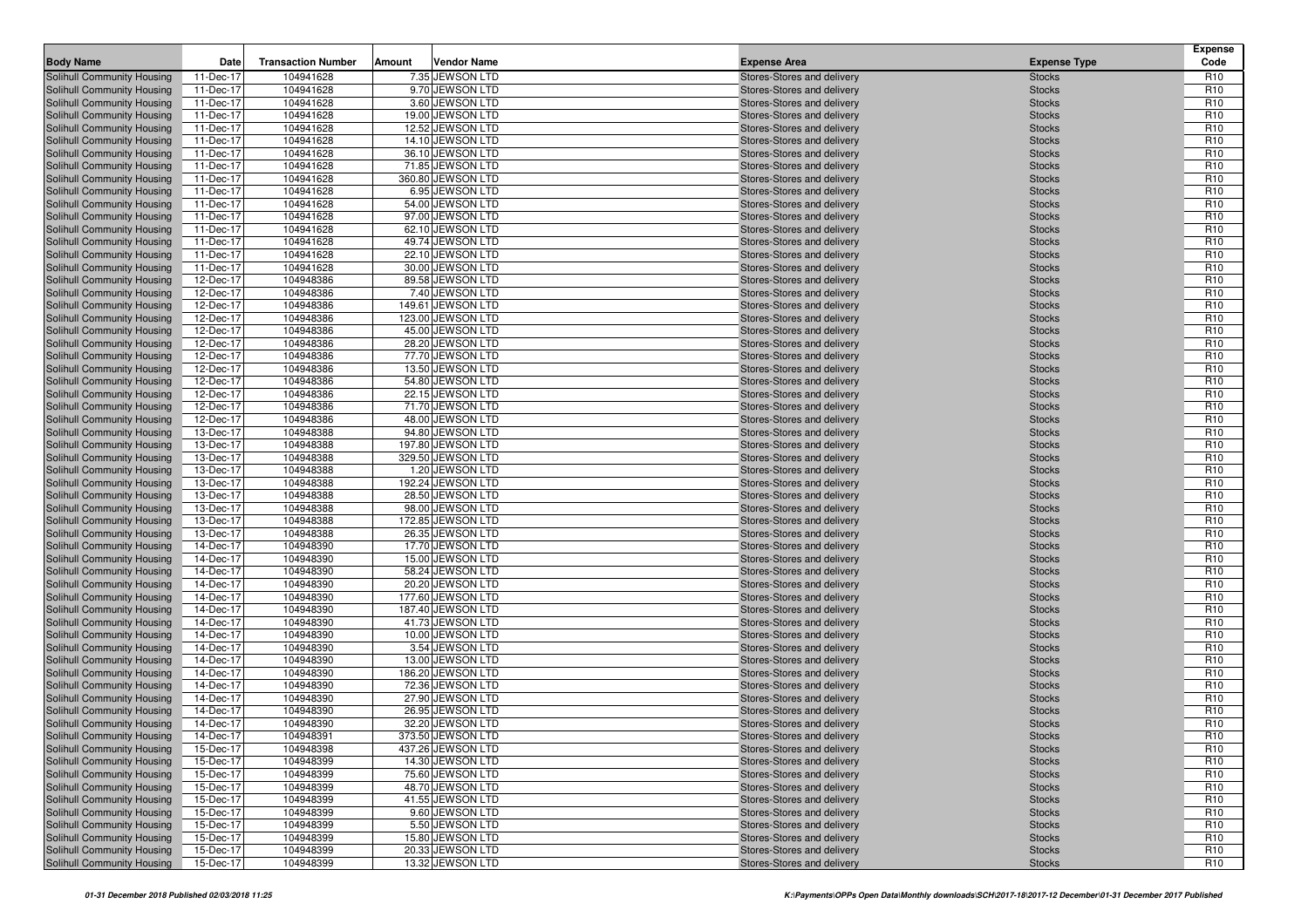| <b>Body Name</b>                                         | Date                   | <b>Transaction Number</b> | Amount | <b>Vendor Name</b>                    | <b>Expense Area</b>                                      | <b>Expense Type</b>            | <b>Expense</b><br>Code             |
|----------------------------------------------------------|------------------------|---------------------------|--------|---------------------------------------|----------------------------------------------------------|--------------------------------|------------------------------------|
| Solihull Community Housing                               | 11-Dec-17              | 104941628                 |        | 7.35 JEWSON LTD                       | Stores-Stores and delivery                               | <b>Stocks</b>                  | R <sub>10</sub>                    |
| Solihull Community Housing                               | 11-Dec-17              | 104941628                 |        | 9.70 JEWSON LTD                       | Stores-Stores and delivery                               | <b>Stocks</b>                  | R <sub>10</sub>                    |
| Solihull Community Housing                               | 11-Dec-17              | 104941628                 |        | 3.60 JEWSON LTD                       | Stores-Stores and delivery                               | <b>Stocks</b>                  | R <sub>10</sub>                    |
| Solihull Community Housing                               | 11-Dec-17              | 104941628                 |        | 19.00 JEWSON LTD                      | Stores-Stores and delivery                               | <b>Stocks</b>                  | R <sub>10</sub>                    |
| Solihull Community Housing                               | 11-Dec-17              | 104941628                 |        | 12.52 JEWSON LTD                      | Stores-Stores and delivery                               | <b>Stocks</b>                  | R <sub>10</sub>                    |
| Solihull Community Housing                               | 11-Dec-17              | 104941628                 |        | 14.10 JEWSON LTD                      | Stores-Stores and delivery                               | <b>Stocks</b>                  | R <sub>10</sub>                    |
| Solihull Community Housing                               | 11-Dec-17              | 104941628                 |        | 36.10 JEWSON LTD                      | Stores-Stores and delivery                               | <b>Stocks</b>                  | R <sub>10</sub>                    |
| Solihull Community Housing                               | 11-Dec-17              | 104941628                 |        | 71.85 JEWSON LTD                      | Stores-Stores and delivery                               | <b>Stocks</b>                  | R <sub>10</sub>                    |
| Solihull Community Housing                               | 11-Dec-17              | 104941628                 |        | 360.80 JEWSON LTD                     | Stores-Stores and delivery                               | <b>Stocks</b>                  | R <sub>10</sub>                    |
| Solihull Community Housing                               | 11-Dec-17              | 104941628                 |        | 6.95 JEWSON LTD                       | Stores-Stores and delivery                               | <b>Stocks</b>                  | R <sub>10</sub>                    |
| Solihull Community Housing                               | 11-Dec-17              | 104941628                 |        | 54.00 JEWSON LTD                      | Stores-Stores and delivery                               | <b>Stocks</b>                  | R <sub>10</sub>                    |
| Solihull Community Housing                               | 11-Dec-17              | 104941628                 |        | 97.00 JEWSON LTD                      | Stores-Stores and delivery                               | <b>Stocks</b>                  | R <sub>10</sub>                    |
| Solihull Community Housing                               | 11-Dec-17              | 104941628                 |        | 62.10 JEWSON LTD                      | Stores-Stores and delivery                               | <b>Stocks</b>                  | R <sub>10</sub>                    |
| Solihull Community Housing                               | 11-Dec-17              | 104941628                 |        | 49.74 JEWSON LTD                      | Stores-Stores and delivery                               | <b>Stocks</b>                  | R <sub>10</sub>                    |
| Solihull Community Housing                               | 11-Dec-17              | 104941628                 |        | 22.10 JEWSON LTD                      | Stores-Stores and delivery                               | <b>Stocks</b>                  | R <sub>10</sub>                    |
| Solihull Community Housing                               | 11-Dec-17              | 104941628                 |        | 30.00 JEWSON LTD                      | Stores-Stores and delivery                               | <b>Stocks</b>                  | R <sub>10</sub>                    |
| Solihull Community Housing                               | 12-Dec-17              | 104948386                 |        | 89.58 JEWSON LTD                      | Stores-Stores and delivery                               | <b>Stocks</b>                  | R <sub>10</sub><br>R <sub>10</sub> |
| Solihull Community Housing<br>Solihull Community Housing | 12-Dec-17<br>12-Dec-17 | 104948386<br>104948386    |        | 7.40 JEWSON LTD<br>149.61 JEWSON LTD  | Stores-Stores and delivery<br>Stores-Stores and delivery | <b>Stocks</b><br><b>Stocks</b> | R <sub>10</sub>                    |
| Solihull Community Housing                               | 12-Dec-17              | 104948386                 |        | 123.00 JEWSON LTD                     | Stores-Stores and delivery                               | <b>Stocks</b>                  | R <sub>10</sub>                    |
| Solihull Community Housing                               | 12-Dec-17              | 104948386                 |        | 45.00 JEWSON LTD                      | Stores-Stores and delivery                               | <b>Stocks</b>                  | R <sub>10</sub>                    |
| Solihull Community Housing                               | 12-Dec-17              | 104948386                 |        | 28.20 JEWSON LTD                      | Stores-Stores and delivery                               | <b>Stocks</b>                  | R <sub>10</sub>                    |
| Solihull Community Housing                               | 12-Dec-17              | 104948386                 |        | 77.70 JEWSON LTD                      | Stores-Stores and delivery                               | <b>Stocks</b>                  | R <sub>10</sub>                    |
| Solihull Community Housing                               | 12-Dec-17              | 104948386                 |        | 13.50 JEWSON LTD                      | Stores-Stores and delivery                               | <b>Stocks</b>                  | R <sub>10</sub>                    |
| Solihull Community Housing                               | 12-Dec-17              | 104948386                 |        | 54.80 JEWSON LTD                      | Stores-Stores and delivery                               | <b>Stocks</b>                  | R <sub>10</sub>                    |
| Solihull Community Housing                               | 12-Dec-17              | 104948386                 |        | 22.15 JEWSON LTD                      | Stores-Stores and delivery                               | <b>Stocks</b>                  | R <sub>10</sub>                    |
| Solihull Community Housing                               | 12-Dec-17              | 104948386                 |        | 71.70 JEWSON LTD                      | Stores-Stores and delivery                               | <b>Stocks</b>                  | R <sub>10</sub>                    |
| Solihull Community Housing                               | 12-Dec-17              | 104948386                 |        | 48.00 JEWSON LTD                      | Stores-Stores and delivery                               | <b>Stocks</b>                  | R <sub>10</sub>                    |
| Solihull Community Housing                               | 13-Dec-17              | 104948388                 |        | 94.80 JEWSON LTD                      | Stores-Stores and delivery                               | <b>Stocks</b>                  | R <sub>10</sub>                    |
| Solihull Community Housing                               | 13-Dec-17              | 104948388                 |        | 197.80 JEWSON LTD                     | Stores-Stores and delivery                               | <b>Stocks</b>                  | R <sub>10</sub>                    |
| Solihull Community Housing                               | 13-Dec-17              | 104948388                 |        | 329.50 JEWSON LTD                     | Stores-Stores and delivery                               | <b>Stocks</b>                  | R <sub>10</sub>                    |
| Solihull Community Housing                               | 13-Dec-17              | 104948388                 |        | 1.20 JEWSON LTD                       | Stores-Stores and delivery                               | <b>Stocks</b>                  | R <sub>10</sub>                    |
| Solihull Community Housing                               | 13-Dec-17              | 104948388                 |        | 192.24 JEWSON LTD                     | Stores-Stores and delivery                               | <b>Stocks</b>                  | R <sub>10</sub>                    |
| Solihull Community Housing                               | 13-Dec-17              | 104948388                 |        | 28.50 JEWSON LTD                      | Stores-Stores and delivery                               | <b>Stocks</b>                  | R <sub>10</sub>                    |
| Solihull Community Housing                               | 13-Dec-17              | 104948388                 |        | 98.00 JEWSON LTD                      | Stores-Stores and delivery                               | <b>Stocks</b>                  | R <sub>10</sub>                    |
| Solihull Community Housing                               | 13-Dec-17              | 104948388                 |        | 172.85 JEWSON LTD                     | Stores-Stores and delivery                               | <b>Stocks</b>                  | R <sub>10</sub>                    |
| Solihull Community Housing                               | 13-Dec-17              | 104948388                 |        | 26.35 JEWSON LTD                      | Stores-Stores and delivery                               | <b>Stocks</b>                  | R <sub>10</sub>                    |
| Solihull Community Housing                               | 14-Dec-17              | 104948390                 |        | 17.70 JEWSON LTD                      | Stores-Stores and delivery                               | <b>Stocks</b>                  | R <sub>10</sub>                    |
| Solihull Community Housing                               | 14-Dec-17              | 104948390                 |        | 15.00 JEWSON LTD                      | Stores-Stores and delivery                               | <b>Stocks</b>                  | R <sub>10</sub>                    |
| Solihull Community Housing                               | 14-Dec-17              | 104948390                 |        | 58.24 JEWSON LTD                      | Stores-Stores and delivery                               | <b>Stocks</b>                  | R <sub>10</sub>                    |
| Solihull Community Housing                               | 14-Dec-17              | 104948390                 |        | 20.20 JEWSON LTD                      | Stores-Stores and delivery                               | <b>Stocks</b>                  | R <sub>10</sub>                    |
| Solihull Community Housing                               | 14-Dec-17              | 104948390                 |        | 177.60 JEWSON LTD                     | Stores-Stores and delivery                               | <b>Stocks</b>                  | R <sub>10</sub><br>R <sub>10</sub> |
| Solihull Community Housing                               | 14-Dec-17              | 104948390<br>104948390    |        | 187.40 JEWSON LTD<br>41.73 JEWSON LTD | Stores-Stores and delivery                               | <b>Stocks</b>                  | R <sub>10</sub>                    |
| Solihull Community Housing<br>Solihull Community Housing | 14-Dec-17<br>14-Dec-17 | 104948390                 |        | 10.00 JEWSON LTD                      | Stores-Stores and delivery<br>Stores-Stores and delivery | <b>Stocks</b><br><b>Stocks</b> | R <sub>10</sub>                    |
| Solihull Community Housing                               | 14-Dec-17              | 104948390                 |        | 3.54 JEWSON LTD                       | Stores-Stores and delivery                               | <b>Stocks</b>                  | R <sub>10</sub>                    |
| Solihull Community Housing                               | 14-Dec-17              | 104948390                 |        | 13.00 JEWSON LTD                      | Stores-Stores and delivery                               | <b>Stocks</b>                  | R <sub>10</sub>                    |
| Solihull Community Housing                               | 14-Dec-17              | 104948390                 |        | 186.20 JEWSON LTD                     | Stores-Stores and delivery                               | <b>Stocks</b>                  | R <sub>10</sub>                    |
| Solihull Community Housing                               | 14-Dec-17              | 104948390                 |        | 72.36 JEWSON LTD                      | Stores-Stores and delivery                               | <b>Stocks</b>                  | R <sub>10</sub>                    |
| Solihull Community Housing                               | 14-Dec-17              | 104948390                 |        | 27.90 JEWSON LTD                      | Stores-Stores and delivery                               | <b>Stocks</b>                  | R <sub>10</sub>                    |
| Solihull Community Housing                               | 14-Dec-17              | 104948390                 |        | 26.95 JEWSON LTD                      | Stores-Stores and delivery                               | <b>Stocks</b>                  | R <sub>10</sub>                    |
| <b>Solihull Community Housing</b>                        | 14-Dec-17              | 104948390                 |        | 32.20 JEWSON LTD                      | Stores-Stores and delivery                               | <b>Stocks</b>                  | R <sub>10</sub>                    |
| Solihull Community Housing                               | 14-Dec-17              | 104948391                 |        | 373.50 JEWSON LTD                     | Stores-Stores and delivery                               | <b>Stocks</b>                  | R <sub>10</sub>                    |
| Solihull Community Housing                               | 15-Dec-17              | 104948398                 |        | 437.26 JEWSON LTD                     | Stores-Stores and delivery                               | <b>Stocks</b>                  | R <sub>10</sub>                    |
| Solihull Community Housing                               | 15-Dec-17              | 104948399                 |        | 14.30 JEWSON LTD                      | Stores-Stores and delivery                               | <b>Stocks</b>                  | R <sub>10</sub>                    |
| Solihull Community Housing                               | 15-Dec-17              | 104948399                 |        | 75.60 JEWSON LTD                      | Stores-Stores and delivery                               | <b>Stocks</b>                  | R <sub>10</sub>                    |
| Solihull Community Housing                               | 15-Dec-17              | 104948399                 |        | 48.70 JEWSON LTD                      | Stores-Stores and delivery                               | <b>Stocks</b>                  | R <sub>10</sub>                    |
| Solihull Community Housing                               | 15-Dec-17              | 104948399                 |        | 41.55 JEWSON LTD                      | Stores-Stores and delivery                               | <b>Stocks</b>                  | R <sub>10</sub>                    |
| Solihull Community Housing                               | 15-Dec-17              | 104948399                 |        | 9.60 JEWSON LTD                       | Stores-Stores and delivery                               | <b>Stocks</b>                  | R <sub>10</sub>                    |
| Solihull Community Housing                               | 15-Dec-17              | 104948399                 |        | 5.50 JEWSON LTD                       | Stores-Stores and delivery                               | <b>Stocks</b>                  | R <sub>10</sub>                    |
| Solihull Community Housing                               | 15-Dec-17              | 104948399                 |        | 15.80 JEWSON LTD                      | Stores-Stores and delivery                               | <b>Stocks</b>                  | R <sub>10</sub>                    |
| Solihull Community Housing                               | 15-Dec-17              | 104948399                 |        | 20.33 JEWSON LTD                      | Stores-Stores and delivery                               | <b>Stocks</b>                  | R <sub>10</sub>                    |
| Solihull Community Housing                               | 15-Dec-17              | 104948399                 |        | 13.32 JEWSON LTD                      | Stores-Stores and delivery                               | <b>Stocks</b>                  | R <sub>10</sub>                    |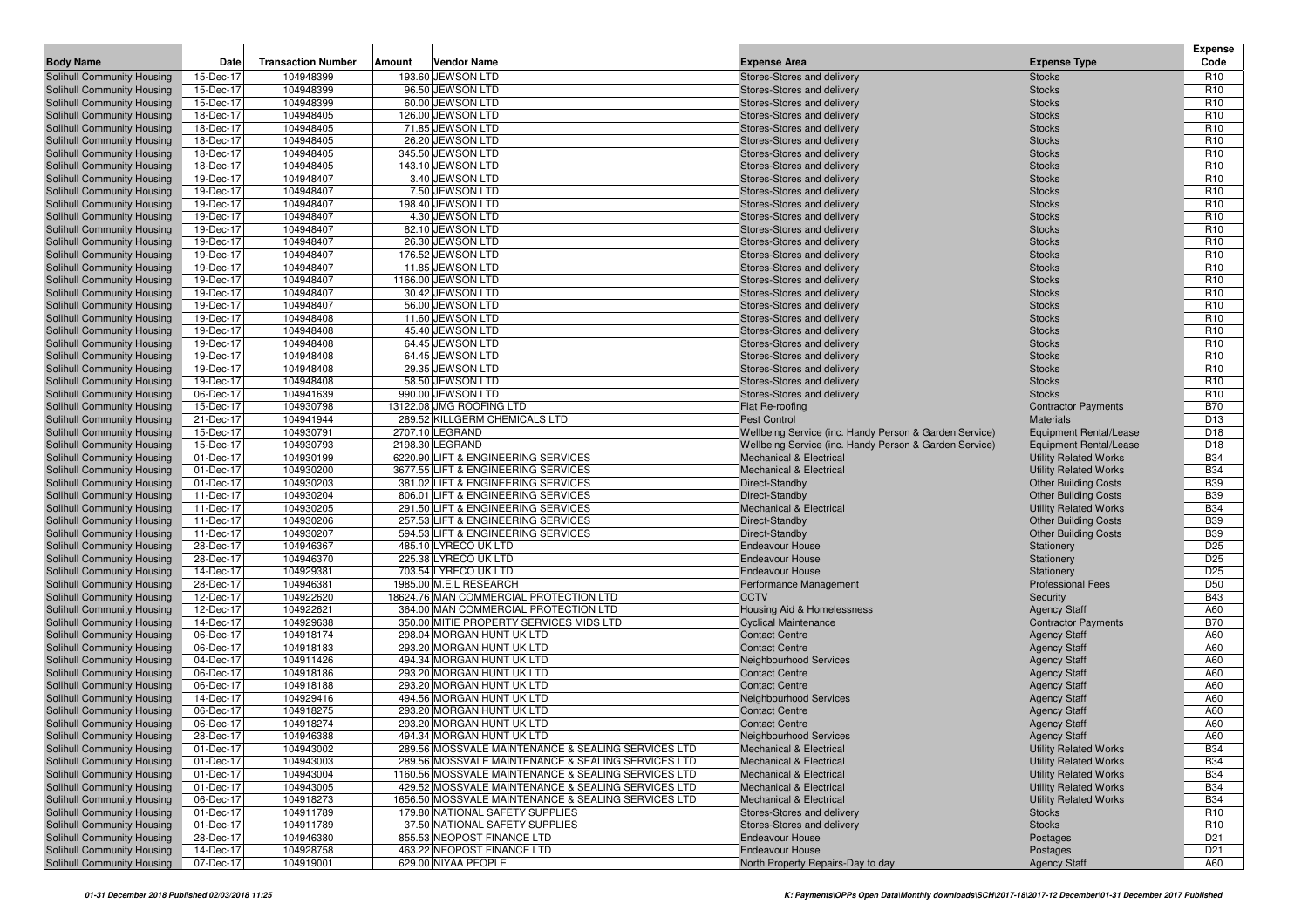| <b>Body Name</b>                                         | Date                   | <b>Transaction Number</b> | Amount | <b>Vendor Name</b>                                                        | <b>Expense Area</b>                                      | <b>Expense Type</b>                                         | <b>Expense</b><br>Code             |
|----------------------------------------------------------|------------------------|---------------------------|--------|---------------------------------------------------------------------------|----------------------------------------------------------|-------------------------------------------------------------|------------------------------------|
| Solihull Community Housing                               | 15-Dec-17              | 104948399                 |        | 193.60 JEWSON LTD                                                         | Stores-Stores and delivery                               | <b>Stocks</b>                                               | R <sub>10</sub>                    |
| Solihull Community Housing                               | 15-Dec-17              | 104948399                 |        | 96.50 JEWSON LTD                                                          | Stores-Stores and delivery                               | <b>Stocks</b>                                               | R <sub>10</sub>                    |
| Solihull Community Housing                               | 15-Dec-17              | 104948399                 |        | 60.00 JEWSON LTD                                                          | Stores-Stores and delivery                               | <b>Stocks</b>                                               | R <sub>10</sub>                    |
| Solihull Community Housing                               | 18-Dec-17              | 104948405                 |        | 126.00 JEWSON LTD                                                         | Stores-Stores and delivery                               | <b>Stocks</b>                                               | R <sub>10</sub>                    |
| Solihull Community Housing                               | 18-Dec-17              | 104948405                 |        | 71.85 JEWSON LTD                                                          | Stores-Stores and delivery                               | <b>Stocks</b>                                               | R <sub>10</sub>                    |
| Solihull Community Housing                               | 18-Dec-17              | 104948405                 |        | 26.20 JEWSON LTD                                                          | Stores-Stores and delivery                               | <b>Stocks</b>                                               | R <sub>10</sub>                    |
| Solihull Community Housing                               | 18-Dec-17              | 104948405                 |        | 345.50 JEWSON LTD                                                         | Stores-Stores and delivery                               | <b>Stocks</b>                                               | R <sub>10</sub>                    |
| Solihull Community Housing                               | 18-Dec-17              | 104948405                 |        | 143.10 JEWSON LTD                                                         | Stores-Stores and delivery                               | <b>Stocks</b>                                               | R <sub>10</sub>                    |
| Solihull Community Housing                               | 19-Dec-17              | 104948407                 |        | 3.40 JEWSON LTD                                                           | Stores-Stores and delivery                               | <b>Stocks</b>                                               | R <sub>10</sub>                    |
| Solihull Community Housing                               | 19-Dec-17              | 104948407                 |        | 7.50 JEWSON LTD                                                           | Stores-Stores and delivery                               | <b>Stocks</b>                                               | R <sub>10</sub>                    |
| Solihull Community Housing                               | 19-Dec-17              | 104948407                 |        | 198.40 JEWSON LTD                                                         | Stores-Stores and delivery                               | <b>Stocks</b>                                               | R <sub>10</sub>                    |
| Solihull Community Housing                               | 19-Dec-17              | 104948407                 |        | 4.30 JEWSON LTD                                                           | Stores-Stores and delivery                               | <b>Stocks</b>                                               | R <sub>10</sub>                    |
| Solihull Community Housing                               | 19-Dec-17              | 104948407                 |        | 82.10 JEWSON LTD                                                          | Stores-Stores and delivery                               | <b>Stocks</b>                                               | R <sub>10</sub>                    |
| Solihull Community Housing                               | 19-Dec-17              | 104948407                 |        | 26.30 JEWSON LTD                                                          | Stores-Stores and delivery                               | <b>Stocks</b>                                               | R <sub>10</sub>                    |
| Solihull Community Housing                               | 19-Dec-17              | 104948407<br>104948407    |        | 176.52 JEWSON LTD                                                         | Stores-Stores and delivery                               | <b>Stocks</b>                                               | R <sub>10</sub><br>R <sub>10</sub> |
| Solihull Community Housing<br>Solihull Community Housing | 19-Dec-17<br>19-Dec-17 | 104948407                 |        | 11.85 JEWSON LTD<br>1166.00 JEWSON LTD                                    | Stores-Stores and delivery<br>Stores-Stores and delivery | <b>Stocks</b><br><b>Stocks</b>                              | R <sub>10</sub>                    |
| Solihull Community Housing                               | 19-Dec-17              | 104948407                 |        | 30.42 JEWSON LTD                                                          | Stores-Stores and delivery                               | <b>Stocks</b>                                               | R <sub>10</sub>                    |
| Solihull Community Housing                               | 19-Dec-17              | 104948407                 |        | 56.00 JEWSON LTD                                                          | Stores-Stores and delivery                               | <b>Stocks</b>                                               | R <sub>10</sub>                    |
| Solihull Community Housing                               | 19-Dec-17              | 104948408                 |        | 11.60 JEWSON LTD                                                          | Stores-Stores and delivery                               | <b>Stocks</b>                                               | R <sub>10</sub>                    |
| Solihull Community Housing                               | 19-Dec-17              | 104948408                 |        | 45.40 JEWSON LTD                                                          | Stores-Stores and delivery                               | <b>Stocks</b>                                               | R <sub>10</sub>                    |
| Solihull Community Housing                               | 19-Dec-17              | 104948408                 |        | 64.45 JEWSON LTD                                                          | Stores-Stores and delivery                               | <b>Stocks</b>                                               | R <sub>10</sub>                    |
| Solihull Community Housing                               | 19-Dec-17              | 104948408                 |        | 64.45 JEWSON LTD                                                          | Stores-Stores and delivery                               | <b>Stocks</b>                                               | R <sub>10</sub>                    |
| Solihull Community Housing                               | 19-Dec-17              | 104948408                 |        | 29.35 JEWSON LTD                                                          | Stores-Stores and delivery                               | <b>Stocks</b>                                               | R <sub>10</sub>                    |
| Solihull Community Housing                               | 19-Dec-17              | 104948408                 |        | 58.50 JEWSON LTD                                                          | Stores-Stores and delivery                               | <b>Stocks</b>                                               | R <sub>10</sub>                    |
| Solihull Community Housing                               | 06-Dec-17              | 104941639                 |        | 990.00 JEWSON LTD                                                         | Stores-Stores and delivery                               | <b>Stocks</b>                                               | R <sub>10</sub>                    |
| Solihull Community Housing                               | 15-Dec-17              | 104930798                 |        | 13122.08 JMG ROOFING LTD                                                  | Flat Re-roofing                                          | <b>Contractor Payments</b>                                  | <b>B70</b>                         |
| Solihull Community Housing                               | 21-Dec-17              | 104941944                 |        | 289.52 KILLGERM CHEMICALS LTD                                             | <b>Pest Control</b>                                      | <b>Materials</b>                                            | D <sub>13</sub>                    |
| Solihull Community Housing                               | 15-Dec-17              | 104930791                 |        | 2707.10 LEGRAND                                                           | Wellbeing Service (inc. Handy Person & Garden Service)   | <b>Equipment Rental/Lease</b>                               | D <sub>18</sub>                    |
| Solihull Community Housing                               | 15-Dec-17              | 104930793                 |        | 2198.30 LEGRAND                                                           | Wellbeing Service (inc. Handy Person & Garden Service)   | <b>Equipment Rental/Lease</b>                               | D <sub>18</sub>                    |
| Solihull Community Housing                               | 01-Dec-17              | 104930199                 |        | 6220.90 LIFT & ENGINEERING SERVICES                                       | <b>Mechanical &amp; Electrical</b>                       | <b>Utility Related Works</b>                                | <b>B34</b>                         |
| Solihull Community Housing<br>Solihull Community Housing | 01-Dec-17<br>01-Dec-17 | 104930200<br>104930203    |        | 3677.55 LIFT & ENGINEERING SERVICES<br>381.02 LIFT & ENGINEERING SERVICES | <b>Mechanical &amp; Electrical</b><br>Direct-Standby     | <b>Utility Related Works</b><br><b>Other Building Costs</b> | <b>B34</b><br><b>B39</b>           |
| Solihull Community Housing                               | 11-Dec-17              | 104930204                 |        | 806.01 LIFT & ENGINEERING SERVICES                                        | Direct-Standby                                           | <b>Other Building Costs</b>                                 | <b>B39</b>                         |
| Solihull Community Housing                               | 11-Dec-17              | 104930205                 |        | 291.50 LIFT & ENGINEERING SERVICES                                        | <b>Mechanical &amp; Electrical</b>                       | <b>Utility Related Works</b>                                | <b>B34</b>                         |
| Solihull Community Housing                               | 11-Dec-17              | 104930206                 |        | 257.53 LIFT & ENGINEERING SERVICES                                        | Direct-Standby                                           | <b>Other Building Costs</b>                                 | <b>B39</b>                         |
| Solihull Community Housing                               | 11-Dec-17              | 104930207                 |        | 594.53 LIFT & ENGINEERING SERVICES                                        | Direct-Standby                                           | <b>Other Building Costs</b>                                 | <b>B39</b>                         |
| Solihull Community Housing                               | 28-Dec-17              | 104946367                 |        | 485.10 LYRECO UK LTD                                                      | <b>Endeavour House</b>                                   | Stationery                                                  | D <sub>25</sub>                    |
| Solihull Community Housing                               | 28-Dec-17              | 104946370                 |        | 225.38 LYRECO UK LTD                                                      | <b>Endeavour House</b>                                   | Stationery                                                  | D <sub>25</sub>                    |
| Solihull Community Housing                               | 14-Dec-17              | 104929381                 |        | 703.54 LYRECO UK LTD                                                      | <b>Endeavour House</b>                                   | Stationery                                                  | D <sub>25</sub>                    |
| Solihull Community Housing                               | 28-Dec-17              | 104946381                 |        | 1985.00 M.E.L RESEARCH                                                    | Performance Management                                   | <b>Professional Fees</b>                                    | D <sub>50</sub>                    |
| Solihull Community Housing                               | 12-Dec-17              | 104922620                 |        | 18624.76 MAN COMMERCIAL PROTECTION LTD                                    | <b>CCTV</b>                                              | Security                                                    | <b>B43</b>                         |
| Solihull Community Housing                               | 12-Dec-17              | 104922621                 |        | 364.00 MAN COMMERCIAL PROTECTION LTD                                      | Housing Aid & Homelessness                               | <b>Agency Staff</b>                                         | A60                                |
| Solihull Community Housing                               | 14-Dec-17              | 104929638                 |        | 350.00 MITIE PROPERTY SERVICES MIDS LTD                                   | <b>Cyclical Maintenance</b>                              | <b>Contractor Payments</b>                                  | <b>B70</b>                         |
| Solihull Community Housing                               | 06-Dec-17              | 104918174                 |        | 298.04 MORGAN HUNT UK LTD                                                 | <b>Contact Centre</b><br><b>Contact Centre</b>           | <b>Agency Staff</b>                                         | A60                                |
| Solihull Community Housing<br>Solihull Community Housing | 06-Dec-17<br>04-Dec-17 | 104918183<br>104911426    |        | 293.20 MORGAN HUNT UK LTD<br>494.34 MORGAN HUNT UK LTD                    | Neighbourhood Services                                   | <b>Agency Staff</b><br><b>Agency Staff</b>                  | A60<br>A60                         |
| Solihull Community Housing                               | 06-Dec-17              | 104918186                 |        | 293.20 MORGAN HUNT UK LTD                                                 | <b>Contact Centre</b>                                    | <b>Agency Staff</b>                                         | A60                                |
| Solihull Community Housing                               | 06-Dec-17              | 104918188                 |        | 293.20 MORGAN HUNT UK LTD                                                 | <b>Contact Centre</b>                                    | <b>Agency Staff</b>                                         | A60                                |
| Solihull Community Housing                               | 14-Dec-17              | 104929416                 |        | 494.56 MORGAN HUNT UK LTD                                                 | Neighbourhood Services                                   | <b>Agency Staff</b>                                         | A60                                |
| Solihull Community Housing                               | 06-Dec-17              | 104918275                 |        | 293.20 MORGAN HUNT UK LTD                                                 | <b>Contact Centre</b>                                    | <b>Agency Staff</b>                                         | A60                                |
| <b>Solihull Community Housing</b>                        | 06-Dec-17              | 104918274                 |        | 293.20 MORGAN HUNT UK LTD                                                 | <b>Contact Centre</b>                                    | <b>Agency Staff</b>                                         | A60                                |
| Solihull Community Housing                               | 28-Dec-17              | 104946388                 |        | 494.34 MORGAN HUNT UK LTD                                                 | Neighbourhood Services                                   | <b>Agency Staff</b>                                         | A60                                |
| Solihull Community Housing                               | 01-Dec-17              | 104943002                 |        | 289.56 MOSSVALE MAINTENANCE & SEALING SERVICES LTD                        | <b>Mechanical &amp; Electrical</b>                       | <b>Utility Related Works</b>                                | <b>B34</b>                         |
| Solihull Community Housing                               | 01-Dec-17              | 104943003                 |        | 289.56 MOSSVALE MAINTENANCE & SEALING SERVICES LTD                        | <b>Mechanical &amp; Electrical</b>                       | <b>Utility Related Works</b>                                | <b>B34</b>                         |
| Solihull Community Housing                               | 01-Dec-17              | 104943004                 |        | 1160.56 MOSSVALE MAINTENANCE & SEALING SERVICES LTD                       | <b>Mechanical &amp; Electrical</b>                       | <b>Utility Related Works</b>                                | <b>B34</b>                         |
| Solihull Community Housing                               | 01-Dec-17              | 104943005                 |        | 429.52 MOSSVALE MAINTENANCE & SEALING SERVICES LTD                        | <b>Mechanical &amp; Electrical</b>                       | <b>Utility Related Works</b>                                | <b>B34</b>                         |
| Solihull Community Housing                               | 06-Dec-17              | 104918273                 |        | 1656.50 MOSSVALE MAINTENANCE & SEALING SERVICES LTD                       | <b>Mechanical &amp; Electrical</b>                       | <b>Utility Related Works</b>                                | <b>B34</b>                         |
| Solihull Community Housing                               | 01-Dec-17              | 104911789                 |        | 179.80 NATIONAL SAFETY SUPPLIES                                           | Stores-Stores and delivery                               | <b>Stocks</b>                                               | R <sub>10</sub>                    |
| Solihull Community Housing                               | 01-Dec-17              | 104911789                 |        | 37.50 NATIONAL SAFETY SUPPLIES                                            | Stores-Stores and delivery                               | <b>Stocks</b>                                               | R <sub>10</sub>                    |
| Solihull Community Housing                               | 28-Dec-17              | 104946380                 |        | 855.53 NEOPOST FINANCE LTD                                                | <b>Endeavour House</b>                                   | Postages                                                    | D <sub>21</sub>                    |
| Solihull Community Housing                               | 14-Dec-17              | 104928758                 |        | 463.22 NEOPOST FINANCE LTD                                                | Endeavour House                                          | Postages                                                    | D <sub>21</sub>                    |
| Solihull Community Housing                               | 07-Dec-17              | 104919001                 |        | 629.00 NIYAA PEOPLE                                                       | North Property Repairs-Day to day                        | <b>Agency Staff</b>                                         | A60                                |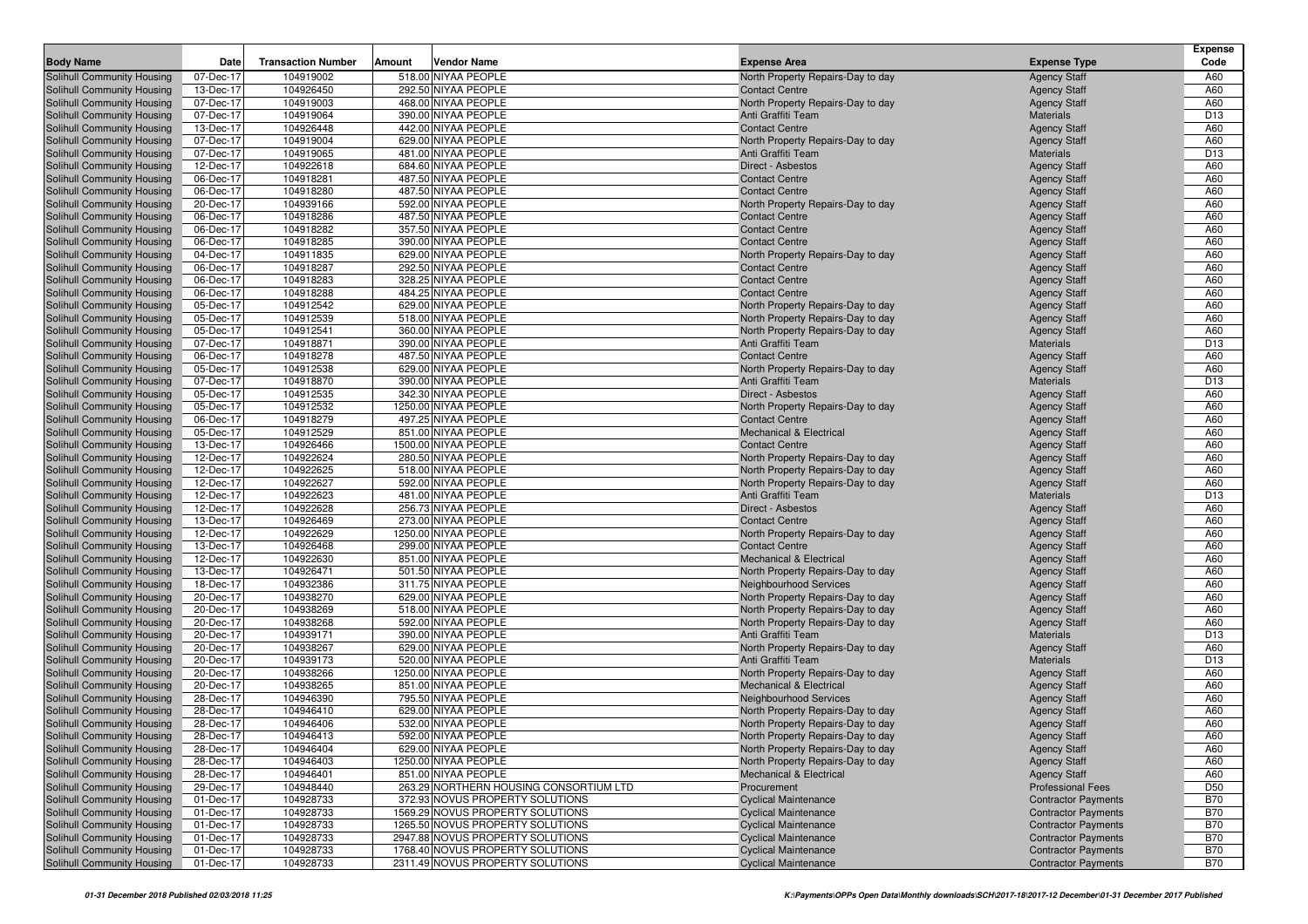| <b>Body Name</b>                                         | Date                   | <b>Transaction Number</b> | Amount | Vendor Name                                                         | <b>Expense Area</b>                                        | <b>Expense Type</b>                                      | <b>Expense</b><br>Code   |
|----------------------------------------------------------|------------------------|---------------------------|--------|---------------------------------------------------------------------|------------------------------------------------------------|----------------------------------------------------------|--------------------------|
| Solihull Community Housing                               | 07-Dec-17              | 104919002                 |        | 518.00 NIYAA PEOPLE                                                 | North Property Repairs-Day to day                          | <b>Agency Staff</b>                                      | A60                      |
| Solihull Community Housing                               | 13-Dec-17              | 104926450                 |        | 292.50 NIYAA PEOPLE                                                 | <b>Contact Centre</b>                                      | <b>Agency Staff</b>                                      | A60                      |
| Solihull Community Housing                               | 07-Dec-17              | 104919003                 |        | 468.00 NIYAA PEOPLE                                                 | North Property Repairs-Day to day                          | <b>Agency Staff</b>                                      | A60                      |
| Solihull Community Housing                               | 07-Dec-17              | 104919064                 |        | 390.00 NIYAA PEOPLE                                                 | Anti Graffiti Team                                         | <b>Materials</b>                                         | D <sub>13</sub>          |
| Solihull Community Housing                               | 13-Dec-17              | 104926448                 |        | 442.00 NIYAA PEOPLE                                                 | <b>Contact Centre</b>                                      | <b>Agency Staff</b>                                      | A60                      |
| Solihull Community Housing                               | 07-Dec-17              | 104919004                 |        | 629.00 NIYAA PEOPLE                                                 | North Property Repairs-Day to day                          | <b>Agency Staff</b>                                      | A60                      |
| Solihull Community Housing                               | 07-Dec-17              | 104919065                 |        | 481.00 NIYAA PEOPLE                                                 | Anti Graffiti Team                                         | <b>Materials</b>                                         | D <sub>13</sub>          |
| Solihull Community Housing                               | 12-Dec-17              | 104922618                 |        | 684.60 NIYAA PEOPLE                                                 | Direct - Asbestos                                          | <b>Agency Staff</b>                                      | A60                      |
| Solihull Community Housing                               | 06-Dec-17              | 104918281                 |        | 487.50 NIYAA PEOPLE                                                 | <b>Contact Centre</b>                                      | <b>Agency Staff</b>                                      | A60                      |
| Solihull Community Housing                               | 06-Dec-17              | 104918280                 |        | 487.50 NIYAA PEOPLE                                                 | <b>Contact Centre</b>                                      | <b>Agency Staff</b>                                      | A60                      |
| Solihull Community Housing                               | 20-Dec-17              | 104939166                 |        | 592.00 NIYAA PEOPLE                                                 | North Property Repairs-Day to day                          | <b>Agency Staff</b>                                      | A60                      |
| Solihull Community Housing                               | 06-Dec-17              | 104918286                 |        | 487.50 NIYAA PEOPLE                                                 | <b>Contact Centre</b>                                      | <b>Agency Staff</b>                                      | A60                      |
| Solihull Community Housing                               | 06-Dec-17              | 104918282                 |        | 357.50 NIYAA PEOPLE                                                 | <b>Contact Centre</b>                                      | <b>Agency Staff</b>                                      | A60                      |
| Solihull Community Housing                               | 06-Dec-17              | 104918285                 |        | 390.00 NIYAA PEOPLE                                                 | <b>Contact Centre</b>                                      | <b>Agency Staff</b>                                      | A60                      |
| Solihull Community Housing                               | 04-Dec-17              | 104911835                 |        | 629.00 NIYAA PEOPLE                                                 | North Property Repairs-Day to day                          | <b>Agency Staff</b>                                      | A60                      |
| Solihull Community Housing                               | 06-Dec-17              | 104918287                 |        | 292.50 NIYAA PEOPLE                                                 | <b>Contact Centre</b>                                      | <b>Agency Staff</b>                                      | A60                      |
| Solihull Community Housing                               | 06-Dec-17              | 104918283                 |        | 328.25 NIYAA PEOPLE                                                 | <b>Contact Centre</b>                                      | <b>Agency Staff</b>                                      | A60                      |
| Solihull Community Housing                               | 06-Dec-17              | 104918288                 |        | 484.25 NIYAA PEOPLE                                                 | <b>Contact Centre</b>                                      | <b>Agency Staff</b>                                      | A60                      |
| Solihull Community Housing                               | 05-Dec-17              | 104912542                 |        | 629.00 NIYAA PEOPLE                                                 | North Property Repairs-Day to day                          | <b>Agency Staff</b>                                      | A60                      |
| Solihull Community Housing                               | 05-Dec-17              | 104912539                 |        | 518.00 NIYAA PEOPLE                                                 | North Property Repairs-Day to day                          | <b>Agency Staff</b>                                      | A60                      |
| Solihull Community Housing                               | 05-Dec-17              | 104912541                 |        | 360.00 NIYAA PEOPLE                                                 | North Property Repairs-Day to day                          | <b>Agency Staff</b>                                      | A60                      |
| Solihull Community Housing                               | 07-Dec-17              | 104918871                 |        | 390.00 NIYAA PEOPLE                                                 | Anti Graffiti Team                                         | <b>Materials</b>                                         | D <sub>13</sub>          |
| Solihull Community Housing                               | 06-Dec-17              | 104918278                 |        | 487.50 NIYAA PEOPLE                                                 | <b>Contact Centre</b>                                      | <b>Agency Staff</b>                                      | A60                      |
| Solihull Community Housing                               | 05-Dec-17              | 104912538                 |        | 629.00 NIYAA PEOPLE                                                 | North Property Repairs-Day to day                          | <b>Agency Staff</b>                                      | A60                      |
| Solihull Community Housing                               | 07-Dec-17              | 104918870                 |        | 390.00 NIYAA PEOPLE                                                 | Anti Graffiti Team                                         | <b>Materials</b>                                         | D <sub>13</sub>          |
| Solihull Community Housing                               | 05-Dec-17              | 104912535                 |        | 342.30 NIYAA PEOPLE<br>1250.00 NIYAA PEOPLE                         | Direct - Asbestos                                          | <b>Agency Staff</b>                                      | A60<br>A60               |
| Solihull Community Housing                               | 05-Dec-17              | 104912532<br>104918279    |        | 497.25 NIYAA PEOPLE                                                 | North Property Repairs-Day to day<br><b>Contact Centre</b> | <b>Agency Staff</b>                                      | A60                      |
| Solihull Community Housing<br>Solihull Community Housing | 06-Dec-17<br>05-Dec-17 | 104912529                 |        | 851.00 NIYAA PEOPLE                                                 | <b>Mechanical &amp; Electrical</b>                         | <b>Agency Staff</b><br><b>Agency Staff</b>               | A60                      |
| Solihull Community Housing                               | 13-Dec-17              | 104926466                 |        | 1500.00 NIYAA PEOPLE                                                | <b>Contact Centre</b>                                      | <b>Agency Staff</b>                                      | A60                      |
| Solihull Community Housing                               | 12-Dec-17              | 104922624                 |        | 280.50 NIYAA PEOPLE                                                 | North Property Repairs-Day to day                          | <b>Agency Staff</b>                                      | A60                      |
| Solihull Community Housing                               | 12-Dec-17              | 104922625                 |        | 518.00 NIYAA PEOPLE                                                 | North Property Repairs-Day to day                          | <b>Agency Staff</b>                                      | A60                      |
| Solihull Community Housing                               | 12-Dec-17              | 104922627                 |        | 592.00 NIYAA PEOPLE                                                 | North Property Repairs-Day to day                          | <b>Agency Staff</b>                                      | A60                      |
| Solihull Community Housing                               | 12-Dec-17              | 104922623                 |        | 481.00 NIYAA PEOPLE                                                 | Anti Graffiti Team                                         | <b>Materials</b>                                         | D <sub>13</sub>          |
| Solihull Community Housing                               | 12-Dec-17              | 104922628                 |        | 256.73 NIYAA PEOPLE                                                 | Direct - Asbestos                                          | <b>Agency Staff</b>                                      | A60                      |
| Solihull Community Housing                               | 13-Dec-17              | 104926469                 |        | 273.00 NIYAA PEOPLE                                                 | <b>Contact Centre</b>                                      | <b>Agency Staff</b>                                      | A60                      |
| Solihull Community Housing                               | 12-Dec-17              | 104922629                 |        | 1250.00 NIYAA PEOPLE                                                | North Property Repairs-Day to day                          | <b>Agency Staff</b>                                      | A60                      |
| Solihull Community Housing                               | 13-Dec-17              | 104926468                 |        | 299.00 NIYAA PEOPLE                                                 | <b>Contact Centre</b>                                      | <b>Agency Staff</b>                                      | A60                      |
| Solihull Community Housing                               | 12-Dec-17              | 104922630                 |        | 851.00 NIYAA PEOPLE                                                 | <b>Mechanical &amp; Electrical</b>                         | <b>Agency Staff</b>                                      | A60                      |
| Solihull Community Housing                               | 13-Dec-17              | 104926471                 |        | 501.50 NIYAA PEOPLE                                                 | North Property Repairs-Day to day                          | <b>Agency Staff</b>                                      | A60                      |
| Solihull Community Housing                               | 18-Dec-17              | 104932386                 |        | 311.75 NIYAA PEOPLE                                                 | Neighbourhood Services                                     | <b>Agency Staff</b>                                      | A60                      |
| Solihull Community Housing                               | 20-Dec-17              | 104938270                 |        | 629.00 NIYAA PEOPLE                                                 | North Property Repairs-Day to day                          | <b>Agency Staff</b>                                      | A60                      |
| Solihull Community Housing                               | 20-Dec-17              | 104938269                 |        | 518.00 NIYAA PEOPLE                                                 | North Property Repairs-Day to day                          | <b>Agency Staff</b>                                      | A60                      |
| Solihull Community Housing                               | 20-Dec-17              | 104938268                 |        | 592.00 NIYAA PEOPLE                                                 | North Property Repairs-Day to day                          | <b>Agency Staff</b>                                      | A60                      |
| Solihull Community Housing                               | 20-Dec-17              | 104939171                 |        | 390.00 NIYAA PEOPLE                                                 | Anti Graffiti Team                                         | <b>Materials</b>                                         | D <sub>13</sub>          |
| Solihull Community Housing                               | 20-Dec-17              | 104938267                 |        | 629.00 NIYAA PEOPLE                                                 | North Property Repairs-Day to day                          | <b>Agency Staff</b>                                      | A60                      |
| Solihull Community Housing                               | 20-Dec-17              | 104939173                 |        | 520.00 NIYAA PEOPLE                                                 | Anti Graffiti Team                                         | <b>Materials</b>                                         | D <sub>13</sub>          |
| Solihull Community Housing                               | 20-Dec-17              | 104938266                 |        | 1250.00 NIYAA PEOPLE                                                | North Property Repairs-Day to day                          | <b>Agency Staff</b>                                      | A60                      |
| Solihull Community Housing                               | 20-Dec-17              | 104938265                 |        | 851.00 NIYAA PEOPLE                                                 | <b>Mechanical &amp; Electrical</b>                         | <b>Agency Staff</b>                                      | A60                      |
| Solihull Community Housing                               | 28-Dec-17              | 104946390                 |        | 795.50 NIYAA PEOPLE                                                 | Neighbourhood Services                                     | <b>Agency Staff</b>                                      | A60                      |
| Solihull Community Housing                               | 28-Dec-17              | 104946410                 |        | 629.00 NIYAA PEOPLE                                                 | North Property Repairs-Day to day                          | <b>Agency Staff</b>                                      | A60                      |
| Solihull Community Housing                               | 28-Dec-17              | 104946406                 |        | 532.00 NIYAA PEOPLE                                                 | North Property Repairs-Day to day                          | <b>Agency Staff</b>                                      | A60                      |
| Solihull Community Housing                               | 28-Dec-17              | 104946413                 |        | 592.00 NIYAA PEOPLE                                                 | North Property Repairs-Day to day                          | <b>Agency Staff</b>                                      | A60                      |
| Solihull Community Housing                               | 28-Dec-17              | 104946404                 |        | 629.00 NIYAA PEOPLE                                                 | North Property Repairs-Day to day                          | <b>Agency Staff</b>                                      | A60                      |
| Solihull Community Housing                               | 28-Dec-17              | 104946403                 |        | 1250.00 NIYAA PEOPLE                                                | North Property Repairs-Day to day                          | <b>Agency Staff</b>                                      | A60                      |
| Solihull Community Housing                               | 28-Dec-17              | 104946401                 |        | 851.00 NIYAA PEOPLE                                                 | <b>Mechanical &amp; Electrical</b>                         | <b>Agency Staff</b>                                      | A60                      |
| Solihull Community Housing                               | 29-Dec-17              | 104948440                 |        | 263.29 NORTHERN HOUSING CONSORTIUM LTD                              | Procurement                                                | <b>Professional Fees</b>                                 | D <sub>50</sub>          |
| Solihull Community Housing                               | 01-Dec-17              | 104928733                 |        | 372.93 NOVUS PROPERTY SOLUTIONS<br>1569.29 NOVUS PROPERTY SOLUTIONS | <b>Cyclical Maintenance</b>                                | <b>Contractor Payments</b>                               | <b>B70</b>               |
| Solihull Community Housing<br>Solihull Community Housing | 01-Dec-17<br>01-Dec-17 | 104928733<br>104928733    |        | 1265.50 NOVUS PROPERTY SOLUTIONS                                    | <b>Cyclical Maintenance</b><br><b>Cyclical Maintenance</b> | <b>Contractor Payments</b><br><b>Contractor Payments</b> | <b>B70</b><br><b>B70</b> |
| Solihull Community Housing                               | 01-Dec-17              | 104928733                 |        | 2947.88 NOVUS PROPERTY SOLUTIONS                                    | <b>Cyclical Maintenance</b>                                | <b>Contractor Payments</b>                               | <b>B70</b>               |
| Solihull Community Housing                               | 01-Dec-17              | 104928733                 |        | 1768.40 NOVUS PROPERTY SOLUTIONS                                    | <b>Cyclical Maintenance</b>                                | <b>Contractor Payments</b>                               | <b>B70</b>               |
| Solihull Community Housing                               | 01-Dec-17              | 104928733                 |        | 2311.49 NOVUS PROPERTY SOLUTIONS                                    | <b>Cyclical Maintenance</b>                                | <b>Contractor Payments</b>                               | <b>B70</b>               |
|                                                          |                        |                           |        |                                                                     |                                                            |                                                          |                          |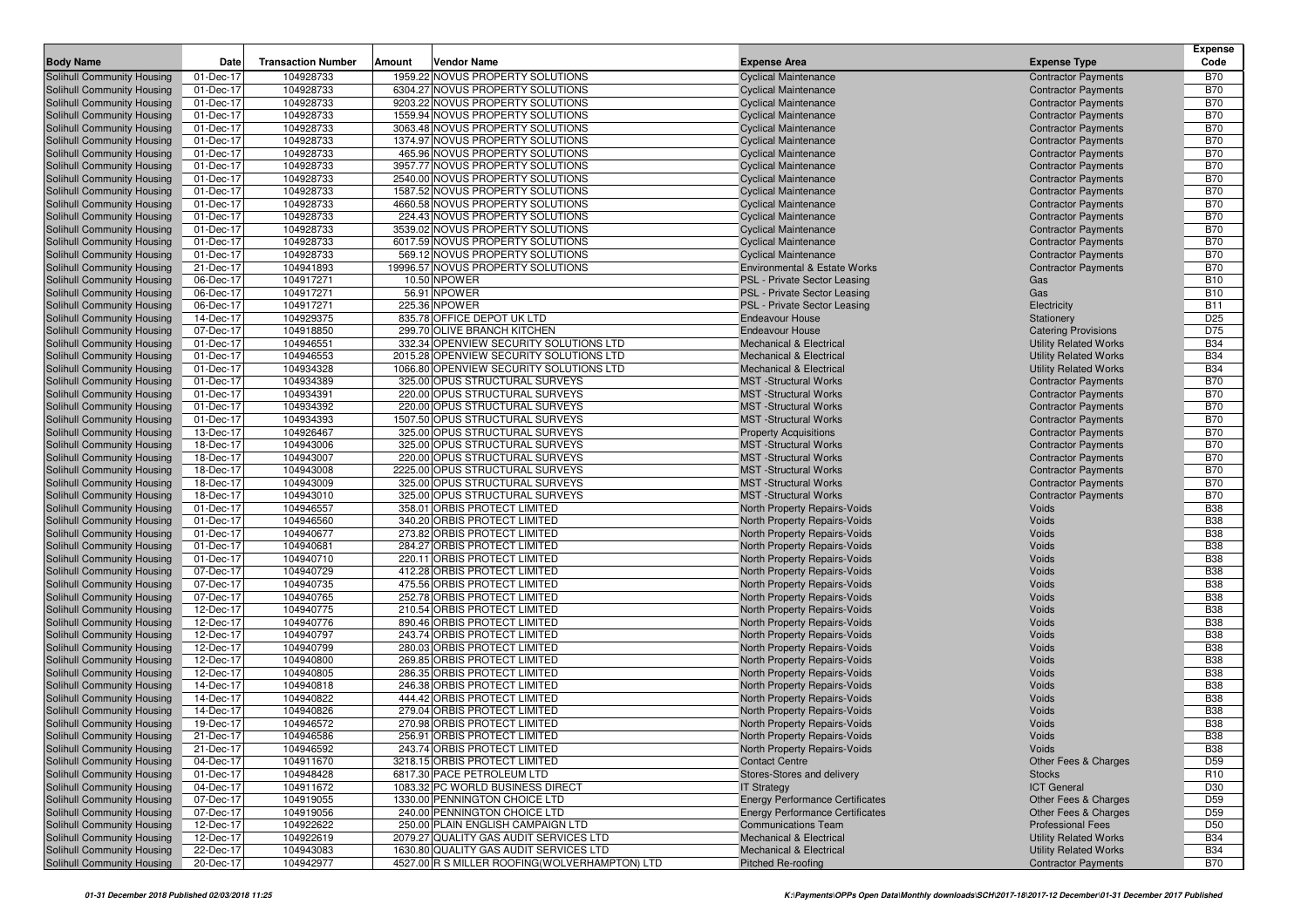|                                                          |                         |                           |                                                              |                                                              |                              | <b>Expense</b>           |
|----------------------------------------------------------|-------------------------|---------------------------|--------------------------------------------------------------|--------------------------------------------------------------|------------------------------|--------------------------|
| <b>Body Name</b>                                         | Date                    | <b>Transaction Number</b> | Amount<br>Vendor Name                                        | <b>Expense Area</b>                                          | <b>Expense Type</b>          | Code                     |
| Solihull Community Housing                               | 01-Dec-17               | 104928733                 | 1959.22 NOVUS PROPERTY SOLUTIONS                             | <b>Cyclical Maintenance</b>                                  | <b>Contractor Payments</b>   | <b>B70</b>               |
| Solihull Community Housing                               | $\overline{01}$ -Dec-17 | 104928733                 | 6304.27 NOVUS PROPERTY SOLUTIONS                             | <b>Cyclical Maintenance</b>                                  | <b>Contractor Payments</b>   | <b>B70</b>               |
| Solihull Community Housing                               | 01-Dec-17               | 104928733                 | 9203.22 NOVUS PROPERTY SOLUTIONS                             | <b>Cyclical Maintenance</b>                                  | <b>Contractor Payments</b>   | <b>B70</b>               |
| Solihull Community Housing                               | 01-Dec-17               | 104928733                 | 1559.94 NOVUS PROPERTY SOLUTIONS                             | <b>Cyclical Maintenance</b>                                  | <b>Contractor Payments</b>   | <b>B70</b>               |
| Solihull Community Housing                               | 01-Dec-17               | 104928733                 | 3063.48 NOVUS PROPERTY SOLUTIONS                             | <b>Cyclical Maintenance</b>                                  | <b>Contractor Payments</b>   | <b>B70</b>               |
| Solihull Community Housing                               | 01-Dec-17               | 104928733                 | 1374.97 NOVUS PROPERTY SOLUTIONS                             | <b>Cyclical Maintenance</b>                                  | <b>Contractor Payments</b>   | <b>B70</b>               |
| Solihull Community Housing                               | 01-Dec-17               | 104928733                 | 465.96 NOVUS PROPERTY SOLUTIONS                              | <b>Cyclical Maintenance</b>                                  | <b>Contractor Payments</b>   | <b>B70</b>               |
| Solihull Community Housing                               | 01-Dec-17               | 104928733                 | 3957.77 NOVUS PROPERTY SOLUTIONS                             | <b>Cyclical Maintenance</b>                                  | <b>Contractor Payments</b>   | <b>B70</b>               |
| Solihull Community Housing                               | 01-Dec-17               | 104928733                 | 2540.00 NOVUS PROPERTY SOLUTIONS                             | <b>Cyclical Maintenance</b>                                  | <b>Contractor Payments</b>   | <b>B70</b>               |
| Solihull Community Housing                               | 01-Dec-17               | 104928733                 | 1587.52 NOVUS PROPERTY SOLUTIONS                             | <b>Cyclical Maintenance</b>                                  | <b>Contractor Payments</b>   | <b>B70</b>               |
| Solihull Community Housing                               | 01-Dec-17               | 104928733                 | 4660.58 NOVUS PROPERTY SOLUTIONS                             | <b>Cyclical Maintenance</b>                                  | <b>Contractor Payments</b>   | <b>B70</b>               |
| Solihull Community Housing                               | 01-Dec-17               | 104928733                 | 224.43 NOVUS PROPERTY SOLUTIONS                              | <b>Cyclical Maintenance</b>                                  | <b>Contractor Payments</b>   | <b>B70</b>               |
| Solihull Community Housing                               | 01-Dec-17               | 104928733                 | 3539.02 NOVUS PROPERTY SOLUTIONS                             | <b>Cyclical Maintenance</b>                                  | <b>Contractor Payments</b>   | <b>B70</b>               |
| Solihull Community Housing                               | 01-Dec-17               | 104928733                 | 6017.59 NOVUS PROPERTY SOLUTIONS                             | <b>Cyclical Maintenance</b>                                  | <b>Contractor Payments</b>   | <b>B70</b>               |
| Solihull Community Housing                               | 01-Dec-17               | 104928733                 | 569.12 NOVUS PROPERTY SOLUTIONS                              | <b>Cyclical Maintenance</b>                                  | <b>Contractor Payments</b>   | <b>B70</b>               |
| Solihull Community Housing                               | 21-Dec-17               | 104941893                 | 19996.57 NOVUS PROPERTY SOLUTIONS                            | <b>Environmental &amp; Estate Works</b>                      | <b>Contractor Payments</b>   | <b>B70</b>               |
| Solihull Community Housing                               | 06-Dec-17               | 104917271<br>104917271    | 10.50 NPOWER                                                 | PSL - Private Sector Leasing                                 | Gas                          | <b>B10</b><br><b>B10</b> |
| Solihull Community Housing<br>Solihull Community Housing | 06-Dec-17<br>06-Dec-17  | 104917271                 | 56.91 NPOWER<br>225.36 NPOWER                                | PSL - Private Sector Leasing                                 | Gas                          | <b>B11</b>               |
| Solihull Community Housing                               | 14-Dec-17               | 104929375                 | 835.78 OFFICE DEPOT UK LTD                                   | PSL - Private Sector Leasing<br><b>Endeavour House</b>       | Electricity<br>Stationery    | D <sub>25</sub>          |
| Solihull Community Housing                               | 07-Dec-17               | 104918850                 | 299.70 OLIVE BRANCH KITCHEN                                  | <b>Endeavour House</b>                                       | <b>Catering Provisions</b>   | D75                      |
| Solihull Community Housing                               | 01-Dec-17               | 104946551                 | 332.34 OPENVIEW SECURITY SOLUTIONS LTD                       | Mechanical & Electrical                                      | <b>Utility Related Works</b> | <b>B34</b>               |
| Solihull Community Housing                               | 01-Dec-17               | 104946553                 | 2015.28 OPENVIEW SECURITY SOLUTIONS LTD                      | <b>Mechanical &amp; Electrical</b>                           | <b>Utility Related Works</b> | <b>B34</b>               |
| Solihull Community Housing                               | 01-Dec-17               | 104934328                 | 1066.80 OPENVIEW SECURITY SOLUTIONS LTD                      | <b>Mechanical &amp; Electrical</b>                           | <b>Utility Related Works</b> | <b>B34</b>               |
| Solihull Community Housing                               | 01-Dec-17               | 104934389                 | 325.00 OPUS STRUCTURAL SURVEYS                               | <b>MST</b> -Structural Works                                 | <b>Contractor Payments</b>   | <b>B70</b>               |
| Solihull Community Housing                               | 01-Dec-17               | 104934391                 | 220.00 OPUS STRUCTURAL SURVEYS                               | <b>MST</b> -Structural Works                                 | <b>Contractor Payments</b>   | <b>B70</b>               |
| Solihull Community Housing                               | 01-Dec-17               | 104934392                 | 220.00 OPUS STRUCTURAL SURVEYS                               | <b>MST</b> -Structural Works                                 | <b>Contractor Payments</b>   | <b>B70</b>               |
| Solihull Community Housing                               | 01-Dec-17               | 104934393                 | 1507.50 OPUS STRUCTURAL SURVEYS                              | <b>MST</b> -Structural Works                                 | <b>Contractor Payments</b>   | <b>B70</b>               |
| Solihull Community Housing                               | 13-Dec-17               | 104926467                 | 325.00 OPUS STRUCTURAL SURVEYS                               | <b>Property Acquisitions</b>                                 | <b>Contractor Payments</b>   | <b>B70</b>               |
| Solihull Community Housing                               | 18-Dec-17               | 104943006                 | 325.00 OPUS STRUCTURAL SURVEYS                               | <b>MST</b> -Structural Works                                 | <b>Contractor Payments</b>   | <b>B70</b>               |
| Solihull Community Housing                               | 18-Dec-17               | 104943007                 | 220.00 OPUS STRUCTURAL SURVEYS                               | <b>MST</b> -Structural Works                                 | <b>Contractor Payments</b>   | <b>B70</b>               |
| Solihull Community Housing                               | 18-Dec-17               | 104943008                 | 2225.00 OPUS STRUCTURAL SURVEYS                              | <b>MST</b> -Structural Works                                 | <b>Contractor Payments</b>   | <b>B70</b>               |
| Solihull Community Housing                               | 18-Dec-17               | 104943009                 | 325.00 OPUS STRUCTURAL SURVEYS                               | <b>MST</b> -Structural Works                                 | <b>Contractor Payments</b>   | <b>B70</b>               |
| Solihull Community Housing                               | 18-Dec-17               | 104943010                 | 325.00 OPUS STRUCTURAL SURVEYS                               | <b>MST</b> -Structural Works                                 | <b>Contractor Payments</b>   | <b>B70</b>               |
| Solihull Community Housing                               | 01-Dec-17               | 104946557                 | 358.01 ORBIS PROTECT LIMITED                                 | North Property Repairs-Voids                                 | Voids                        | <b>B38</b>               |
| Solihull Community Housing                               | 01-Dec-17               | 104946560                 | 340.20 ORBIS PROTECT LIMITED                                 | <b>North Property Repairs-Voids</b>                          | Voids                        | <b>B38</b>               |
| Solihull Community Housing                               | 01-Dec-17               | 104940677                 | 273.82 ORBIS PROTECT LIMITED                                 | North Property Repairs-Voids                                 | Voids                        | <b>B38</b>               |
| Solihull Community Housing                               | 01-Dec-17               | 104940681                 | 284.27 ORBIS PROTECT LIMITED                                 | North Property Repairs-Voids                                 | Voids                        | <b>B38</b>               |
| Solihull Community Housing                               | 01-Dec-17               | 104940710                 | 220.11 ORBIS PROTECT LIMITED                                 | North Property Repairs-Voids                                 | Voids                        | <b>B38</b>               |
| Solihull Community Housing                               | 07-Dec-17               | 104940729                 | 412.28 ORBIS PROTECT LIMITED                                 | North Property Repairs-Voids                                 | Voids                        | <b>B38</b>               |
| Solihull Community Housing                               | 07-Dec-17               | 104940735                 | 475.56 ORBIS PROTECT LIMITED                                 | North Property Repairs-Voids                                 | Voids                        | <b>B38</b>               |
| Solihull Community Housing                               | 07-Dec-17               | 104940765                 | 252.78 ORBIS PROTECT LIMITED                                 | North Property Repairs-Voids                                 | Voids                        | <b>B38</b>               |
| Solihull Community Housing                               | 12-Dec-17               | 104940775                 | 210.54 ORBIS PROTECT LIMITED                                 | North Property Repairs-Voids                                 | Voids                        | <b>B38</b>               |
| Solihull Community Housing                               | 12-Dec-17               | 104940776                 | 890.46 ORBIS PROTECT LIMITED                                 | North Property Repairs-Voids                                 | Voids                        | <b>B38</b>               |
| Solihull Community Housing                               | 12-Dec-17               | 104940797                 | 243.74 ORBIS PROTECT LIMITED                                 | <b>North Property Repairs-Voids</b>                          | Voids                        | <b>B38</b>               |
| Solihull Community Housing                               | 12-Dec-17<br>12-Dec-17  | 104940799<br>104940800    | 280.03 ORBIS PROTECT LIMITED<br>269.85 ORBIS PROTECT LIMITED | North Property Repairs-Voids                                 | Voids<br>Voids               | <b>B38</b><br><b>B38</b> |
| Solihull Community Housing<br>Solihull Community Housing | 12-Dec-17               | 104940805                 | 286.35 ORBIS PROTECT LIMITED                                 | North Property Repairs-Voids<br>North Property Repairs-Voids | Voids                        | <b>B38</b>               |
| Solihull Community Housing                               | 14-Dec-17               | 104940818                 | 246.38 ORBIS PROTECT LIMITED                                 | North Property Repairs-Voids                                 | Voids                        | <b>B38</b>               |
| Solihull Community Housing                               | 14-Dec-17               | 104940822                 | 444.42 ORBIS PROTECT LIMITED                                 | <b>North Property Repairs-Voids</b>                          | Voids                        | <b>B38</b>               |
| Solihull Community Housing                               | 14-Dec-17               | 104940826                 | 279.04 ORBIS PROTECT LIMITED                                 | North Property Repairs-Voids                                 | Voids                        | <b>B38</b>               |
| Solihull Community Housing                               | 19-Dec-17               | 104946572                 | 270.98 ORBIS PROTECT LIMITED                                 | <b>North Property Repairs-Voids</b>                          | Voids                        | <b>B38</b>               |
| Solihull Community Housing                               | 21-Dec-17               | 104946586                 | 256.91 ORBIS PROTECT LIMITED                                 | North Property Repairs-Voids                                 | Voids                        | <b>B38</b>               |
| Solihull Community Housing                               | 21-Dec-17               | 104946592                 | 243.74 ORBIS PROTECT LIMITED                                 | North Property Repairs-Voids                                 | Voids                        | <b>B38</b>               |
| Solihull Community Housing                               | 04-Dec-17               | 104911670                 | 3218.15 ORBIS PROTECT LIMITED                                | <b>Contact Centre</b>                                        | Other Fees & Charges         | D59                      |
| Solihull Community Housing                               | 01-Dec-17               | 104948428                 | 6817.30 PACE PETROLEUM LTD                                   | Stores-Stores and delivery                                   | <b>Stocks</b>                | R <sub>10</sub>          |
| Solihull Community Housing                               | 04-Dec-17               | 104911672                 | 1083.32 PC WORLD BUSINESS DIRECT                             | <b>IT Strategy</b>                                           | <b>ICT General</b>           | D30                      |
| Solihull Community Housing                               | 07-Dec-17               | 104919055                 | 1330.00 PENNINGTON CHOICE LTD                                | <b>Energy Performance Certificates</b>                       | Other Fees & Charges         | D59                      |
| Solihull Community Housing                               | 07-Dec-17               | 104919056                 | 240.00 PENNINGTON CHOICE LTD                                 | <b>Energy Performance Certificates</b>                       | Other Fees & Charges         | D59                      |
| Solihull Community Housing                               | 12-Dec-17               | 104922622                 | 250.00 PLAIN ENGLISH CAMPAIGN LTD                            | <b>Communications Team</b>                                   | <b>Professional Fees</b>     | D <sub>50</sub>          |
| Solihull Community Housing                               | 12-Dec-17               | 104922619                 | 2079.27 QUALITY GAS AUDIT SERVICES LTD                       | <b>Mechanical &amp; Electrical</b>                           | <b>Utility Related Works</b> | <b>B34</b>               |
| Solihull Community Housing                               | 22-Dec-17               | 104943083                 | 1630.80 QUALITY GAS AUDIT SERVICES LTD                       | <b>Mechanical &amp; Electrical</b>                           | <b>Utility Related Works</b> | <b>B34</b>               |
| Solihull Community Housing                               | 20-Dec-17               | 104942977                 | 4527.00 R S MILLER ROOFING(WOLVERHAMPTON) LTD                | <b>Pitched Re-roofing</b>                                    | <b>Contractor Payments</b>   | <b>B70</b>               |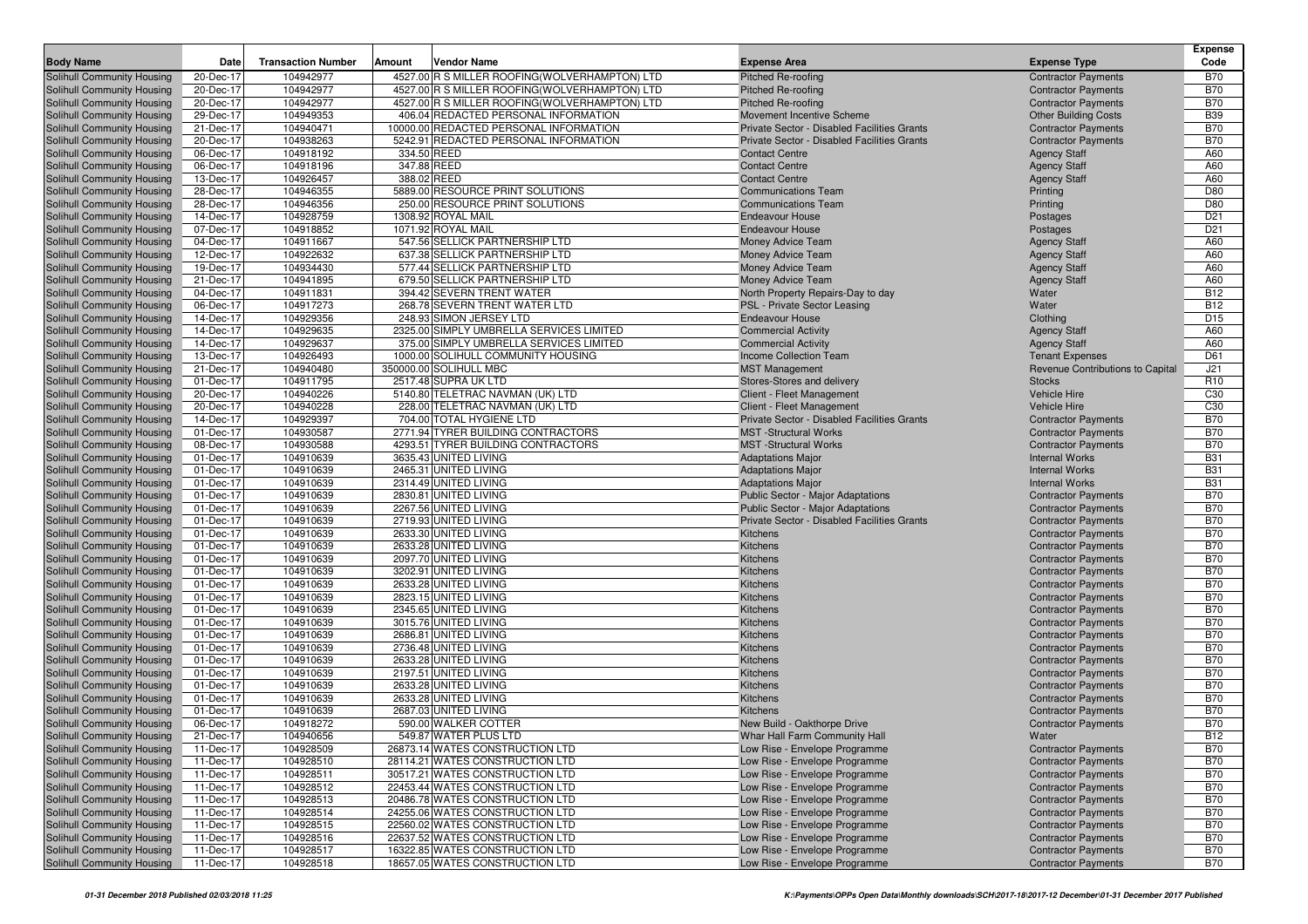|                                                          |                        |                           |                                                |                                                                |                                                          | <b>Expense</b>                     |
|----------------------------------------------------------|------------------------|---------------------------|------------------------------------------------|----------------------------------------------------------------|----------------------------------------------------------|------------------------------------|
| <b>Body Name</b>                                         | Date                   | <b>Transaction Number</b> | Amount<br>Vendor Name                          | <b>Expense Area</b>                                            | <b>Expense Type</b>                                      | Code                               |
| Solihull Community Housing                               | 20-Dec-17              | 104942977                 | 4527.00 R S MILLER ROOFING(WOLVERHAMPTON) LTD  | Pitched Re-roofing                                             | <b>Contractor Payments</b>                               | <b>B70</b>                         |
| Solihull Community Housing                               | 20-Dec-17              | 104942977                 | 4527.00 R S MILLER ROOFING (WOLVERHAMPTON) LTD | <b>Pitched Re-roofing</b>                                      | <b>Contractor Payments</b>                               | <b>B70</b>                         |
| Solihull Community Housing                               | 20-Dec-17              | 104942977                 | 4527.00 R S MILLER ROOFING(WOLVERHAMPTON) LTD  | Pitched Re-roofing                                             | <b>Contractor Payments</b>                               | <b>B70</b>                         |
| Solihull Community Housing                               | 29-Dec-17              | 104949353                 | 406.04 REDACTED PERSONAL INFORMATION           | Movement Incentive Scheme                                      | <b>Other Building Costs</b>                              | <b>B39</b>                         |
| Solihull Community Housing                               | 21-Dec-17              | 104940471                 | 10000.00 REDACTED PERSONAL INFORMATION         | Private Sector - Disabled Facilities Grants                    | <b>Contractor Payments</b>                               | <b>B70</b>                         |
| Solihull Community Housing                               | 20-Dec-17              | 104938263                 | 5242.91 REDACTED PERSONAL INFORMATION          | Private Sector - Disabled Facilities Grants                    | <b>Contractor Payments</b>                               | <b>B70</b>                         |
| Solihull Community Housing                               | 06-Dec-17              | 104918192                 | 334.50 REED                                    | <b>Contact Centre</b>                                          | <b>Agency Staff</b>                                      | A60                                |
| Solihull Community Housing                               | 06-Dec-17              | 104918196                 | 347.88 REED                                    | <b>Contact Centre</b>                                          | <b>Agency Staff</b>                                      | A60                                |
| Solihull Community Housing                               | 13-Dec-17              | 104926457                 | 388.02 REED                                    | <b>Contact Centre</b>                                          | <b>Agency Staff</b>                                      | A60                                |
| Solihull Community Housing                               | 28-Dec-17              | 104946355                 | 5889.00 RESOURCE PRINT SOLUTIONS               | <b>Communications Team</b>                                     | Printing                                                 | D80                                |
| Solihull Community Housing                               | 28-Dec-17              | 104946356                 | 250.00 RESOURCE PRINT SOLUTIONS                | <b>Communications Team</b>                                     | Printing                                                 | D80                                |
| Solihull Community Housing                               | 14-Dec-17              | 104928759                 | 1308.92 ROYAL MAIL                             | <b>Endeavour House</b>                                         | Postages                                                 | D <sub>21</sub>                    |
| Solihull Community Housing                               | 07-Dec-17              | 104918852                 | 1071.92 ROYAL MAIL                             | <b>Endeavour House</b>                                         | Postages                                                 | D <sub>21</sub>                    |
| <b>Solihull Community Housing</b>                        | 04-Dec-17              | 104911667                 | 547.56 SELLICK PARTNERSHIP LTD                 | Money Advice Team                                              | <b>Agency Staff</b>                                      | A60                                |
| Solihull Community Housing                               | 12-Dec-17              | 104922632                 | 637.38 SELLICK PARTNERSHIP LTD                 | Money Advice Team                                              | <b>Agency Staff</b>                                      | A60                                |
| Solihull Community Housing                               | 19-Dec-17              | 104934430                 | 577.44 SELLICK PARTNERSHIP LTD                 | Money Advice Team                                              | <b>Agency Staff</b>                                      | A60                                |
| Solihull Community Housing                               | 21-Dec-17              | 104941895                 | 679.50 SELLICK PARTNERSHIP LTD                 | Money Advice Team                                              | <b>Agency Staff</b>                                      | A60                                |
| <b>Solihull Community Housing</b>                        | 04-Dec-17              | 104911831                 | 394.42 SEVERN TRENT WATER                      | North Property Repairs-Day to day                              | Water                                                    | <b>B12</b>                         |
| Solihull Community Housing                               | 06-Dec-17              | 104917273                 | 268.78 SEVERN TRENT WATER LTD                  | PSL - Private Sector Leasing                                   | Water                                                    | <b>B12</b>                         |
| Solihull Community Housing                               | 14-Dec-17              | 104929356                 | 248.93 SIMON JERSEY LTD                        | <b>Endeavour House</b>                                         | Clothing                                                 | D <sub>15</sub>                    |
| Solihull Community Housing                               | 14-Dec-17              | 104929635                 | 2325.00 SIMPLY UMBRELLA SERVICES LIMITED       | <b>Commercial Activity</b>                                     | <b>Agency Staff</b>                                      | A60                                |
| Solihull Community Housing                               | 14-Dec-17              | 104929637                 | 375.00 SIMPLY UMBRELLA SERVICES LIMITED        | <b>Commercial Activity</b>                                     | <b>Agency Staff</b>                                      | A60<br>D61                         |
| Solihull Community Housing                               | 13-Dec-17<br>21-Dec-17 | 104926493<br>104940480    | 1000.00 SOLIHULL COMMUNITY HOUSING             | Income Collection Team                                         | <b>Tenant Expenses</b>                                   |                                    |
| Solihull Community Housing                               |                        | 104911795                 | 350000.00 SOLIHULL MBC<br>2517.48 SUPRA UK LTD | <b>MST Management</b>                                          | Revenue Contributions to Capital                         | J21                                |
| Solihull Community Housing<br>Solihull Community Housing | 01-Dec-17<br>20-Dec-17 | 104940226                 | 5140.80 TELETRAC NAVMAN (UK) LTD               | Stores-Stores and delivery<br>Client - Fleet Management        | <b>Stocks</b><br>Vehicle Hire                            | R <sub>10</sub><br>C <sub>30</sub> |
| Solihull Community Housing                               | 20-Dec-17              | 104940228                 | 228.00 TELETRAC NAVMAN (UK) LTD                | Client - Fleet Management                                      | <b>Vehicle Hire</b>                                      | C <sub>30</sub>                    |
| Solihull Community Housing                               | 14-Dec-17              | 104929397                 | 704.00 TOTAL HYGIENE LTD                       | Private Sector - Disabled Facilities Grants                    | <b>Contractor Payments</b>                               | <b>B70</b>                         |
| Solihull Community Housing                               | 01-Dec-17              | 104930587                 | 2771.94 TYRER BUILDING CONTRACTORS             | <b>MST</b> -Structural Works                                   | <b>Contractor Payments</b>                               | <b>B70</b>                         |
| Solihull Community Housing                               | 08-Dec-17              | 104930588                 | 4293.51 TYRER BUILDING CONTRACTORS             | <b>MST</b> -Structural Works                                   | <b>Contractor Payments</b>                               | <b>B70</b>                         |
| Solihull Community Housing                               | 01-Dec-17              | 104910639                 | 3635.43 UNITED LIVING                          | <b>Adaptations Major</b>                                       | <b>Internal Works</b>                                    | <b>B31</b>                         |
| Solihull Community Housing                               | 01-Dec-17              | 104910639                 | 2465.31 UNITED LIVING                          | <b>Adaptations Major</b>                                       | <b>Internal Works</b>                                    | <b>B31</b>                         |
| Solihull Community Housing                               | 01-Dec-17              | 104910639                 | 2314.49 UNITED LIVING                          | <b>Adaptations Major</b>                                       | <b>Internal Works</b>                                    | <b>B31</b>                         |
| Solihull Community Housing                               | 01-Dec-17              | 104910639                 | 2830.81 UNITED LIVING                          | Public Sector - Major Adaptations                              | <b>Contractor Payments</b>                               | <b>B70</b>                         |
| Solihull Community Housing                               | 01-Dec-17              | 104910639                 | 2267.56 UNITED LIVING                          | Public Sector - Major Adaptations                              | <b>Contractor Payments</b>                               | <b>B70</b>                         |
| Solihull Community Housing                               | 01-Dec-17              | 104910639                 | 2719.93 UNITED LIVING                          | Private Sector - Disabled Facilities Grants                    | <b>Contractor Payments</b>                               | <b>B70</b>                         |
| Solihull Community Housing                               | 01-Dec-17              | 104910639                 | 2633.30 UNITED LIVING                          | Kitchens                                                       | <b>Contractor Payments</b>                               | <b>B70</b>                         |
| Solihull Community Housing                               | 01-Dec-17              | 104910639                 | 2633.28 UNITED LIVING                          | Kitchens                                                       | <b>Contractor Payments</b>                               | <b>B70</b>                         |
| Solihull Community Housing                               | 01-Dec-17              | 104910639                 | 2097.70 UNITED LIVING                          | Kitchens                                                       | <b>Contractor Payments</b>                               | <b>B70</b>                         |
| Solihull Community Housing                               | 01-Dec-17              | 104910639                 | 3202.91 UNITED LIVING                          | Kitchens                                                       | <b>Contractor Payments</b>                               | <b>B70</b>                         |
| Solihull Community Housing                               | 01-Dec-17              | 104910639                 | 2633.28 UNITED LIVING                          | Kitchens                                                       | <b>Contractor Payments</b>                               | <b>B70</b>                         |
| Solihull Community Housing                               | 01-Dec-17              | 104910639                 | 2823.15 UNITED LIVING                          | Kitchens                                                       | <b>Contractor Payments</b>                               | <b>B70</b>                         |
| Solihull Community Housing                               | 01-Dec-17              | 104910639                 | 2345.65 UNITED LIVING                          | Kitchens                                                       | <b>Contractor Payments</b>                               | <b>B70</b>                         |
| Solihull Community Housing                               | 01-Dec-17              | 104910639                 | 3015.76 UNITED LIVING                          | Kitchens                                                       | <b>Contractor Payments</b>                               | <b>B70</b>                         |
| Solihull Community Housing                               | 01-Dec-17              | 104910639                 | 2686.81 UNITED LIVING                          | Kitchens                                                       | <b>Contractor Payments</b>                               | <b>B70</b>                         |
| Solihull Community Housing                               | 01-Dec-17              | 104910639                 | 2736.48 UNITED LIVING                          | Kitchens                                                       | <b>Contractor Payments</b>                               | <b>B70</b>                         |
| Solihull Community Housing                               | 01-Dec-17              | 104910639                 | 2633.28 UNITED LIVING                          | Kitchens                                                       | <b>Contractor Payments</b>                               | <b>B70</b>                         |
| Solihull Community Housing                               | 01-Dec-17              | 104910639                 | 2197.51 UNITED LIVING                          | Kitchens                                                       | <b>Contractor Payments</b>                               | <b>B70</b>                         |
| Solihull Community Housing                               | 01-Dec-17              | 104910639                 | 2633.28 UNITED LIVING                          | Kitchens                                                       | <b>Contractor Payments</b>                               | <b>B70</b>                         |
| Solihull Community Housing                               | 01-Dec-17              | 104910639                 | 2633.28 UNITED LIVING                          | Kitchens                                                       | <b>Contractor Payments</b>                               | <b>B70</b>                         |
| Solihull Community Housing                               | 01-Dec-17              | 104910639                 | 2687.03 UNITED LIVING                          | Kitchens                                                       | <b>Contractor Payments</b>                               | <b>B70</b>                         |
| Solihull Community Housing                               | 06-Dec-17              | 104918272                 | 590.00 WALKER COTTER                           | New Build - Oakthorpe Drive                                    | <b>Contractor Payments</b>                               | <b>B70</b>                         |
| Solihull Community Housing                               | 21-Dec-17              | 104940656                 | 549.87 WATER PLUS LTD                          | Whar Hall Farm Community Hall                                  | Water                                                    | <b>B12</b>                         |
| <b>Solihull Community Housing</b>                        | 11-Dec-17              | 104928509                 | 26873.14 WATES CONSTRUCTION LTD                | Low Rise - Envelope Programme                                  | <b>Contractor Payments</b>                               | <b>B70</b>                         |
| Solihull Community Housing                               | 11-Dec-17              | 104928510                 | 28114.21 WATES CONSTRUCTION LTD                | Low Rise - Envelope Programme                                  | <b>Contractor Payments</b>                               | <b>B70</b>                         |
| Solihull Community Housing                               | 11-Dec-17              | 104928511                 | 30517.21 WATES CONSTRUCTION LTD                | Low Rise - Envelope Programme                                  | <b>Contractor Payments</b>                               | <b>B70</b>                         |
| Solihull Community Housing                               | 11-Dec-17              | 104928512                 | 22453.44 WATES CONSTRUCTION LTD                | Low Rise - Envelope Programme                                  | <b>Contractor Payments</b>                               | <b>B70</b>                         |
| Solihull Community Housing                               | 11-Dec-17              | 104928513                 | 20486.78 WATES CONSTRUCTION LTD                | Low Rise - Envelope Programme                                  | <b>Contractor Payments</b>                               | <b>B70</b>                         |
| Solihull Community Housing<br>Solihull Community Housing | 11-Dec-17              | 104928514                 | 24255.06 WATES CONSTRUCTION LTD                | Low Rise - Envelope Programme                                  | <b>Contractor Payments</b>                               | <b>B70</b>                         |
|                                                          | 11-Dec-17<br>11-Dec-17 | 104928515<br>104928516    | 22560.02 WATES CONSTRUCTION LTD                | Low Rise - Envelope Programme                                  | <b>Contractor Payments</b><br><b>Contractor Payments</b> | <b>B70</b>                         |
| Solihull Community Housing                               |                        |                           | 22637.52 WATES CONSTRUCTION LTD                | Low Rise - Envelope Programme<br>Low Rise - Envelope Programme |                                                          | <b>B70</b>                         |
| Solihull Community Housing<br>Solihull Community Housing | 11-Dec-17              | 104928517                 | 16322.85 WATES CONSTRUCTION LTD                |                                                                | <b>Contractor Payments</b>                               | <b>B70</b>                         |
|                                                          | 11-Dec-17              | 104928518                 | 18657.05 WATES CONSTRUCTION LTD                | Low Rise - Envelope Programme                                  | <b>Contractor Payments</b>                               | <b>B70</b>                         |